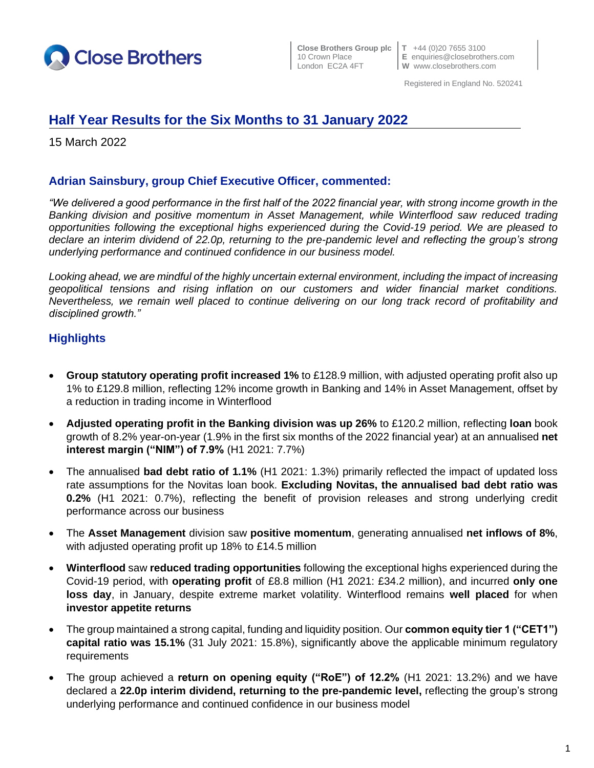

**Close Brothers Group plc T** +44 (0)20 7655 3100

10 Crown Place **E** enquiries@closebrothers.com<br>
London EC2A 4FT **W** www.closebrothers.com **W** www.closebrothers.com

Registered in England No. 520241

# **Half Year Results for the Six Months to 31 January 2022**

15 March 2022

# **Adrian Sainsbury, group Chief Executive Officer, commented:**

*"We delivered a good performance in the first half of the 2022 financial year, with strong income growth in the Banking division and positive momentum in Asset Management, while Winterflood saw reduced trading opportunities following the exceptional highs experienced during the Covid-19 period. We are pleased to declare an interim dividend of 22.0p, returning to the pre-pandemic level and reflecting the group's strong underlying performance and continued confidence in our business model.*

*Looking ahead, we are mindful of the highly uncertain external environment, including the impact of increasing geopolitical tensions and rising inflation on our customers and wider financial market conditions. Nevertheless, we remain well placed to continue delivering on our long track record of profitability and disciplined growth."*

# **Highlights**

- **Group statutory operating profit increased 1%** to £128.9 million, with adjusted operating profit also up 1% to £129.8 million, reflecting 12% income growth in Banking and 14% in Asset Management, offset by a reduction in trading income in Winterflood
- **Adjusted operating profit in the Banking division was up 26%** to £120.2 million, reflecting **loan** book growth of 8.2% year-on-year (1.9% in the first six months of the 2022 financial year) at an annualised **net interest margin ("NIM") of 7.9%** (H1 2021: 7.7%)
- The annualised **bad debt ratio of 1.1%** (H1 2021: 1.3%) primarily reflected the impact of updated loss rate assumptions for the Novitas loan book. **Excluding Novitas, the annualised bad debt ratio was 0.2%** (H1 2021: 0.7%), reflecting the benefit of provision releases and strong underlying credit performance across our business
- The **Asset Management** division saw **positive momentum**, generating annualised **net inflows of 8%**, with adjusted operating profit up 18% to £14.5 million
- **Winterflood** saw **reduced trading opportunities** following the exceptional highs experienced during the Covid-19 period, with **operating profit** of £8.8 million (H1 2021: £34.2 million), and incurred **only one loss day**, in January, despite extreme market volatility. Winterflood remains **well placed** for when **investor appetite returns**
- The group maintained a strong capital, funding and liquidity position. Our **common equity tier 1 ("CET1") capital ratio was 15.1%** (31 July 2021: 15.8%), significantly above the applicable minimum regulatory requirements
- The group achieved a **return on opening equity ("RoE") of 12.2%** (H1 2021: 13.2%) and we have declared a **22.0p interim dividend, returning to the pre-pandemic level,** reflecting the group's strong underlying performance and continued confidence in our business model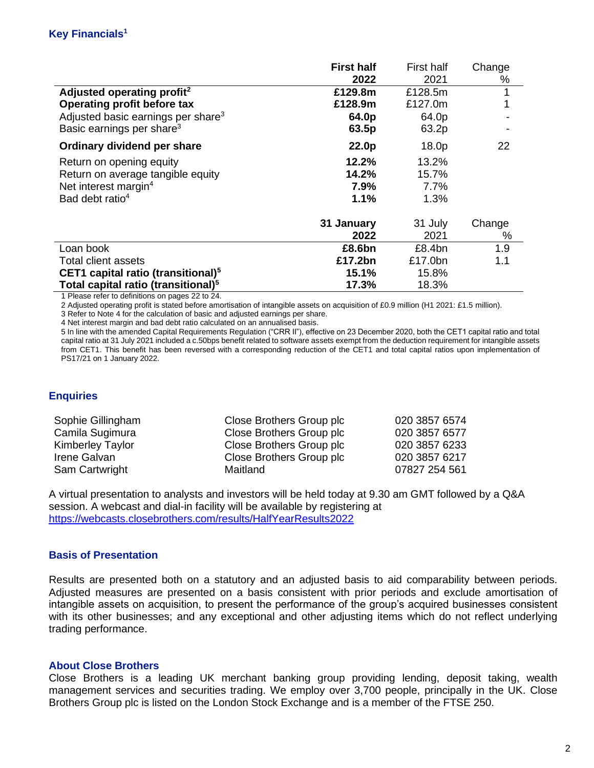|                                                 | <b>First half</b> | First half | Change |
|-------------------------------------------------|-------------------|------------|--------|
|                                                 | 2022              | 2021       | %      |
| Adjusted operating profit <sup>2</sup>          | £129.8m           | £128.5m    |        |
| <b>Operating profit before tax</b>              | £128.9m           | £127.0m    |        |
| Adjusted basic earnings per share <sup>3</sup>  | 64.0p             | 64.0p      |        |
| Basic earnings per share <sup>3</sup>           | 63.5p             | 63.2p      |        |
| Ordinary dividend per share                     | 22.0p             | 18.0p      | 22     |
| Return on opening equity                        | 12.2%             | 13.2%      |        |
| Return on average tangible equity               | 14.2%             | 15.7%      |        |
| Net interest margin <sup>4</sup>                | 7.9%              | $7.7\%$    |        |
| Bad debt ratio <sup>4</sup>                     | 1.1%              | 1.3%       |        |
|                                                 | 31 January        | 31 July    | Change |
|                                                 | 2022              | 2021       | %      |
| Loan book                                       | £8.6bn            | £8.4bn     | 1.9    |
| Total client assets                             | £17.2bn           | £17.0bn    | 1.1    |
| CET1 capital ratio (transitional) <sup>5</sup>  | 15.1%             | 15.8%      |        |
| Total capital ratio (transitional) <sup>5</sup> | 17.3%             | 18.3%      |        |

1 Please refer to definitions on pages 22 to 24.

2 Adjusted operating profit is stated before amortisation of intangible assets on acquisition of £0.9 million (H1 2021: £1.5 million).

3 Refer to Note 4 for the calculation of basic and adjusted earnings per share.

4 Net interest margin and bad debt ratio calculated on an annualised basis.

5 In line with the amended Capital Requirements Regulation ("CRR II"), effective on 23 December 2020, both the CET1 capital ratio and total capital ratio at 31 July 2021 included a c.50bps benefit related to software assets exempt from the deduction requirement for intangible assets from CET1. This benefit has been reversed with a corresponding reduction of the CET1 and total capital ratios upon implementation of PS17/21 on 1 January 2022.

### **Enquiries**

| Sophie Gillingham       | Close Brothers Group plc | 020 3857 6574 |
|-------------------------|--------------------------|---------------|
| Camila Sugimura         | Close Brothers Group plc | 020 3857 6577 |
| <b>Kimberley Taylor</b> | Close Brothers Group plc | 020 3857 6233 |
| Irene Galvan            | Close Brothers Group plc | 020 3857 6217 |
| Sam Cartwright          | Maitland                 | 07827 254 561 |

A virtual presentation to analysts and investors will be held today at 9.30 am GMT followed by a Q&A session. A webcast and dial-in facility will be available by registering at <https://webcasts.closebrothers.com/results/HalfYearResults2022>

### **Basis of Presentation**

Results are presented both on a statutory and an adjusted basis to aid comparability between periods. Adjusted measures are presented on a basis consistent with prior periods and exclude amortisation of intangible assets on acquisition, to present the performance of the group's acquired businesses consistent with its other businesses; and any exceptional and other adjusting items which do not reflect underlying trading performance.

### **About Close Brothers**

Close Brothers is a leading UK merchant banking group providing lending, deposit taking, wealth management services and securities trading. We employ over 3,700 people, principally in the UK. Close Brothers Group plc is listed on the London Stock Exchange and is a member of the FTSE 250.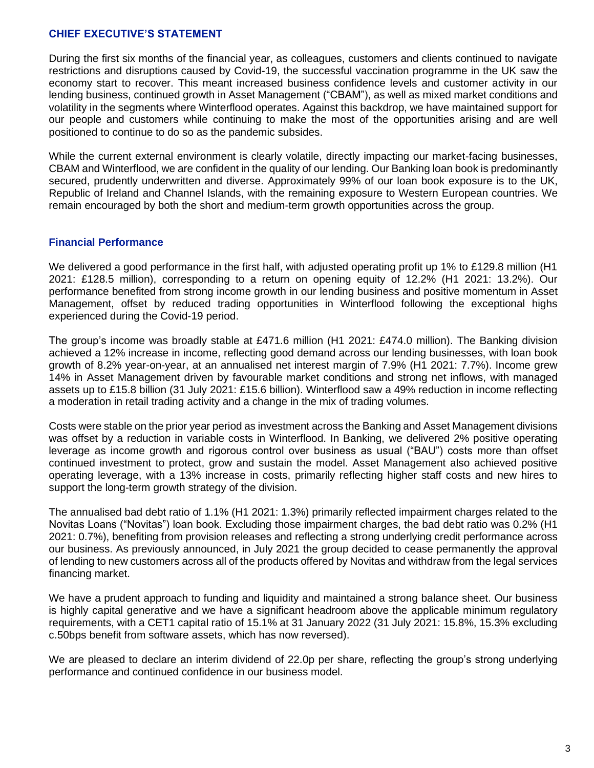### **CHIEF EXECUTIVE'S STATEMENT**

During the first six months of the financial year, as colleagues, customers and clients continued to navigate restrictions and disruptions caused by Covid-19, the successful vaccination programme in the UK saw the economy start to recover. This meant increased business confidence levels and customer activity in our lending business, continued growth in Asset Management ("CBAM"), as well as mixed market conditions and volatility in the segments where Winterflood operates. Against this backdrop, we have maintained support for our people and customers while continuing to make the most of the opportunities arising and are well positioned to continue to do so as the pandemic subsides.

While the current external environment is clearly volatile, directly impacting our market-facing businesses, CBAM and Winterflood, we are confident in the quality of our lending. Our Banking loan book is predominantly secured, prudently underwritten and diverse. Approximately 99% of our loan book exposure is to the UK, Republic of Ireland and Channel Islands, with the remaining exposure to Western European countries. We remain encouraged by both the short and medium-term growth opportunities across the group.

### **Financial Performance**

We delivered a good performance in the first half, with adjusted operating profit up 1% to £129.8 million (H1 2021: £128.5 million), corresponding to a return on opening equity of 12.2% (H1 2021: 13.2%). Our performance benefited from strong income growth in our lending business and positive momentum in Asset Management, offset by reduced trading opportunities in Winterflood following the exceptional highs experienced during the Covid-19 period.

The group's income was broadly stable at £471.6 million (H1 2021: £474.0 million). The Banking division achieved a 12% increase in income, reflecting good demand across our lending businesses, with loan book growth of 8.2% year-on-year, at an annualised net interest margin of 7.9% (H1 2021: 7.7%). Income grew 14% in Asset Management driven by favourable market conditions and strong net inflows, with managed assets up to £15.8 billion (31 July 2021: £15.6 billion). Winterflood saw a 49% reduction in income reflecting a moderation in retail trading activity and a change in the mix of trading volumes.

Costs were stable on the prior year period as investment across the Banking and Asset Management divisions was offset by a reduction in variable costs in Winterflood. In Banking, we delivered 2% positive operating leverage as income growth and rigorous control over business as usual ("BAU") costs more than offset continued investment to protect, grow and sustain the model. Asset Management also achieved positive operating leverage, with a 13% increase in costs, primarily reflecting higher staff costs and new hires to support the long-term growth strategy of the division.

The annualised bad debt ratio of 1.1% (H1 2021: 1.3%) primarily reflected impairment charges related to the Novitas Loans ("Novitas") loan book. Excluding those impairment charges, the bad debt ratio was 0.2% (H1 2021: 0.7%), benefiting from provision releases and reflecting a strong underlying credit performance across our business. As previously announced, in July 2021 the group decided to cease permanently the approval of lending to new customers across all of the products offered by Novitas and withdraw from the legal services financing market.

We have a prudent approach to funding and liquidity and maintained a strong balance sheet. Our business is highly capital generative and we have a significant headroom above the applicable minimum regulatory requirements, with a CET1 capital ratio of 15.1% at 31 January 2022 (31 July 2021: 15.8%, 15.3% excluding c.50bps benefit from software assets, which has now reversed).

We are pleased to declare an interim dividend of 22.0p per share, reflecting the group's strong underlying performance and continued confidence in our business model.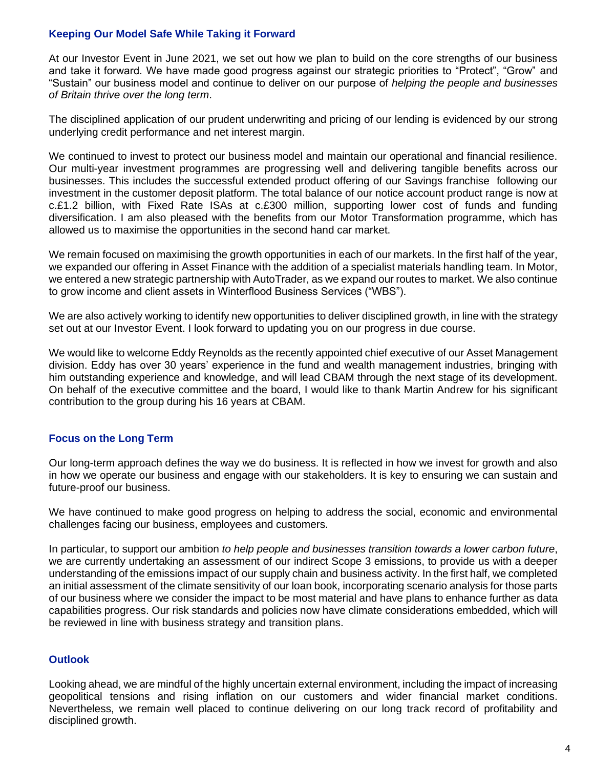# **Keeping Our Model Safe While Taking it Forward**

At our Investor Event in June 2021, we set out how we plan to build on the core strengths of our business and take it forward. We have made good progress against our strategic priorities to "Protect", "Grow" and "Sustain" our business model and continue to deliver on our purpose of *helping the people and businesses of Britain thrive over the long term*.

The disciplined application of our prudent underwriting and pricing of our lending is evidenced by our strong underlying credit performance and net interest margin.

We continued to invest to protect our business model and maintain our operational and financial resilience. Our multi-year investment programmes are progressing well and delivering tangible benefits across our businesses. This includes the successful extended product offering of our Savings franchise following our investment in the customer deposit platform. The total balance of our notice account product range is now at c.£1.2 billion, with Fixed Rate ISAs at c.£300 million, supporting lower cost of funds and funding diversification. I am also pleased with the benefits from our Motor Transformation programme, which has allowed us to maximise the opportunities in the second hand car market.

We remain focused on maximising the growth opportunities in each of our markets. In the first half of the year, we expanded our offering in Asset Finance with the addition of a specialist materials handling team. In Motor, we entered a new strategic partnership with AutoTrader, as we expand our routes to market. We also continue to grow income and client assets in Winterflood Business Services ("WBS").

We are also actively working to identify new opportunities to deliver disciplined growth, in line with the strategy set out at our Investor Event. I look forward to updating you on our progress in due course.

We would like to welcome Eddy Reynolds as the recently appointed chief executive of our Asset Management division. Eddy has over 30 years' experience in the fund and wealth management industries, bringing with him outstanding experience and knowledge, and will lead CBAM through the next stage of its development. On behalf of the executive committee and the board, I would like to thank Martin Andrew for his significant contribution to the group during his 16 years at CBAM.

### **Focus on the Long Term**

Our long-term approach defines the way we do business. It is reflected in how we invest for growth and also in how we operate our business and engage with our stakeholders. It is key to ensuring we can sustain and future-proof our business.

We have continued to make good progress on helping to address the social, economic and environmental challenges facing our business, employees and customers.

In particular, to support our ambition *to help people and businesses transition towards a lower carbon future*, we are currently undertaking an assessment of our indirect Scope 3 emissions, to provide us with a deeper understanding of the emissions impact of our supply chain and business activity. In the first half, we completed an initial assessment of the climate sensitivity of our loan book, incorporating scenario analysis for those parts of our business where we consider the impact to be most material and have plans to enhance further as data capabilities progress. Our risk standards and policies now have climate considerations embedded, which will be reviewed in line with business strategy and transition plans.

# **Outlook**

Looking ahead, we are mindful of the highly uncertain external environment, including the impact of increasing geopolitical tensions and rising inflation on our customers and wider financial market conditions. Nevertheless, we remain well placed to continue delivering on our long track record of profitability and disciplined growth.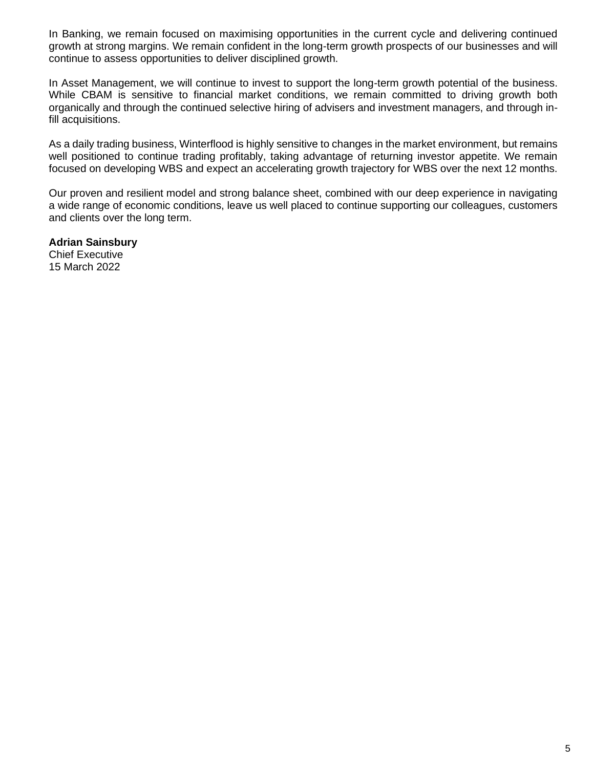In Banking, we remain focused on maximising opportunities in the current cycle and delivering continued growth at strong margins. We remain confident in the long-term growth prospects of our businesses and will continue to assess opportunities to deliver disciplined growth.

In Asset Management, we will continue to invest to support the long-term growth potential of the business. While CBAM is sensitive to financial market conditions, we remain committed to driving growth both organically and through the continued selective hiring of advisers and investment managers, and through infill acquisitions.

As a daily trading business, Winterflood is highly sensitive to changes in the market environment, but remains well positioned to continue trading profitably, taking advantage of returning investor appetite. We remain focused on developing WBS and expect an accelerating growth trajectory for WBS over the next 12 months.

Our proven and resilient model and strong balance sheet, combined with our deep experience in navigating a wide range of economic conditions, leave us well placed to continue supporting our colleagues, customers and clients over the long term.

**Adrian Sainsbury** Chief Executive 15 March 2022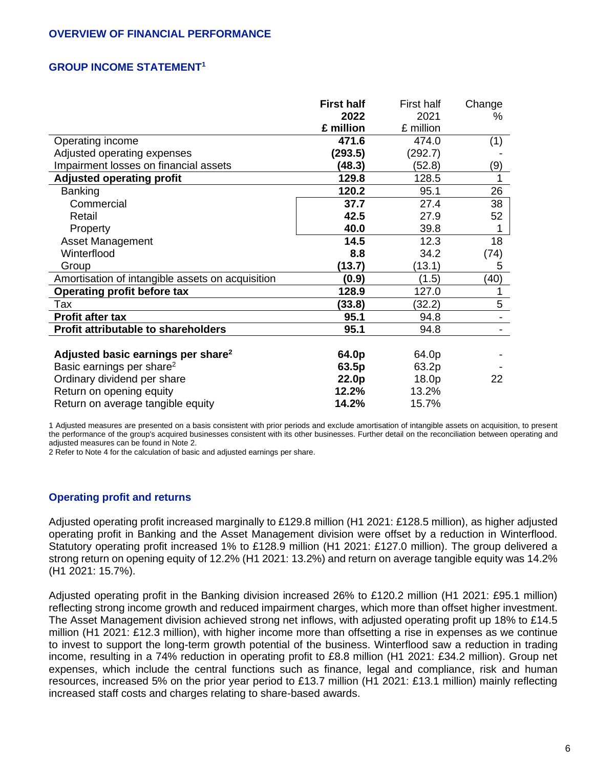### **OVERVIEW OF FINANCIAL PERFORMANCE**

### **GROUP INCOME STATEMENT<sup>1</sup>**

|                                                  | <b>First half</b> | <b>First half</b> | Change |
|--------------------------------------------------|-------------------|-------------------|--------|
|                                                  | 2022              | 2021              | %      |
|                                                  | £ million         | £ million         |        |
| Operating income                                 | 471.6             | 474.0             | (1)    |
| Adjusted operating expenses                      | (293.5)           | (292.7)           |        |
| Impairment losses on financial assets            | (48.3)            | (52.8)            | (9)    |
| <b>Adjusted operating profit</b>                 | 129.8             | 128.5             | 1      |
| <b>Banking</b>                                   | 120.2             | 95.1              | 26     |
| Commercial                                       | 37.7              | 27.4              | 38     |
| Retail                                           | 42.5              | 27.9              | 52     |
| Property                                         | 40.0              | 39.8              |        |
| <b>Asset Management</b>                          | 14.5              | 12.3              | 18     |
| Winterflood                                      | 8.8               | 34.2              | (74)   |
| Group                                            | (13.7)            | (13.1)            | 5      |
| Amortisation of intangible assets on acquisition | (0.9)             | (1.5)             | (40)   |
| Operating profit before tax                      | 128.9             | 127.0             |        |
| Tax                                              | (33.8)            | (32.2)            | 5      |
| Profit after tax                                 | 95.1              | 94.8              |        |
| Profit attributable to shareholders              | 95.1              | 94.8              |        |
|                                                  |                   |                   |        |
| Adjusted basic earnings per share <sup>2</sup>   | 64.0p             | 64.0p             |        |
| Basic earnings per share <sup>2</sup>            | 63.5p             | 63.2p             |        |
| Ordinary dividend per share                      | 22.0p             | 18.0p             | 22     |
| Return on opening equity                         | 12.2%             | 13.2%             |        |
| Return on average tangible equity                | 14.2%             | 15.7%             |        |

1 Adjusted measures are presented on a basis consistent with prior periods and exclude amortisation of intangible assets on acquisition, to present the performance of the group's acquired businesses consistent with its other businesses. Further detail on the reconciliation between operating and adjusted measures can be found in Note 2.

2 Refer to Note 4 for the calculation of basic and adjusted earnings per share.

### **Operating profit and returns**

Adjusted operating profit increased marginally to £129.8 million (H1 2021: £128.5 million), as higher adjusted operating profit in Banking and the Asset Management division were offset by a reduction in Winterflood. Statutory operating profit increased 1% to £128.9 million (H1 2021: £127.0 million). The group delivered a strong return on opening equity of 12.2% (H1 2021: 13.2%) and return on average tangible equity was 14.2% (H1 2021: 15.7%).

Adjusted operating profit in the Banking division increased 26% to £120.2 million (H1 2021: £95.1 million) reflecting strong income growth and reduced impairment charges, which more than offset higher investment. The Asset Management division achieved strong net inflows, with adjusted operating profit up 18% to £14.5 million (H1 2021: £12.3 million), with higher income more than offsetting a rise in expenses as we continue to invest to support the long-term growth potential of the business. Winterflood saw a reduction in trading income, resulting in a 74% reduction in operating profit to £8.8 million (H1 2021: £34.2 million). Group net expenses, which include the central functions such as finance, legal and compliance, risk and human resources, increased 5% on the prior year period to £13.7 million (H1 2021: £13.1 million) mainly reflecting increased staff costs and charges relating to share-based awards.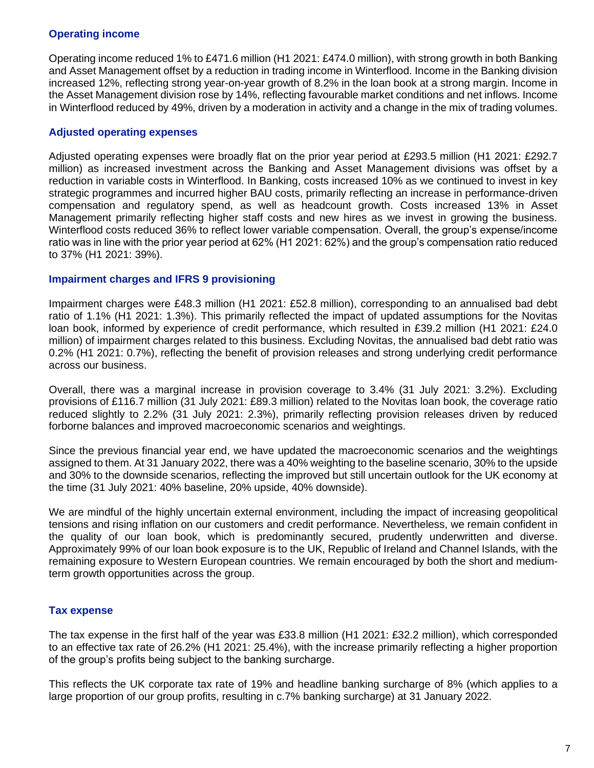# **Operating income**

Operating income reduced 1% to £471.6 million (H1 2021: £474.0 million), with strong growth in both Banking and Asset Management offset by a reduction in trading income in Winterflood. Income in the Banking division increased 12%, reflecting strong year-on-year growth of 8.2% in the loan book at a strong margin. Income in the Asset Management division rose by 14%, reflecting favourable market conditions and net inflows. Income in Winterflood reduced by 49%, driven by a moderation in activity and a change in the mix of trading volumes.

# **Adjusted operating expenses**

Adjusted operating expenses were broadly flat on the prior year period at £293.5 million (H1 2021: £292.7 million) as increased investment across the Banking and Asset Management divisions was offset by a reduction in variable costs in Winterflood. In Banking, costs increased 10% as we continued to invest in key strategic programmes and incurred higher BAU costs, primarily reflecting an increase in performance-driven compensation and regulatory spend, as well as headcount growth. Costs increased 13% in Asset Management primarily reflecting higher staff costs and new hires as we invest in growing the business. Winterflood costs reduced 36% to reflect lower variable compensation. Overall, the group's expense/income ratio was in line with the prior year period at 62% (H1 2021: 62%) and the group's compensation ratio reduced to 37% (H1 2021: 39%).

### **Impairment charges and IFRS 9 provisioning**

Impairment charges were £48.3 million (H1 2021: £52.8 million), corresponding to an annualised bad debt ratio of 1.1% (H1 2021: 1.3%). This primarily reflected the impact of updated assumptions for the Novitas loan book, informed by experience of credit performance, which resulted in £39.2 million (H1 2021: £24.0 million) of impairment charges related to this business. Excluding Novitas, the annualised bad debt ratio was 0.2% (H1 2021: 0.7%), reflecting the benefit of provision releases and strong underlying credit performance across our business.

Overall, there was a marginal increase in provision coverage to 3.4% (31 July 2021: 3.2%). Excluding provisions of £116.7 million (31 July 2021: £89.3 million) related to the Novitas loan book, the coverage ratio reduced slightly to 2.2% (31 July 2021: 2.3%), primarily reflecting provision releases driven by reduced forborne balances and improved macroeconomic scenarios and weightings.

Since the previous financial year end, we have updated the macroeconomic scenarios and the weightings assigned to them. At 31 January 2022, there was a 40% weighting to the baseline scenario, 30% to the upside and 30% to the downside scenarios, reflecting the improved but still uncertain outlook for the UK economy at the time (31 July 2021: 40% baseline, 20% upside, 40% downside).

We are mindful of the highly uncertain external environment, including the impact of increasing geopolitical tensions and rising inflation on our customers and credit performance. Nevertheless, we remain confident in the quality of our loan book, which is predominantly secured, prudently underwritten and diverse. Approximately 99% of our loan book exposure is to the UK, Republic of Ireland and Channel Islands, with the remaining exposure to Western European countries. We remain encouraged by both the short and mediumterm growth opportunities across the group.

# **Tax expense**

The tax expense in the first half of the year was £33.8 million (H1 2021: £32.2 million), which corresponded to an effective tax rate of 26.2% (H1 2021: 25.4%), with the increase primarily reflecting a higher proportion of the group's profits being subject to the banking surcharge.

This reflects the UK corporate tax rate of 19% and headline banking surcharge of 8% (which applies to a large proportion of our group profits, resulting in c.7% banking surcharge) at 31 January 2022.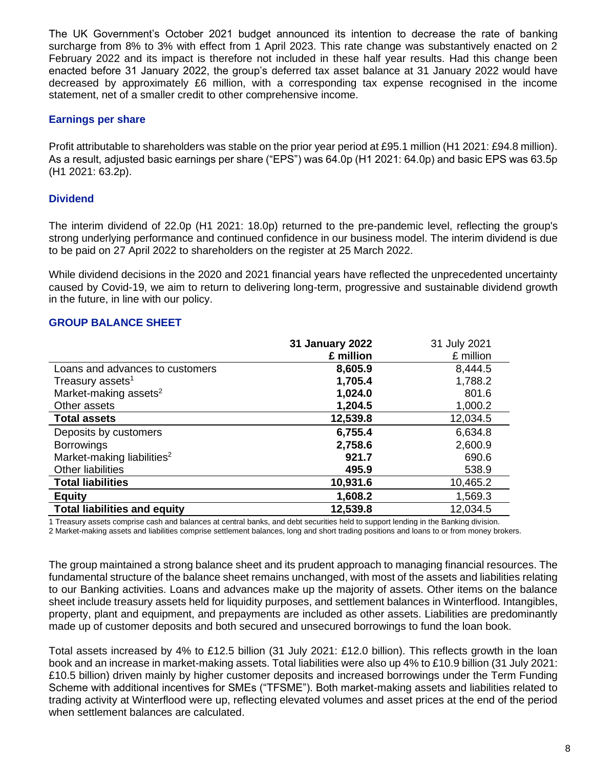The UK Government's October 2021 budget announced its intention to decrease the rate of banking surcharge from 8% to 3% with effect from 1 April 2023. This rate change was substantively enacted on 2 February 2022 and its impact is therefore not included in these half year results. Had this change been enacted before 31 January 2022, the group's deferred tax asset balance at 31 January 2022 would have decreased by approximately £6 million, with a corresponding tax expense recognised in the income statement, net of a smaller credit to other comprehensive income.

### **Earnings per share**

Profit attributable to shareholders was stable on the prior year period at £95.1 million (H1 2021: £94.8 million). As a result, adjusted basic earnings per share ("EPS") was 64.0p (H1 2021: 64.0p) and basic EPS was 63.5p (H1 2021: 63.2p).

### **Dividend**

The interim dividend of 22.0p (H1 2021: 18.0p) returned to the pre-pandemic level, reflecting the group's strong underlying performance and continued confidence in our business model. The interim dividend is due to be paid on 27 April 2022 to shareholders on the register at 25 March 2022.

While dividend decisions in the 2020 and 2021 financial years have reflected the unprecedented uncertainty caused by Covid-19, we aim to return to delivering long-term, progressive and sustainable dividend growth in the future, in line with our policy.

### **GROUP BALANCE SHEET**

|                                        | <b>31 January 2022</b> | 31 July 2021 |
|----------------------------------------|------------------------|--------------|
|                                        | £ million              | £ million    |
| Loans and advances to customers        | 8,605.9                | 8,444.5      |
| Treasury assets <sup>1</sup>           | 1,705.4                | 1,788.2      |
| Market-making assets <sup>2</sup>      | 1,024.0                | 801.6        |
| Other assets                           | 1,204.5                | 1,000.2      |
| <b>Total assets</b>                    | 12,539.8               | 12,034.5     |
| Deposits by customers                  | 6,755.4                | 6,634.8      |
| <b>Borrowings</b>                      | 2,758.6                | 2,600.9      |
| Market-making liabilities <sup>2</sup> | 921.7                  | 690.6        |
| Other liabilities                      | 495.9                  | 538.9        |
| <b>Total liabilities</b>               | 10,931.6               | 10,465.2     |
| <b>Equity</b>                          | 1,608.2                | 1,569.3      |
| <b>Total liabilities and equity</b>    | 12,539.8               | 12,034.5     |

1 Treasury assets comprise cash and balances at central banks, and debt securities held to support lending in the Banking division.

2 Market-making assets and liabilities comprise settlement balances, long and short trading positions and loans to or from money brokers.

The group maintained a strong balance sheet and its prudent approach to managing financial resources. The fundamental structure of the balance sheet remains unchanged, with most of the assets and liabilities relating to our Banking activities. Loans and advances make up the majority of assets. Other items on the balance sheet include treasury assets held for liquidity purposes, and settlement balances in Winterflood. Intangibles, property, plant and equipment, and prepayments are included as other assets. Liabilities are predominantly made up of customer deposits and both secured and unsecured borrowings to fund the loan book.

Total assets increased by 4% to £12.5 billion (31 July 2021: £12.0 billion). This reflects growth in the loan book and an increase in market-making assets. Total liabilities were also up 4% to £10.9 billion (31 July 2021: £10.5 billion) driven mainly by higher customer deposits and increased borrowings under the Term Funding Scheme with additional incentives for SMEs ("TFSME"). Both market-making assets and liabilities related to trading activity at Winterflood were up, reflecting elevated volumes and asset prices at the end of the period when settlement balances are calculated.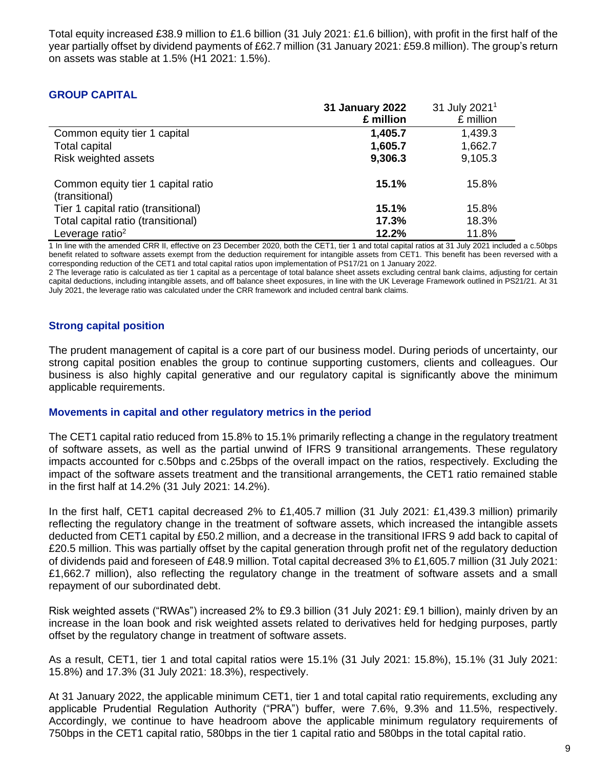Total equity increased £38.9 million to £1.6 billion (31 July 2021: £1.6 billion), with profit in the first half of the year partially offset by dividend payments of £62.7 million (31 January 2021: £59.8 million). The group's return on assets was stable at 1.5% (H1 2021: 1.5%).

### **GROUP CAPITAL**

|                                                      | <b>31 January 2022</b> | 31 July 2021 <sup>1</sup> |
|------------------------------------------------------|------------------------|---------------------------|
|                                                      | £ million              | £ million                 |
| Common equity tier 1 capital                         | 1,405.7                | 1,439.3                   |
| <b>Total capital</b>                                 | 1,605.7                | 1,662.7                   |
| Risk weighted assets                                 | 9,306.3                | 9,105.3                   |
| Common equity tier 1 capital ratio<br>(transitional) | 15.1%                  | 15.8%                     |
| Tier 1 capital ratio (transitional)                  | 15.1%                  | 15.8%                     |
| Total capital ratio (transitional)                   | 17.3%                  | 18.3%                     |
| Leverage ratio <sup>2</sup>                          | 12.2%                  | 11.8%                     |

1 In line with the amended CRR II, effective on 23 December 2020, both the CET1, tier 1 and total capital ratios at 31 July 2021 included a c.50bps benefit related to software assets exempt from the deduction requirement for intangible assets from CET1. This benefit has been reversed with a corresponding reduction of the CET1 and total capital ratios upon implementation of PS17/21 on 1 January 2022.

2 The leverage ratio is calculated as tier 1 capital as a percentage of total balance sheet assets excluding central bank claims, adjusting for certain capital deductions, including intangible assets, and off balance sheet exposures, in line with the UK Leverage Framework outlined in PS21/21. At 31 July 2021, the leverage ratio was calculated under the CRR framework and included central bank claims.

### **Strong capital position**

The prudent management of capital is a core part of our business model. During periods of uncertainty, our strong capital position enables the group to continue supporting customers, clients and colleagues. Our business is also highly capital generative and our regulatory capital is significantly above the minimum applicable requirements.

### **Movements in capital and other regulatory metrics in the period**

The CET1 capital ratio reduced from 15.8% to 15.1% primarily reflecting a change in the regulatory treatment of software assets, as well as the partial unwind of IFRS 9 transitional arrangements. These regulatory impacts accounted for c.50bps and c.25bps of the overall impact on the ratios, respectively. Excluding the impact of the software assets treatment and the transitional arrangements, the CET1 ratio remained stable in the first half at 14.2% (31 July 2021: 14.2%).

In the first half, CET1 capital decreased 2% to £1,405.7 million (31 July 2021: £1,439.3 million) primarily reflecting the regulatory change in the treatment of software assets, which increased the intangible assets deducted from CET1 capital by £50.2 million, and a decrease in the transitional IFRS 9 add back to capital of £20.5 million. This was partially offset by the capital generation through profit net of the regulatory deduction of dividends paid and foreseen of £48.9 million. Total capital decreased 3% to £1,605.7 million (31 July 2021: £1,662.7 million), also reflecting the regulatory change in the treatment of software assets and a small repayment of our subordinated debt.

Risk weighted assets ("RWAs") increased 2% to £9.3 billion (31 July 2021: £9.1 billion), mainly driven by an increase in the loan book and risk weighted assets related to derivatives held for hedging purposes, partly offset by the regulatory change in treatment of software assets.

As a result, CET1, tier 1 and total capital ratios were 15.1% (31 July 2021: 15.8%), 15.1% (31 July 2021: 15.8%) and 17.3% (31 July 2021: 18.3%), respectively.

At 31 January 2022, the applicable minimum CET1, tier 1 and total capital ratio requirements, excluding any applicable Prudential Regulation Authority ("PRA") buffer, were 7.6%, 9.3% and 11.5%, respectively. Accordingly, we continue to have headroom above the applicable minimum regulatory requirements of 750bps in the CET1 capital ratio, 580bps in the tier 1 capital ratio and 580bps in the total capital ratio.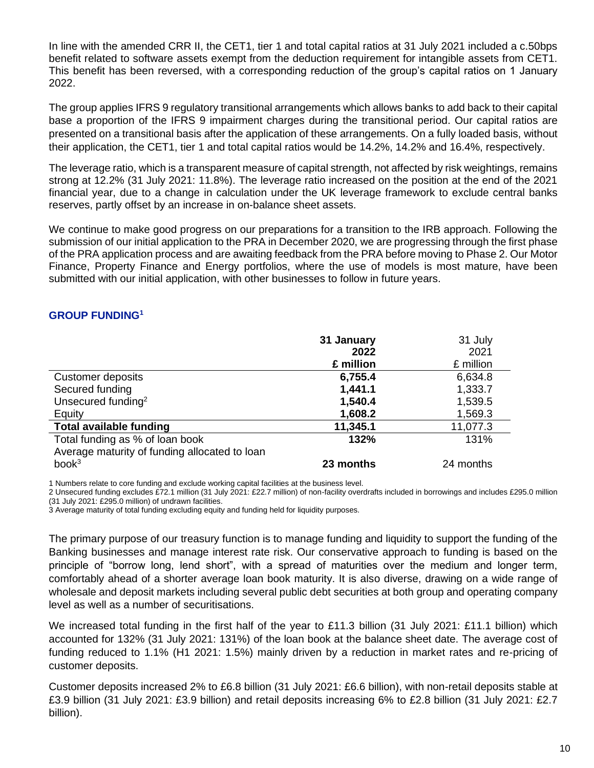In line with the amended CRR II, the CET1, tier 1 and total capital ratios at 31 July 2021 included a c.50bps benefit related to software assets exempt from the deduction requirement for intangible assets from CET1. This benefit has been reversed, with a corresponding reduction of the group's capital ratios on 1 January 2022.

The group applies IFRS 9 regulatory transitional arrangements which allows banks to add back to their capital base a proportion of the IFRS 9 impairment charges during the transitional period. Our capital ratios are presented on a transitional basis after the application of these arrangements. On a fully loaded basis, without their application, the CET1, tier 1 and total capital ratios would be 14.2%, 14.2% and 16.4%, respectively.

The leverage ratio, which is a transparent measure of capital strength, not affected by risk weightings, remains strong at 12.2% (31 July 2021: 11.8%). The leverage ratio increased on the position at the end of the 2021 financial year, due to a change in calculation under the UK leverage framework to exclude central banks reserves, partly offset by an increase in on-balance sheet assets.

We continue to make good progress on our preparations for a transition to the IRB approach. Following the submission of our initial application to the PRA in December 2020, we are progressing through the first phase of the PRA application process and are awaiting feedback from the PRA before moving to Phase 2. Our Motor Finance, Property Finance and Energy portfolios, where the use of models is most mature, have been submitted with our initial application, with other businesses to follow in future years.

# **GROUP FUNDING<sup>1</sup>**

|                                               | 31 January | 31 July   |
|-----------------------------------------------|------------|-----------|
|                                               | 2022       | 2021      |
|                                               | £ million  | £ million |
| Customer deposits                             | 6,755.4    | 6,634.8   |
| Secured funding                               | 1,441.1    | 1,333.7   |
| Unsecured funding <sup>2</sup>                | 1,540.4    | 1,539.5   |
| Equity                                        | 1,608.2    | 1,569.3   |
| <b>Total available funding</b>                | 11,345.1   | 11,077.3  |
| Total funding as % of loan book               | 132%       | 131%      |
| Average maturity of funding allocated to loan |            |           |
| book <sup>3</sup>                             | 23 months  | 24 months |

1 Numbers relate to core funding and exclude working capital facilities at the business level.

2 Unsecured funding excludes £72.1 million (31 July 2021: £22.7 million) of non-facility overdrafts included in borrowings and includes £295.0 million (31 July 2021: £295.0 million) of undrawn facilities.

3 Average maturity of total funding excluding equity and funding held for liquidity purposes.

The primary purpose of our treasury function is to manage funding and liquidity to support the funding of the Banking businesses and manage interest rate risk. Our conservative approach to funding is based on the principle of "borrow long, lend short", with a spread of maturities over the medium and longer term, comfortably ahead of a shorter average loan book maturity. It is also diverse, drawing on a wide range of wholesale and deposit markets including several public debt securities at both group and operating company level as well as a number of securitisations.

We increased total funding in the first half of the year to £11.3 billion (31 July 2021: £11.1 billion) which accounted for 132% (31 July 2021: 131%) of the loan book at the balance sheet date. The average cost of funding reduced to 1.1% (H1 2021: 1.5%) mainly driven by a reduction in market rates and re-pricing of customer deposits.

Customer deposits increased 2% to £6.8 billion (31 July 2021: £6.6 billion), with non-retail deposits stable at £3.9 billion (31 July 2021: £3.9 billion) and retail deposits increasing 6% to £2.8 billion (31 July 2021: £2.7 billion).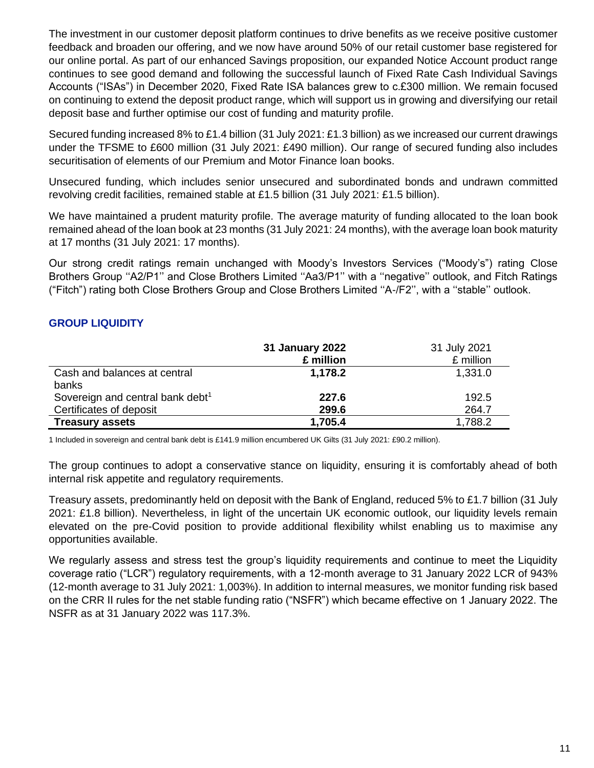The investment in our customer deposit platform continues to drive benefits as we receive positive customer feedback and broaden our offering, and we now have around 50% of our retail customer base registered for our online portal. As part of our enhanced Savings proposition, our expanded Notice Account product range continues to see good demand and following the successful launch of Fixed Rate Cash Individual Savings Accounts ("ISAs") in December 2020, Fixed Rate ISA balances grew to c.£300 million. We remain focused on continuing to extend the deposit product range, which will support us in growing and diversifying our retail deposit base and further optimise our cost of funding and maturity profile.

Secured funding increased 8% to £1.4 billion (31 July 2021: £1.3 billion) as we increased our current drawings under the TFSME to £600 million (31 July 2021: £490 million). Our range of secured funding also includes securitisation of elements of our Premium and Motor Finance loan books.

Unsecured funding, which includes senior unsecured and subordinated bonds and undrawn committed revolving credit facilities, remained stable at £1.5 billion (31 July 2021: £1.5 billion).

We have maintained a prudent maturity profile. The average maturity of funding allocated to the loan book remained ahead of the loan book at 23 months (31 July 2021: 24 months), with the average loan book maturity at 17 months (31 July 2021: 17 months).

Our strong credit ratings remain unchanged with Moody's Investors Services ("Moody's") rating Close Brothers Group ''A2/P1'' and Close Brothers Limited ''Aa3/P1'' with a ''negative'' outlook, and Fitch Ratings ("Fitch") rating both Close Brothers Group and Close Brothers Limited ''A-/F2'', with a ''stable'' outlook.

# **GROUP LIQUIDITY**

|                                              | 31 January 2022<br>£ million | 31 July 2021<br>£ million |
|----------------------------------------------|------------------------------|---------------------------|
| Cash and balances at central                 | 1,178.2                      | 1,331.0                   |
| banks                                        |                              |                           |
| Sovereign and central bank debt <sup>1</sup> | 227.6                        | 192.5                     |
| Certificates of deposit                      | 299.6                        | 264.7                     |
| <b>Treasury assets</b>                       | 1,705.4                      | 1,788.2                   |

1 Included in sovereign and central bank debt is £141.9 million encumbered UK Gilts (31 July 2021: £90.2 million).

The group continues to adopt a conservative stance on liquidity, ensuring it is comfortably ahead of both internal risk appetite and regulatory requirements.

Treasury assets, predominantly held on deposit with the Bank of England, reduced 5% to £1.7 billion (31 July 2021: £1.8 billion). Nevertheless, in light of the uncertain UK economic outlook, our liquidity levels remain elevated on the pre-Covid position to provide additional flexibility whilst enabling us to maximise any opportunities available.

We regularly assess and stress test the group's liquidity requirements and continue to meet the Liquidity coverage ratio ("LCR") regulatory requirements, with a 12-month average to 31 January 2022 LCR of 943% (12-month average to 31 July 2021: 1,003%). In addition to internal measures, we monitor funding risk based on the CRR II rules for the net stable funding ratio ("NSFR") which became effective on 1 January 2022. The NSFR as at 31 January 2022 was 117.3%.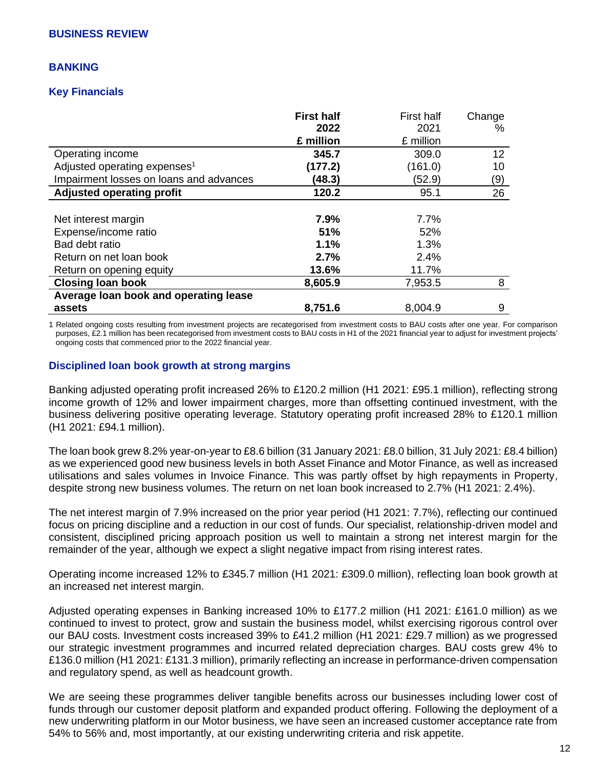### **BANKING**

### **Key Financials**

|                                                                                                                      | <b>First half</b><br>2022<br>£ million | First half<br>2021<br>£ million      | Change<br>%     |
|----------------------------------------------------------------------------------------------------------------------|----------------------------------------|--------------------------------------|-----------------|
| Operating income                                                                                                     | 345.7                                  | 309.0                                | 12 <sub>2</sub> |
| Adjusted operating expenses <sup>1</sup>                                                                             | (177.2)                                | (161.0)                              | 10              |
| Impairment losses on loans and advances                                                                              | (48.3)                                 | (52.9)                               | (9)             |
| <b>Adjusted operating profit</b>                                                                                     | 120.2                                  | 95.1                                 | 26              |
| Net interest margin<br>Expense/income ratio<br>Bad debt ratio<br>Return on net loan book<br>Return on opening equity | 7.9%<br>51%<br>1.1%<br>2.7%<br>13.6%   | 7.7%<br>52%<br>1.3%<br>2.4%<br>11.7% |                 |
| <b>Closing loan book</b>                                                                                             | 8,605.9                                | 7,953.5                              | 8               |
| Average loan book and operating lease                                                                                |                                        |                                      |                 |
| assets                                                                                                               | 8,751.6                                | 8,004.9                              | 9               |

1 Related ongoing costs resulting from investment projects are recategorised from investment costs to BAU costs after one year. For comparison purposes, £2.1 million has been recategorised from investment costs to BAU costs in H1 of the 2021 financial year to adjust for investment projects' ongoing costs that commenced prior to the 2022 financial year.

### **Disciplined loan book growth at strong margins**

Banking adjusted operating profit increased 26% to £120.2 million (H1 2021: £95.1 million), reflecting strong income growth of 12% and lower impairment charges, more than offsetting continued investment, with the business delivering positive operating leverage. Statutory operating profit increased 28% to £120.1 million (H1 2021: £94.1 million).

The loan book grew 8.2% year-on-year to £8.6 billion (31 January 2021: £8.0 billion, 31 July 2021: £8.4 billion) as we experienced good new business levels in both Asset Finance and Motor Finance, as well as increased utilisations and sales volumes in Invoice Finance. This was partly offset by high repayments in Property, despite strong new business volumes. The return on net loan book increased to 2.7% (H1 2021: 2.4%).

The net interest margin of 7.9% increased on the prior year period (H1 2021: 7.7%), reflecting our continued focus on pricing discipline and a reduction in our cost of funds. Our specialist, relationship-driven model and consistent, disciplined pricing approach position us well to maintain a strong net interest margin for the remainder of the year, although we expect a slight negative impact from rising interest rates.

Operating income increased 12% to £345.7 million (H1 2021: £309.0 million), reflecting loan book growth at an increased net interest margin.

Adjusted operating expenses in Banking increased 10% to £177.2 million (H1 2021: £161.0 million) as we continued to invest to protect, grow and sustain the business model, whilst exercising rigorous control over our BAU costs. Investment costs increased 39% to £41.2 million (H1 2021: £29.7 million) as we progressed our strategic investment programmes and incurred related depreciation charges. BAU costs grew 4% to £136.0 million (H1 2021: £131.3 million), primarily reflecting an increase in performance-driven compensation and regulatory spend, as well as headcount growth.

We are seeing these programmes deliver tangible benefits across our businesses including lower cost of funds through our customer deposit platform and expanded product offering. Following the deployment of a new underwriting platform in our Motor business, we have seen an increased customer acceptance rate from 54% to 56% and, most importantly, at our existing underwriting criteria and risk appetite.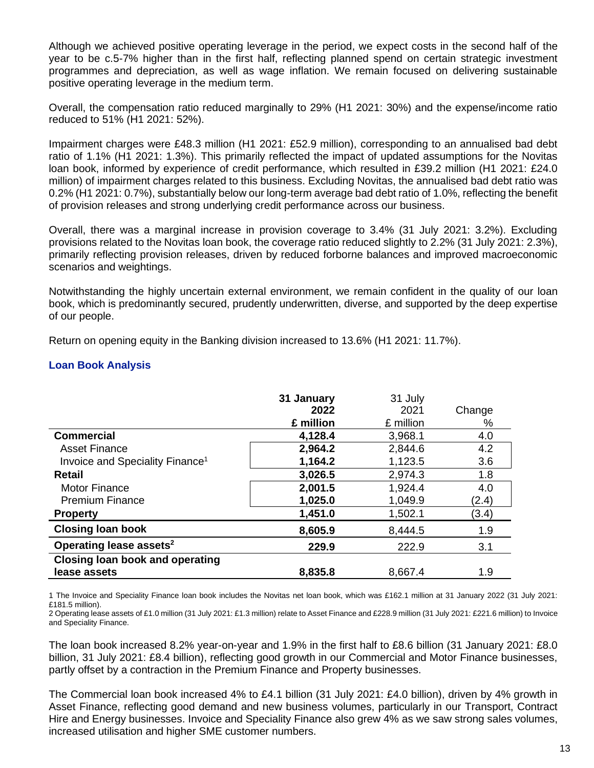Although we achieved positive operating leverage in the period, we expect costs in the second half of the year to be c.5-7% higher than in the first half, reflecting planned spend on certain strategic investment programmes and depreciation, as well as wage inflation. We remain focused on delivering sustainable positive operating leverage in the medium term.

Overall, the compensation ratio reduced marginally to 29% (H1 2021: 30%) and the expense/income ratio reduced to 51% (H1 2021: 52%).

Impairment charges were £48.3 million (H1 2021: £52.9 million), corresponding to an annualised bad debt ratio of 1.1% (H1 2021: 1.3%). This primarily reflected the impact of updated assumptions for the Novitas loan book, informed by experience of credit performance, which resulted in £39.2 million (H1 2021: £24.0 million) of impairment charges related to this business. Excluding Novitas, the annualised bad debt ratio was 0.2% (H1 2021: 0.7%), substantially below our long-term average bad debt ratio of 1.0%, reflecting the benefit of provision releases and strong underlying credit performance across our business.

Overall, there was a marginal increase in provision coverage to 3.4% (31 July 2021: 3.2%). Excluding provisions related to the Novitas loan book, the coverage ratio reduced slightly to 2.2% (31 July 2021: 2.3%), primarily reflecting provision releases, driven by reduced forborne balances and improved macroeconomic scenarios and weightings.

Notwithstanding the highly uncertain external environment, we remain confident in the quality of our loan book, which is predominantly secured, prudently underwritten, diverse, and supported by the deep expertise of our people.

Return on opening equity in the Banking division increased to 13.6% (H1 2021: 11.7%).

# **Loan Book Analysis**

|                                             | 31 January | 31 July   |        |
|---------------------------------------------|------------|-----------|--------|
|                                             | 2022       | 2021      | Change |
|                                             | £ million  | £ million | %      |
| <b>Commercial</b>                           | 4,128.4    | 3,968.1   | 4.0    |
| <b>Asset Finance</b>                        | 2,964.2    | 2,844.6   | 4.2    |
| Invoice and Speciality Finance <sup>1</sup> | 1,164.2    | 1,123.5   | 3.6    |
| <b>Retail</b>                               | 3,026.5    | 2,974.3   | 1.8    |
| <b>Motor Finance</b>                        | 2,001.5    | 1,924.4   | 4.0    |
| <b>Premium Finance</b>                      | 1,025.0    | 1,049.9   | (2.4)  |
| <b>Property</b>                             | 1,451.0    | 1,502.1   | (3.4)  |
| <b>Closing loan book</b>                    | 8,605.9    | 8,444.5   | 1.9    |
| Operating lease assets <sup>2</sup>         | 229.9      | 222.9     | 3.1    |
| <b>Closing loan book and operating</b>      |            |           |        |
| lease assets                                | 8,835.8    | 8,667.4   | 1.9    |

1 The Invoice and Speciality Finance loan book includes the Novitas net loan book, which was £162.1 million at 31 January 2022 (31 July 2021: £181.5 million).

2 Operating lease assets of £1.0 million (31 July 2021: £1.3 million) relate to Asset Finance and £228.9 million (31 July 2021: £221.6 million) to Invoice and Speciality Finance.

The loan book increased 8.2% year-on-year and 1.9% in the first half to £8.6 billion (31 January 2021: £8.0 billion, 31 July 2021: £8.4 billion), reflecting good growth in our Commercial and Motor Finance businesses, partly offset by a contraction in the Premium Finance and Property businesses.

The Commercial loan book increased 4% to £4.1 billion (31 July 2021: £4.0 billion), driven by 4% growth in Asset Finance, reflecting good demand and new business volumes, particularly in our Transport, Contract Hire and Energy businesses. Invoice and Speciality Finance also grew 4% as we saw strong sales volumes, increased utilisation and higher SME customer numbers.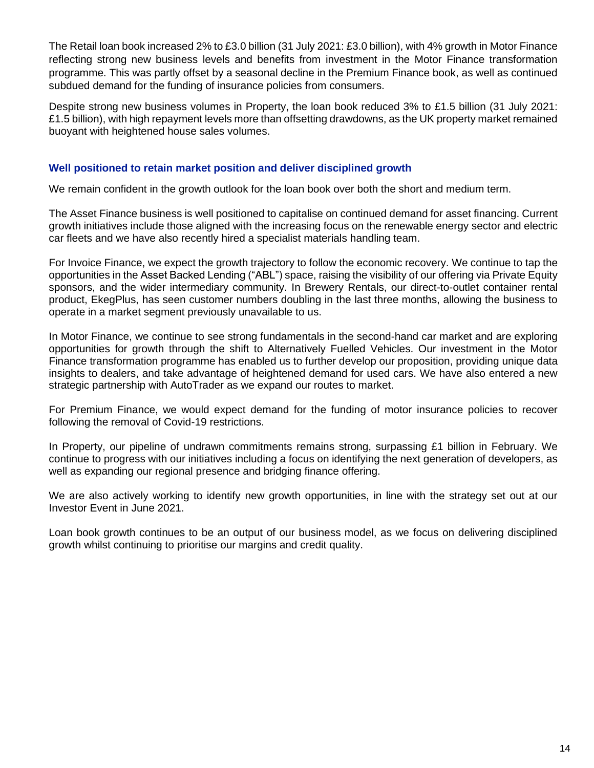The Retail loan book increased 2% to £3.0 billion (31 July 2021: £3.0 billion), with 4% growth in Motor Finance reflecting strong new business levels and benefits from investment in the Motor Finance transformation programme. This was partly offset by a seasonal decline in the Premium Finance book, as well as continued subdued demand for the funding of insurance policies from consumers.

Despite strong new business volumes in Property, the loan book reduced 3% to £1.5 billion (31 July 2021: £1.5 billion), with high repayment levels more than offsetting drawdowns, as the UK property market remained buoyant with heightened house sales volumes.

# **Well positioned to retain market position and deliver disciplined growth**

We remain confident in the growth outlook for the loan book over both the short and medium term.

The Asset Finance business is well positioned to capitalise on continued demand for asset financing. Current growth initiatives include those aligned with the increasing focus on the renewable energy sector and electric car fleets and we have also recently hired a specialist materials handling team.

For Invoice Finance, we expect the growth trajectory to follow the economic recovery. We continue to tap the opportunities in the Asset Backed Lending ("ABL") space, raising the visibility of our offering via Private Equity sponsors, and the wider intermediary community. In Brewery Rentals, our direct-to-outlet container rental product, EkegPlus, has seen customer numbers doubling in the last three months, allowing the business to operate in a market segment previously unavailable to us.

In Motor Finance, we continue to see strong fundamentals in the second-hand car market and are exploring opportunities for growth through the shift to Alternatively Fuelled Vehicles. Our investment in the Motor Finance transformation programme has enabled us to further develop our proposition, providing unique data insights to dealers, and take advantage of heightened demand for used cars. We have also entered a new strategic partnership with AutoTrader as we expand our routes to market.

For Premium Finance, we would expect demand for the funding of motor insurance policies to recover following the removal of Covid-19 restrictions.

In Property, our pipeline of undrawn commitments remains strong, surpassing £1 billion in February. We continue to progress with our initiatives including a focus on identifying the next generation of developers, as well as expanding our regional presence and bridging finance offering.

We are also actively working to identify new growth opportunities, in line with the strategy set out at our Investor Event in June 2021.

Loan book growth continues to be an output of our business model, as we focus on delivering disciplined growth whilst continuing to prioritise our margins and credit quality.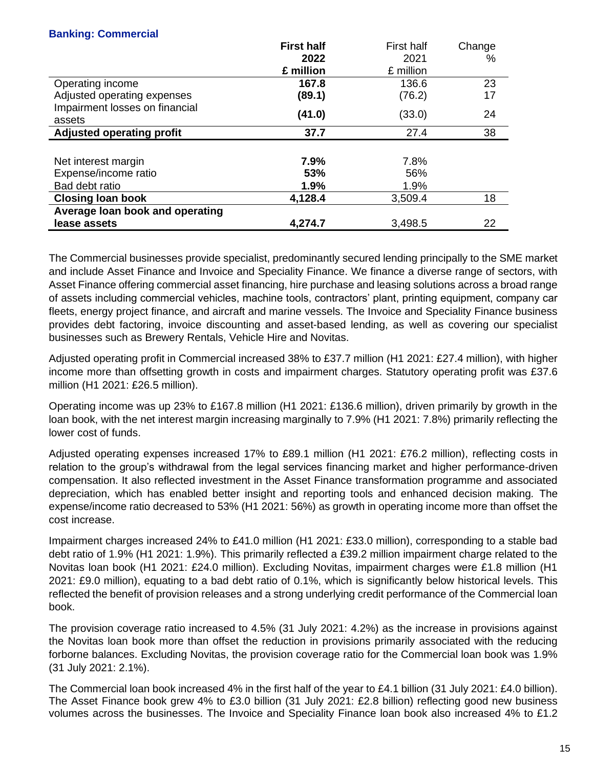# **Banking: Commercial**

|                                  | <b>First half</b> | First half | Change |
|----------------------------------|-------------------|------------|--------|
|                                  | 2022              | 2021       | %      |
|                                  | £ million         | £ million  |        |
| Operating income                 | 167.8             | 136.6      | 23     |
| Adjusted operating expenses      | (89.1)            | (76.2)     | 17     |
| Impairment losses on financial   | (41.0)            | (33.0)     | 24     |
| assets                           |                   |            |        |
| <b>Adjusted operating profit</b> | 37.7              | 27.4       | 38     |
|                                  |                   |            |        |
| Net interest margin              | 7.9%              | 7.8%       |        |
| Expense/income ratio             | 53%               | 56%        |        |
| Bad debt ratio                   | 1.9%              | 1.9%       |        |
| <b>Closing loan book</b>         | 4,128.4           | 3,509.4    | 18     |
| Average loan book and operating  |                   |            |        |
| lease assets                     | 4,274.7           | 3,498.5    | 22     |

The Commercial businesses provide specialist, predominantly secured lending principally to the SME market and include Asset Finance and Invoice and Speciality Finance. We finance a diverse range of sectors, with Asset Finance offering commercial asset financing, hire purchase and leasing solutions across a broad range of assets including commercial vehicles, machine tools, contractors' plant, printing equipment, company car fleets, energy project finance, and aircraft and marine vessels. The Invoice and Speciality Finance business provides debt factoring, invoice discounting and asset-based lending, as well as covering our specialist businesses such as Brewery Rentals, Vehicle Hire and Novitas.

Adjusted operating profit in Commercial increased 38% to £37.7 million (H1 2021: £27.4 million), with higher income more than offsetting growth in costs and impairment charges. Statutory operating profit was £37.6 million (H1 2021: £26.5 million).

Operating income was up 23% to £167.8 million (H1 2021: £136.6 million), driven primarily by growth in the loan book, with the net interest margin increasing marginally to 7.9% (H1 2021: 7.8%) primarily reflecting the lower cost of funds.

Adjusted operating expenses increased 17% to £89.1 million (H1 2021: £76.2 million), reflecting costs in relation to the group's withdrawal from the legal services financing market and higher performance-driven compensation. It also reflected investment in the Asset Finance transformation programme and associated depreciation, which has enabled better insight and reporting tools and enhanced decision making*.* The expense/income ratio decreased to 53% (H1 2021: 56%) as growth in operating income more than offset the cost increase.

Impairment charges increased 24% to £41.0 million (H1 2021: £33.0 million), corresponding to a stable bad debt ratio of 1.9% (H1 2021: 1.9%). This primarily reflected a £39.2 million impairment charge related to the Novitas loan book (H1 2021: £24.0 million). Excluding Novitas, impairment charges were £1.8 million (H1 2021: £9.0 million), equating to a bad debt ratio of 0.1%, which is significantly below historical levels. This reflected the benefit of provision releases and a strong underlying credit performance of the Commercial loan book.

The provision coverage ratio increased to 4.5% (31 July 2021: 4.2%) as the increase in provisions against the Novitas loan book more than offset the reduction in provisions primarily associated with the reducing forborne balances. Excluding Novitas, the provision coverage ratio for the Commercial loan book was 1.9% (31 July 2021: 2.1%).

The Commercial loan book increased 4% in the first half of the year to £4.1 billion (31 July 2021: £4.0 billion). The Asset Finance book grew 4% to £3.0 billion (31 July 2021: £2.8 billion) reflecting good new business volumes across the businesses. The Invoice and Speciality Finance loan book also increased 4% to £1.2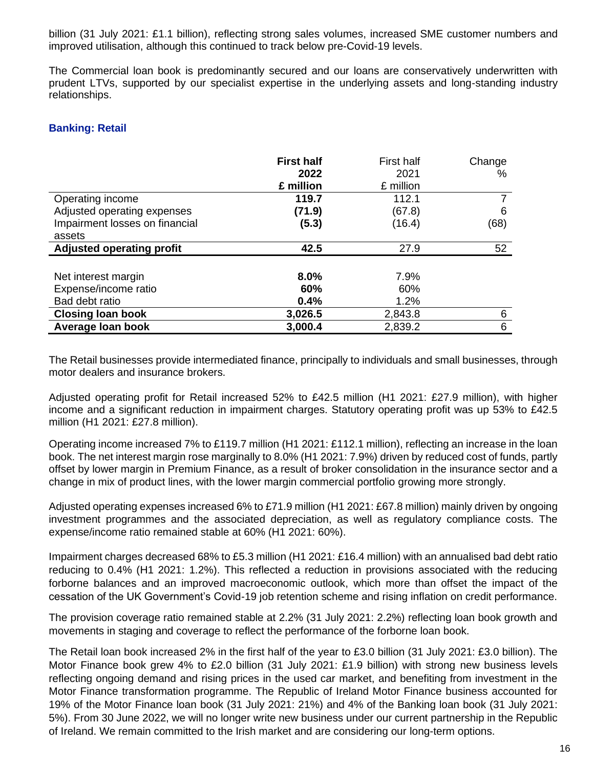billion (31 July 2021: £1.1 billion), reflecting strong sales volumes, increased SME customer numbers and improved utilisation, although this continued to track below pre-Covid-19 levels.

The Commercial loan book is predominantly secured and our loans are conservatively underwritten with prudent LTVs, supported by our specialist expertise in the underlying assets and long-standing industry relationships.

### **Banking: Retail**

|                                  | <b>First half</b> | <b>First half</b> | Change |
|----------------------------------|-------------------|-------------------|--------|
|                                  | 2022              | 2021              | ℅      |
|                                  | £ million         | £ million         |        |
| Operating income                 | 119.7             | 112.1             |        |
| Adjusted operating expenses      | (71.9)            | (67.8)            | 6      |
| Impairment losses on financial   | (5.3)             | (16.4)            | (68)   |
| assets                           |                   |                   |        |
| <b>Adjusted operating profit</b> | 42.5              | 27.9              | 52     |
|                                  |                   |                   |        |
| Net interest margin              | 8.0%              | 7.9%              |        |
| Expense/income ratio             | 60%               | 60%               |        |
| Bad debt ratio                   | 0.4%              | 1.2%              |        |
| <b>Closing loan book</b>         | 3,026.5           | 2,843.8           | 6      |
| Average loan book                | 3,000.4           | 2,839.2           | 6      |

The Retail businesses provide intermediated finance, principally to individuals and small businesses, through motor dealers and insurance brokers.

Adjusted operating profit for Retail increased 52% to £42.5 million (H1 2021: £27.9 million), with higher income and a significant reduction in impairment charges. Statutory operating profit was up 53% to £42.5 million (H1 2021: £27.8 million).

Operating income increased 7% to £119.7 million (H1 2021: £112.1 million), reflecting an increase in the loan book. The net interest margin rose marginally to 8.0% (H1 2021: 7.9%) driven by reduced cost of funds, partly offset by lower margin in Premium Finance, as a result of broker consolidation in the insurance sector and a change in mix of product lines, with the lower margin commercial portfolio growing more strongly.

Adjusted operating expenses increased 6% to £71.9 million (H1 2021: £67.8 million) mainly driven by ongoing investment programmes and the associated depreciation, as well as regulatory compliance costs. The expense/income ratio remained stable at 60% (H1 2021: 60%).

Impairment charges decreased 68% to £5.3 million (H1 2021: £16.4 million) with an annualised bad debt ratio reducing to 0.4% (H1 2021: 1.2%). This reflected a reduction in provisions associated with the reducing forborne balances and an improved macroeconomic outlook, which more than offset the impact of the cessation of the UK Government's Covid-19 job retention scheme and rising inflation on credit performance.

The provision coverage ratio remained stable at 2.2% (31 July 2021: 2.2%) reflecting loan book growth and movements in staging and coverage to reflect the performance of the forborne loan book.

The Retail loan book increased 2% in the first half of the year to £3.0 billion (31 July 2021: £3.0 billion). The Motor Finance book grew 4% to £2.0 billion (31 July 2021: £1.9 billion) with strong new business levels reflecting ongoing demand and rising prices in the used car market, and benefiting from investment in the Motor Finance transformation programme. The Republic of Ireland Motor Finance business accounted for 19% of the Motor Finance loan book (31 July 2021: 21%) and 4% of the Banking loan book (31 July 2021: 5%). From 30 June 2022, we will no longer write new business under our current partnership in the Republic of Ireland. We remain committed to the Irish market and are considering our long-term options.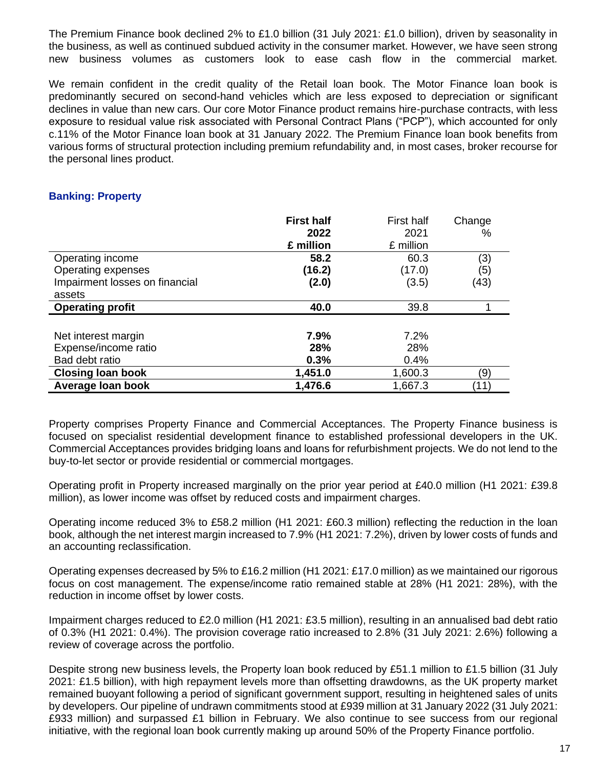The Premium Finance book declined 2% to £1.0 billion (31 July 2021: £1.0 billion), driven by seasonality in the business, as well as continued subdued activity in the consumer market. However, we have seen strong new business volumes as customers look to ease cash flow in the commercial market.

We remain confident in the credit quality of the Retail loan book. The Motor Finance loan book is predominantly secured on second-hand vehicles which are less exposed to depreciation or significant declines in value than new cars. Our core Motor Finance product remains hire-purchase contracts, with less exposure to residual value risk associated with Personal Contract Plans ("PCP"), which accounted for only c.11% of the Motor Finance loan book at 31 January 2022. The Premium Finance loan book benefits from various forms of structural protection including premium refundability and, in most cases, broker recourse for the personal lines product.

### **Banking: Property**

|                                | <b>First half</b> | <b>First half</b> | Change |
|--------------------------------|-------------------|-------------------|--------|
|                                | 2022              | 2021              | ℅      |
|                                | £ million         | £ million         |        |
| Operating income               | 58.2              | 60.3              | (3)    |
| Operating expenses             | (16.2)            | (17.0)            | (5)    |
| Impairment losses on financial | (2.0)             | (3.5)             | (43)   |
| assets                         |                   |                   |        |
| <b>Operating profit</b>        | 40.0              | 39.8              |        |
|                                |                   |                   |        |
| Net interest margin            | 7.9%              | 7.2%              |        |
| Expense/income ratio           | 28%               | 28%               |        |
| Bad debt ratio                 | 0.3%              | 0.4%              |        |
| <b>Closing loan book</b>       | 1,451.0           | 1,600.3           | (9)    |
| Average Ioan book              | 1,476.6           | 1,667.3           | (11)   |

Property comprises Property Finance and Commercial Acceptances. The Property Finance business is focused on specialist residential development finance to established professional developers in the UK. Commercial Acceptances provides bridging loans and loans for refurbishment projects. We do not lend to the buy-to-let sector or provide residential or commercial mortgages.

Operating profit in Property increased marginally on the prior year period at £40.0 million (H1 2021: £39.8 million), as lower income was offset by reduced costs and impairment charges.

Operating income reduced 3% to £58.2 million (H1 2021: £60.3 million) reflecting the reduction in the loan book, although the net interest margin increased to 7.9% (H1 2021: 7.2%), driven by lower costs of funds and an accounting reclassification.

Operating expenses decreased by 5% to £16.2 million (H1 2021: £17.0 million) as we maintained our rigorous focus on cost management. The expense/income ratio remained stable at 28% (H1 2021: 28%), with the reduction in income offset by lower costs.

Impairment charges reduced to £2.0 million (H1 2021: £3.5 million), resulting in an annualised bad debt ratio of 0.3% (H1 2021: 0.4%). The provision coverage ratio increased to 2.8% (31 July 2021: 2.6%) following a review of coverage across the portfolio.

Despite strong new business levels, the Property loan book reduced by £51.1 million to £1.5 billion (31 July 2021: £1.5 billion), with high repayment levels more than offsetting drawdowns, as the UK property market remained buoyant following a period of significant government support, resulting in heightened sales of units by developers. Our pipeline of undrawn commitments stood at £939 million at 31 January 2022 (31 July 2021: £933 million) and surpassed £1 billion in February. We also continue to see success from our regional initiative, with the regional loan book currently making up around 50% of the Property Finance portfolio.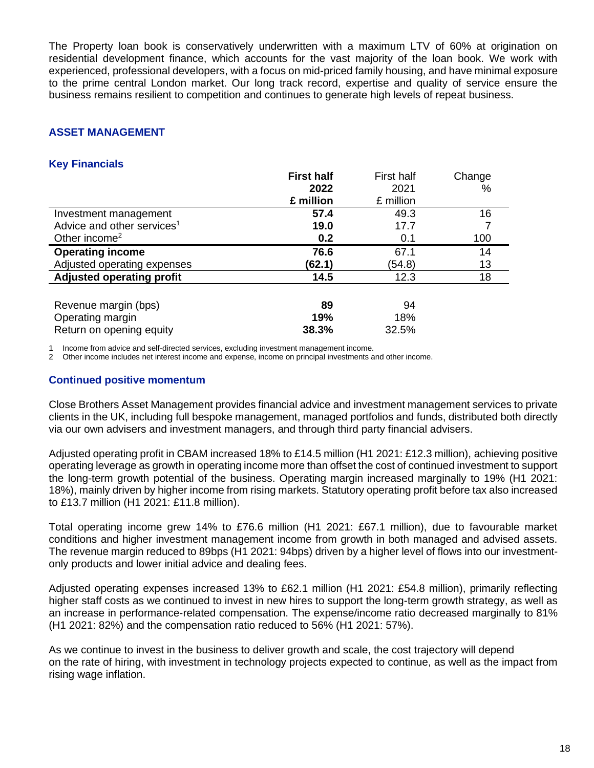The Property loan book is conservatively underwritten with a maximum LTV of 60% at origination on residential development finance, which accounts for the vast majority of the loan book. We work with experienced, professional developers, with a focus on mid-priced family housing, and have minimal exposure to the prime central London market. Our long track record, expertise and quality of service ensure the business remains resilient to competition and continues to generate high levels of repeat business.

# **ASSET MANAGEMENT**

# **Key Financials**

|                                        | <b>First half</b> | First half | Change |
|----------------------------------------|-------------------|------------|--------|
|                                        | 2022              | 2021       | %      |
|                                        | £ million         | £ million  |        |
| Investment management                  | 57.4              | 49.3       | 16     |
| Advice and other services <sup>1</sup> | 19.0              | 17.7       |        |
| Other income <sup>2</sup>              | 0.2               | 0.1        | 100    |
| <b>Operating income</b>                | 76.6              | 67.1       | 14     |
| Adjusted operating expenses            | (62.1)            | (54.8)     | 13     |
| <b>Adjusted operating profit</b>       | 14.5              | 12.3       | 18     |
|                                        |                   |            |        |
| Revenue margin (bps)                   | 89                | 94         |        |
| Operating margin                       | 19%               | 18%        |        |
| Return on opening equity               | 38.3%             | 32.5%      |        |

1 Income from advice and self-directed services, excluding investment management income.

2 Other income includes net interest income and expense, income on principal investments and other income.

### **Continued positive momentum**

Close Brothers Asset Management provides financial advice and investment management services to private clients in the UK, including full bespoke management, managed portfolios and funds, distributed both directly via our own advisers and investment managers, and through third party financial advisers.

Adjusted operating profit in CBAM increased 18% to £14.5 million (H1 2021: £12.3 million), achieving positive operating leverage as growth in operating income more than offset the cost of continued investment to support the long-term growth potential of the business. Operating margin increased marginally to 19% (H1 2021: 18%), mainly driven by higher income from rising markets. Statutory operating profit before tax also increased to £13.7 million (H1 2021: £11.8 million).

Total operating income grew 14% to £76.6 million (H1 2021: £67.1 million), due to favourable market conditions and higher investment management income from growth in both managed and advised assets. The revenue margin reduced to 89bps (H1 2021: 94bps) driven by a higher level of flows into our investmentonly products and lower initial advice and dealing fees.

Adjusted operating expenses increased 13% to £62.1 million (H1 2021: £54.8 million), primarily reflecting higher staff costs as we continued to invest in new hires to support the long-term growth strategy, as well as an increase in performance-related compensation. The expense/income ratio decreased marginally to 81% (H1 2021: 82%) and the compensation ratio reduced to 56% (H1 2021: 57%).

As we continue to invest in the business to deliver growth and scale, the cost trajectory will depend on the rate of hiring, with investment in technology projects expected to continue, as well as the impact from rising wage inflation.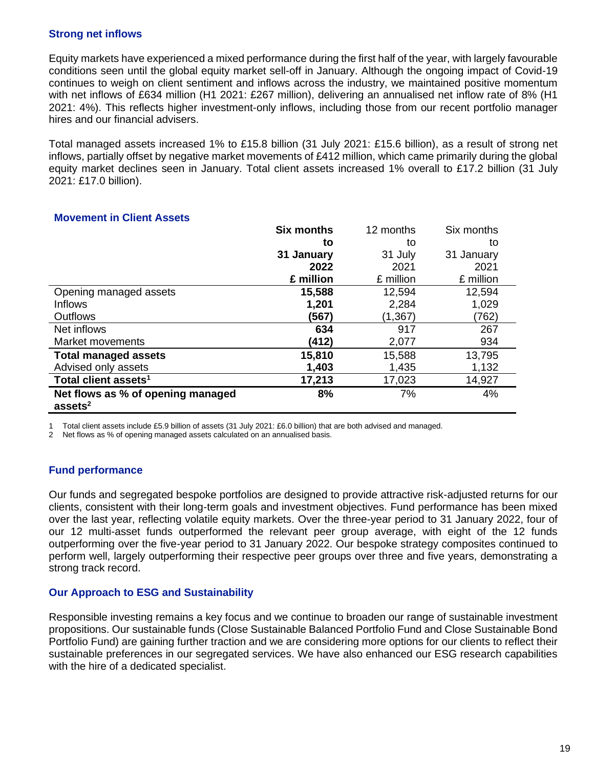# **Strong net inflows**

Equity markets have experienced a mixed performance during the first half of the year, with largely favourable conditions seen until the global equity market sell-off in January. Although the ongoing impact of Covid-19 continues to weigh on client sentiment and inflows across the industry, we maintained positive momentum with net inflows of £634 million (H1 2021: £267 million), delivering an annualised net inflow rate of 8% (H1 2021: 4%). This reflects higher investment-only inflows, including those from our recent portfolio manager hires and our financial advisers.

Total managed assets increased 1% to £15.8 billion (31 July 2021: £15.6 billion), as a result of strong net inflows, partially offset by negative market movements of £412 million, which came primarily during the global equity market declines seen in January. Total client assets increased 1% overall to £17.2 billion (31 July 2021: £17.0 billion).

|                                                          | <b>Six months</b> | 12 months | Six months |
|----------------------------------------------------------|-------------------|-----------|------------|
|                                                          | to                | to        | to         |
|                                                          | 31 January        | 31 July   | 31 January |
|                                                          | 2022              | 2021      | 2021       |
|                                                          | £ million         | £ million | £ million  |
| Opening managed assets                                   | 15,588            | 12,594    | 12,594     |
| <b>Inflows</b>                                           | 1,201             | 2,284     | 1,029      |
| <b>Outflows</b>                                          | (567)             | (1, 367)  | (762)      |
| Net inflows                                              | 634               | 917       | 267        |
| <b>Market movements</b>                                  | (412)             | 2,077     | 934        |
| <b>Total managed assets</b>                              | 15,810            | 15,588    | 13,795     |
| Advised only assets                                      | 1,403             | 1,435     | 1,132      |
| Total client assets <sup>1</sup>                         | 17,213            | 17,023    | 14,927     |
| Net flows as % of opening managed<br>assets <sup>2</sup> | 8%                | 7%        | 4%         |

### **Movement in Client Assets**

1 Total client assets include £5.9 billion of assets (31 July 2021: £6.0 billion) that are both advised and managed.

Net flows as % of opening managed assets calculated on an annualised basis.

# **Fund performance**

Our funds and segregated bespoke portfolios are designed to provide attractive risk-adjusted returns for our clients, consistent with their long-term goals and investment objectives. Fund performance has been mixed over the last year, reflecting volatile equity markets. Over the three-year period to 31 January 2022, four of our 12 multi-asset funds outperformed the relevant peer group average, with eight of the 12 funds outperforming over the five-year period to 31 January 2022. Our bespoke strategy composites continued to perform well, largely outperforming their respective peer groups over three and five years, demonstrating a strong track record.

### **Our Approach to ESG and Sustainability**

Responsible investing remains a key focus and we continue to broaden our range of sustainable investment propositions. Our sustainable funds (Close Sustainable Balanced Portfolio Fund and Close Sustainable Bond Portfolio Fund) are gaining further traction and we are considering more options for our clients to reflect their sustainable preferences in our segregated services. We have also enhanced our ESG research capabilities with the hire of a dedicated specialist.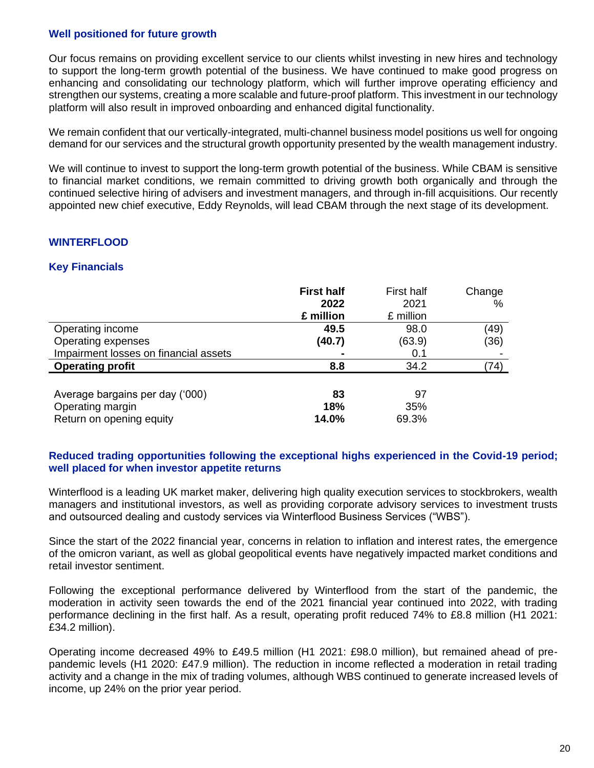# **Well positioned for future growth**

Our focus remains on providing excellent service to our clients whilst investing in new hires and technology to support the long-term growth potential of the business. We have continued to make good progress on enhancing and consolidating our technology platform, which will further improve operating efficiency and strengthen our systems, creating a more scalable and future-proof platform. This investment in our technology platform will also result in improved onboarding and enhanced digital functionality.

We remain confident that our vertically-integrated, multi-channel business model positions us well for ongoing demand for our services and the structural growth opportunity presented by the wealth management industry.

We will continue to invest to support the long-term growth potential of the business. While CBAM is sensitive to financial market conditions, we remain committed to driving growth both organically and through the continued selective hiring of advisers and investment managers, and through in-fill acquisitions. Our recently appointed new chief executive, Eddy Reynolds, will lead CBAM through the next stage of its development.

# **WINTERFLOOD**

# **Key Financials**

|                                       | <b>First half</b><br>2022 | First half<br>2021 | Change<br>℅ |
|---------------------------------------|---------------------------|--------------------|-------------|
|                                       | £ million                 | £ million          |             |
| Operating income                      | 49.5                      | 98.0               | (49)        |
| Operating expenses                    | (40.7)                    | (63.9)             | (36)        |
| Impairment losses on financial assets |                           | 0.1                |             |
| <b>Operating profit</b>               | 8.8                       | 34.2               | (74)        |
|                                       |                           |                    |             |
| Average bargains per day ('000)       | 83                        | 97                 |             |
| Operating margin                      | 18%                       | 35%                |             |
| Return on opening equity              | 14.0%                     | 69.3%              |             |

### **Reduced trading opportunities following the exceptional highs experienced in the Covid-19 period; well placed for when investor appetite returns**

Winterflood is a leading UK market maker, delivering high quality execution services to stockbrokers, wealth managers and institutional investors, as well as providing corporate advisory services to investment trusts and outsourced dealing and custody services via Winterflood Business Services ("WBS").

Since the start of the 2022 financial year, concerns in relation to inflation and interest rates, the emergence of the omicron variant, as well as global geopolitical events have negatively impacted market conditions and retail investor sentiment.

Following the exceptional performance delivered by Winterflood from the start of the pandemic, the moderation in activity seen towards the end of the 2021 financial year continued into 2022, with trading performance declining in the first half. As a result, operating profit reduced 74% to £8.8 million (H1 2021: £34.2 million).

Operating income decreased 49% to £49.5 million (H1 2021: £98.0 million), but remained ahead of prepandemic levels (H1 2020: £47.9 million). The reduction in income reflected a moderation in retail trading activity and a change in the mix of trading volumes, although WBS continued to generate increased levels of income, up 24% on the prior year period.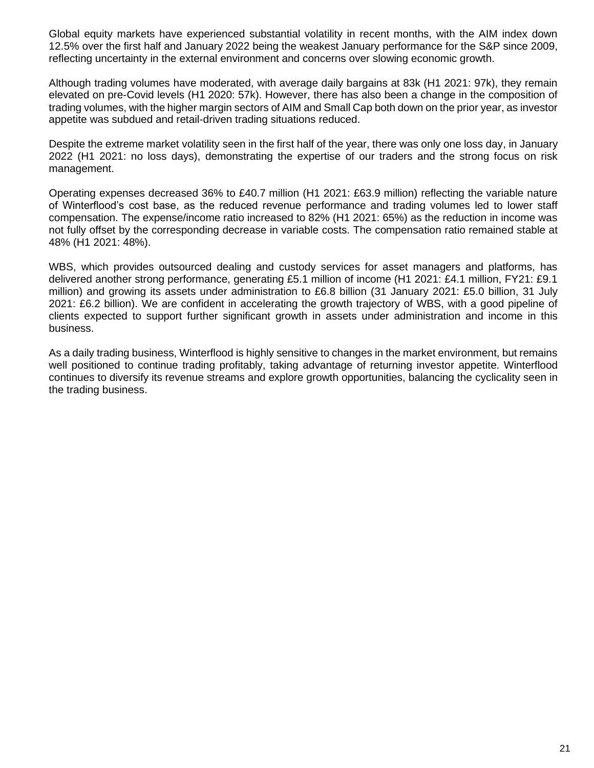Global equity markets have experienced substantial volatility in recent months, with the AIM index down 12.5% over the first half and January 2022 being the weakest January performance for the S&P since 2009, reflecting uncertainty in the external environment and concerns over slowing economic growth.

Although trading volumes have moderated, with average daily bargains at 83k (H1 2021: 97k), they remain elevated on pre-Covid levels (H1 2020: 57k). However, there has also been a change in the composition of trading volumes, with the higher margin sectors of AIM and Small Cap both down on the prior year, as investor appetite was subdued and retail-driven trading situations reduced.

Despite the extreme market volatility seen in the first half of the year, there was only one loss day, in January 2022 (H1 2021: no loss days), demonstrating the expertise of our traders and the strong focus on risk management.

Operating expenses decreased 36% to £40.7 million (H1 2021: £63.9 million) reflecting the variable nature of Winterflood's cost base, as the reduced revenue performance and trading volumes led to lower staff compensation. The expense/income ratio increased to 82% (H1 2021: 65%) as the reduction in income was not fully offset by the corresponding decrease in variable costs. The compensation ratio remained stable at 48% (H1 2021: 48%).

WBS, which provides outsourced dealing and custody services for asset managers and platforms, has delivered another strong performance, generating £5.1 million of income (H1 2021: £4.1 million, FY21: £9.1 million) and growing its assets under administration to £6.8 billion (31 January 2021: £5.0 billion, 31 July 2021: £6.2 billion). We are confident in accelerating the growth trajectory of WBS, with a good pipeline of clients expected to support further significant growth in assets under administration and income in this business.

As a daily trading business, Winterflood is highly sensitive to changes in the market environment, but remains well positioned to continue trading profitably, taking advantage of returning investor appetite. Winterflood continues to diversify its revenue streams and explore growth opportunities, balancing the cyclicality seen in the trading business.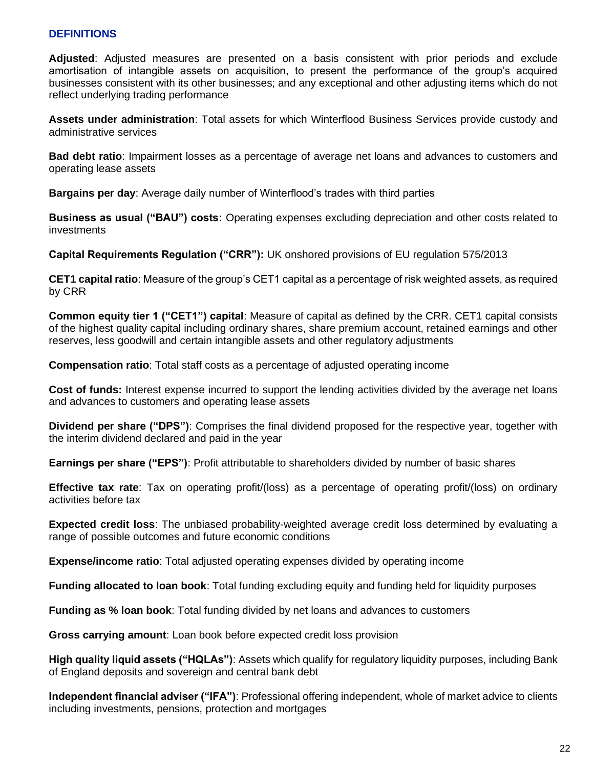# **DEFINITIONS**

**Adjusted**: Adjusted measures are presented on a basis consistent with prior periods and exclude amortisation of intangible assets on acquisition, to present the performance of the group's acquired businesses consistent with its other businesses; and any exceptional and other adjusting items which do not reflect underlying trading performance

**Assets under administration**: Total assets for which Winterflood Business Services provide custody and administrative services

**Bad debt ratio**: Impairment losses as a percentage of average net loans and advances to customers and operating lease assets

**Bargains per day**: Average daily number of Winterflood's trades with third parties

**Business as usual ("BAU") costs:** Operating expenses excluding depreciation and other costs related to investments

**Capital Requirements Regulation ("CRR"):** UK onshored provisions of EU regulation 575/2013

**CET1 capital ratio**: Measure of the group's CET1 capital as a percentage of risk weighted assets, as required by CRR

**Common equity tier 1 ("CET1") capital**: Measure of capital as defined by the CRR. CET1 capital consists of the highest quality capital including ordinary shares, share premium account, retained earnings and other reserves, less goodwill and certain intangible assets and other regulatory adjustments

**Compensation ratio**: Total staff costs as a percentage of adjusted operating income

**Cost of funds:** Interest expense incurred to support the lending activities divided by the average net loans and advances to customers and operating lease assets

**Dividend per share ("DPS")**: Comprises the final dividend proposed for the respective year, together with the interim dividend declared and paid in the year

**Earnings per share ("EPS")**: Profit attributable to shareholders divided by number of basic shares

**Effective tax rate**: Tax on operating profit/(loss) as a percentage of operating profit/(loss) on ordinary activities before tax

**Expected credit loss**: The unbiased probability-weighted average credit loss determined by evaluating a range of possible outcomes and future economic conditions

**Expense/income ratio**: Total adjusted operating expenses divided by operating income

**Funding allocated to loan book**: Total funding excluding equity and funding held for liquidity purposes

**Funding as % loan book**: Total funding divided by net loans and advances to customers

**Gross carrying amount**: Loan book before expected credit loss provision

**High quality liquid assets ("HQLAs")**: Assets which qualify for regulatory liquidity purposes, including Bank of England deposits and sovereign and central bank debt

**Independent financial adviser ("IFA")**: Professional offering independent, whole of market advice to clients including investments, pensions, protection and mortgages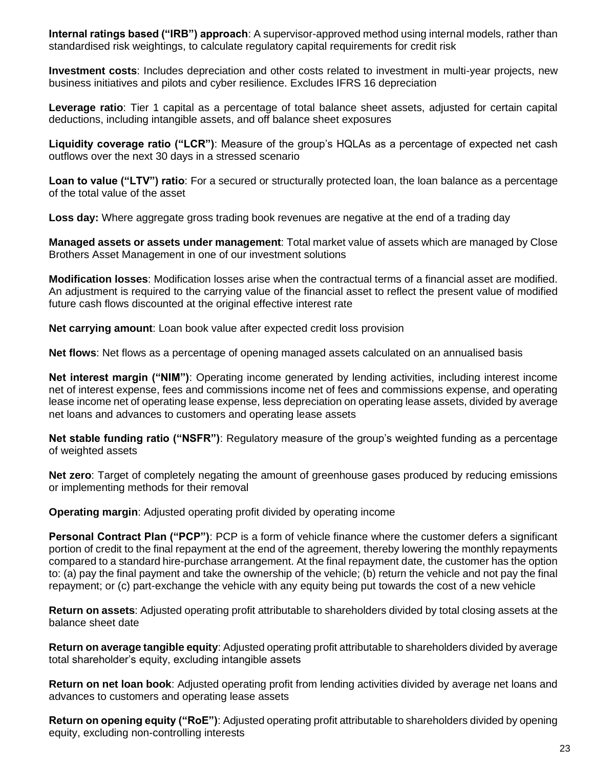**Internal ratings based ("IRB") approach**: A supervisor-approved method using internal models, rather than standardised risk weightings, to calculate regulatory capital requirements for credit risk

**Investment costs**: Includes depreciation and other costs related to investment in multi-year projects, new business initiatives and pilots and cyber resilience. Excludes IFRS 16 depreciation

**Leverage ratio**: Tier 1 capital as a percentage of total balance sheet assets, adjusted for certain capital deductions, including intangible assets, and off balance sheet exposures

**Liquidity coverage ratio ("LCR")**: Measure of the group's HQLAs as a percentage of expected net cash outflows over the next 30 days in a stressed scenario

**Loan to value ("LTV") ratio**: For a secured or structurally protected loan, the loan balance as a percentage of the total value of the asset

**Loss day:** Where aggregate gross trading book revenues are negative at the end of a trading day

**Managed assets or assets under management**: Total market value of assets which are managed by Close Brothers Asset Management in one of our investment solutions

**Modification losses**: Modification losses arise when the contractual terms of a financial asset are modified. An adjustment is required to the carrying value of the financial asset to reflect the present value of modified future cash flows discounted at the original effective interest rate

**Net carrying amount**: Loan book value after expected credit loss provision

**Net flows**: Net flows as a percentage of opening managed assets calculated on an annualised basis

**Net interest margin ("NIM")**: Operating income generated by lending activities, including interest income net of interest expense, fees and commissions income net of fees and commissions expense, and operating lease income net of operating lease expense, less depreciation on operating lease assets, divided by average net loans and advances to customers and operating lease assets

**Net stable funding ratio ("NSFR")**: Regulatory measure of the group's weighted funding as a percentage of weighted assets

**Net zero**: Target of completely negating the amount of greenhouse gases produced by reducing emissions or implementing methods for their removal

**Operating margin**: Adjusted operating profit divided by operating income

**Personal Contract Plan ("PCP")**: PCP is a form of vehicle finance where the customer defers a significant portion of credit to the final repayment at the end of the agreement, thereby lowering the monthly repayments compared to a standard hire-purchase arrangement. At the final repayment date, the customer has the option to: (a) pay the final payment and take the ownership of the vehicle; (b) return the vehicle and not pay the final repayment; or (c) part-exchange the vehicle with any equity being put towards the cost of a new vehicle

**Return on assets**: Adjusted operating profit attributable to shareholders divided by total closing assets at the balance sheet date

**Return on average tangible equity**: Adjusted operating profit attributable to shareholders divided by average total shareholder's equity, excluding intangible assets

**Return on net loan book**: Adjusted operating profit from lending activities divided by average net loans and advances to customers and operating lease assets

**Return on opening equity ("RoE")**: Adjusted operating profit attributable to shareholders divided by opening equity, excluding non-controlling interests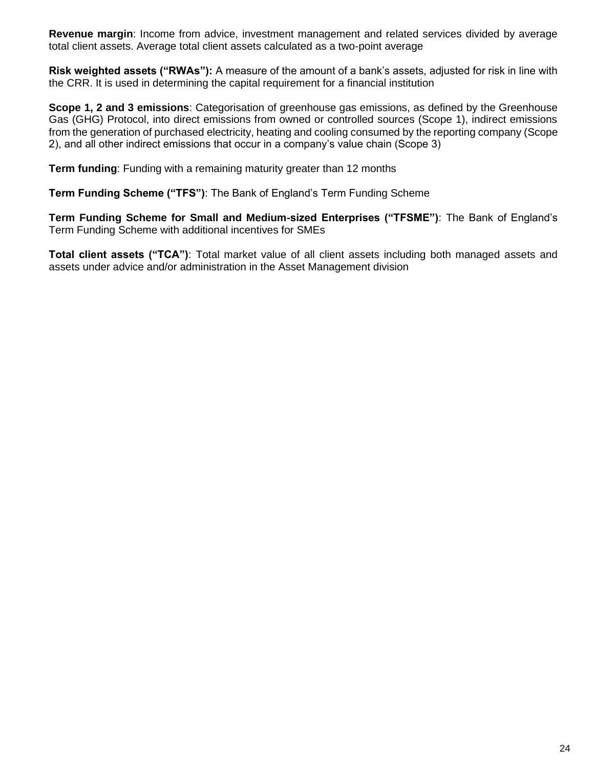**Revenue margin**: Income from advice, investment management and related services divided by average total client assets. Average total client assets calculated as a two-point average

**Risk weighted assets ("RWAs"):** A measure of the amount of a bank's assets, adjusted for risk in line with the CRR. It is used in determining the capital requirement for a financial institution

**Scope 1, 2 and 3 emissions**: Categorisation of greenhouse gas emissions, as defined by the Greenhouse Gas (GHG) Protocol, into direct emissions from owned or controlled sources (Scope 1), indirect emissions from the generation of purchased electricity, heating and cooling consumed by the reporting company (Scope 2), and all other indirect emissions that occur in a company's value chain (Scope 3)

**Term funding**: Funding with a remaining maturity greater than 12 months

**Term Funding Scheme ("TFS")**: The Bank of England's Term Funding Scheme

**Term Funding Scheme for Small and Medium-sized Enterprises ("TFSME")**: The Bank of England's Term Funding Scheme with additional incentives for SMEs

**Total client assets ("TCA")**: Total market value of all client assets including both managed assets and assets under advice and/or administration in the Asset Management division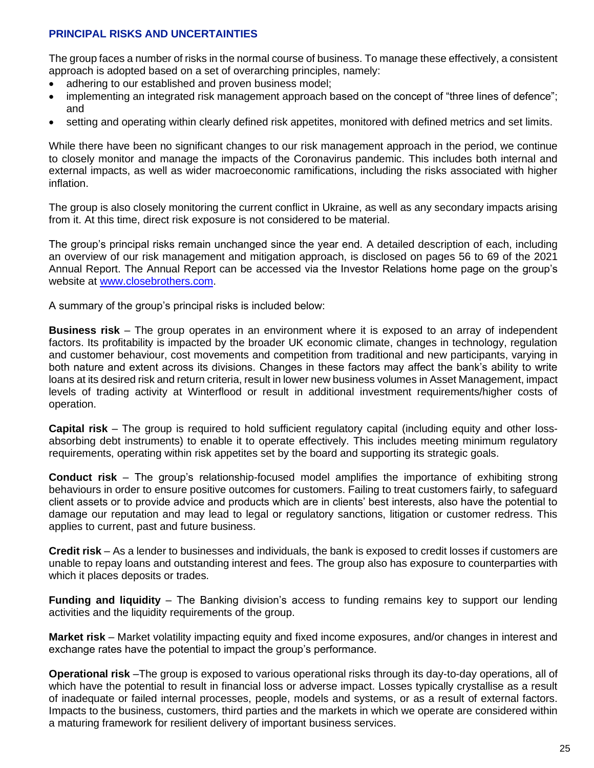# **PRINCIPAL RISKS AND UNCERTAINTIES**

The group faces a number of risks in the normal course of business. To manage these effectively, a consistent approach is adopted based on a set of overarching principles, namely:

- adhering to our established and proven business model;
- implementing an integrated risk management approach based on the concept of "three lines of defence"; and
- setting and operating within clearly defined risk appetites, monitored with defined metrics and set limits.

While there have been no significant changes to our risk management approach in the period, we continue to closely monitor and manage the impacts of the Coronavirus pandemic. This includes both internal and external impacts, as well as wider macroeconomic ramifications, including the risks associated with higher inflation.

The group is also closely monitoring the current conflict in Ukraine, as well as any secondary impacts arising from it. At this time, direct risk exposure is not considered to be material.

The group's principal risks remain unchanged since the year end. A detailed description of each, including an overview of our risk management and mitigation approach, is disclosed on pages 56 to 69 of the 2021 Annual Report. The Annual Report can be accessed via the Investor Relations home page on the group's website at [www.closebrothers.com.](http://www.closebrothers.com/)

A summary of the group's principal risks is included below:

**Business risk** – The group operates in an environment where it is exposed to an array of independent factors. Its profitability is impacted by the broader UK economic climate, changes in technology, regulation and customer behaviour, cost movements and competition from traditional and new participants, varying in both nature and extent across its divisions. Changes in these factors may affect the bank's ability to write loans at its desired risk and return criteria, result in lower new business volumes in Asset Management, impact levels of trading activity at Winterflood or result in additional investment requirements/higher costs of operation.

**Capital risk** – The group is required to hold sufficient regulatory capital (including equity and other lossabsorbing debt instruments) to enable it to operate effectively. This includes meeting minimum regulatory requirements, operating within risk appetites set by the board and supporting its strategic goals.

**Conduct risk** – The group's relationship-focused model amplifies the importance of exhibiting strong behaviours in order to ensure positive outcomes for customers. Failing to treat customers fairly, to safeguard client assets or to provide advice and products which are in clients' best interests, also have the potential to damage our reputation and may lead to legal or regulatory sanctions, litigation or customer redress. This applies to current, past and future business.

**Credit risk** – As a lender to businesses and individuals, the bank is exposed to credit losses if customers are unable to repay loans and outstanding interest and fees. The group also has exposure to counterparties with which it places deposits or trades.

**Funding and liquidity** – The Banking division's access to funding remains key to support our lending activities and the liquidity requirements of the group.

**Market risk** – Market volatility impacting equity and fixed income exposures, and/or changes in interest and exchange rates have the potential to impact the group's performance.

**Operational risk** –The group is exposed to various operational risks through its day-to-day operations, all of which have the potential to result in financial loss or adverse impact. Losses typically crystallise as a result of inadequate or failed internal processes, people, models and systems, or as a result of external factors. Impacts to the business, customers, third parties and the markets in which we operate are considered within a maturing framework for resilient delivery of important business services.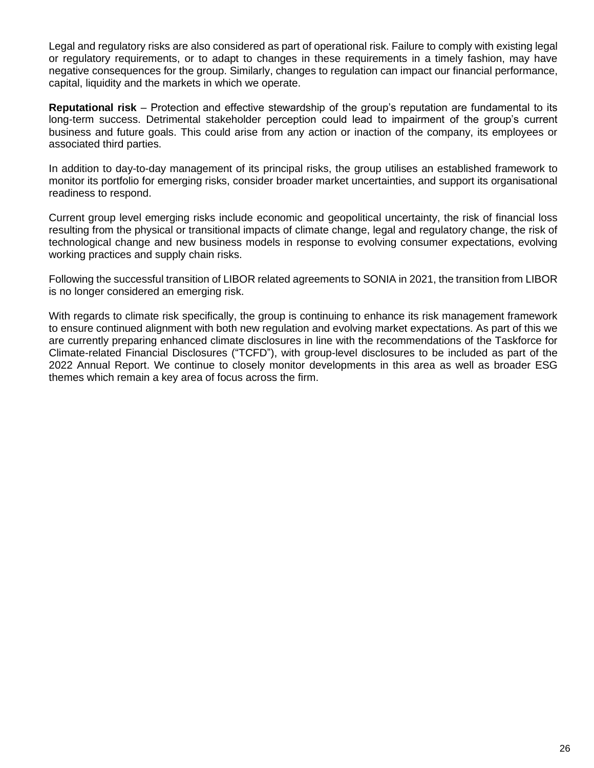Legal and regulatory risks are also considered as part of operational risk. Failure to comply with existing legal or regulatory requirements, or to adapt to changes in these requirements in a timely fashion, may have negative consequences for the group. Similarly, changes to regulation can impact our financial performance, capital, liquidity and the markets in which we operate.

**Reputational risk** – Protection and effective stewardship of the group's reputation are fundamental to its long-term success. Detrimental stakeholder perception could lead to impairment of the group's current business and future goals. This could arise from any action or inaction of the company, its employees or associated third parties.

In addition to day-to-day management of its principal risks, the group utilises an established framework to monitor its portfolio for emerging risks, consider broader market uncertainties, and support its organisational readiness to respond.

Current group level emerging risks include economic and geopolitical uncertainty, the risk of financial loss resulting from the physical or transitional impacts of climate change, legal and regulatory change, the risk of technological change and new business models in response to evolving consumer expectations, evolving working practices and supply chain risks.

Following the successful transition of LIBOR related agreements to SONIA in 2021, the transition from LIBOR is no longer considered an emerging risk.

With regards to climate risk specifically, the group is continuing to enhance its risk management framework to ensure continued alignment with both new regulation and evolving market expectations. As part of this we are currently preparing enhanced climate disclosures in line with the recommendations of the Taskforce for Climate-related Financial Disclosures ("TCFD"), with group-level disclosures to be included as part of the 2022 Annual Report. We continue to closely monitor developments in this area as well as broader ESG themes which remain a key area of focus across the firm.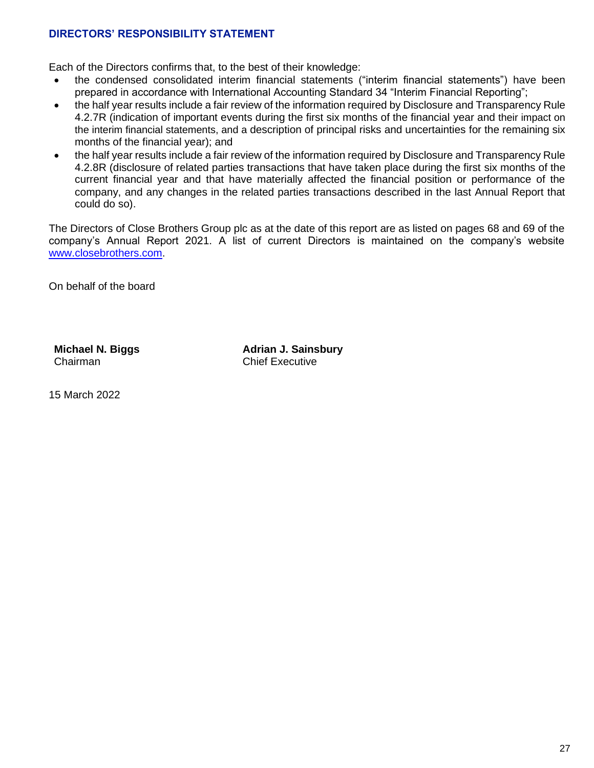# **DIRECTORS' RESPONSIBILITY STATEMENT**

Each of the Directors confirms that, to the best of their knowledge:

- the condensed consolidated interim financial statements ("interim financial statements") have been prepared in accordance with International Accounting Standard 34 "Interim Financial Reporting";
- the half year results include a fair review of the information required by Disclosure and Transparency Rule 4.2.7R (indication of important events during the first six months of the financial year and their impact on the interim financial statements, and a description of principal risks and uncertainties for the remaining six months of the financial year); and
- the half year results include a fair review of the information required by Disclosure and Transparency Rule 4.2.8R (disclosure of related parties transactions that have taken place during the first six months of the current financial year and that have materially affected the financial position or performance of the company, and any changes in the related parties transactions described in the last Annual Report that could do so).

The Directors of Close Brothers Group plc as at the date of this report are as listed on pages 68 and 69 of the company's Annual Report 2021. A list of current Directors is maintained on the company's website [www.closebrothers.com.](http://www.closebrothers.com/)

On behalf of the board

**Michael N. Biggs** Chairman

**Adrian J. Sainsbury** Chief Executive

15 March 2022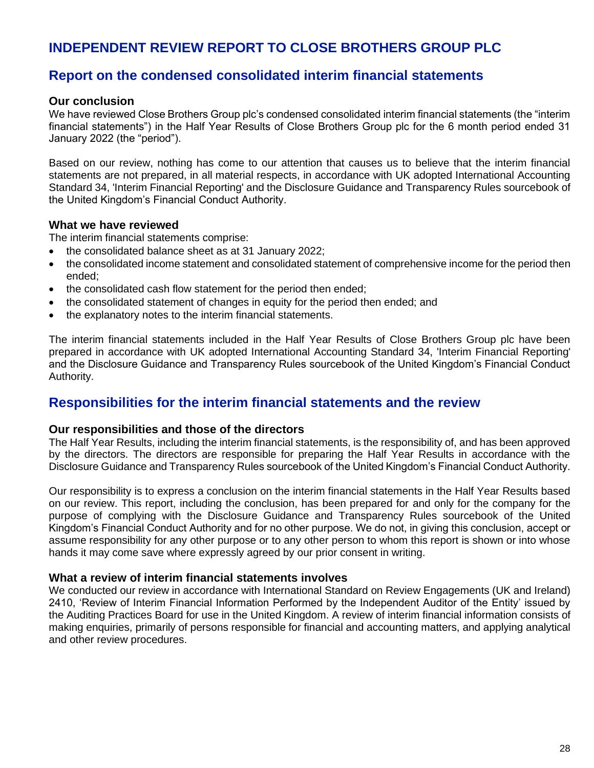# **INDEPENDENT REVIEW REPORT TO CLOSE BROTHERS GROUP PLC**

# **Report on the condensed consolidated interim financial statements**

# **Our conclusion**

We have reviewed Close Brothers Group plc's condensed consolidated interim financial statements (the "interim financial statements") in the Half Year Results of Close Brothers Group plc for the 6 month period ended 31 January 2022 (the "period").

Based on our review, nothing has come to our attention that causes us to believe that the interim financial statements are not prepared, in all material respects, in accordance with UK adopted International Accounting Standard 34, 'Interim Financial Reporting' and the Disclosure Guidance and Transparency Rules sourcebook of the United Kingdom's Financial Conduct Authority.

### **What we have reviewed**

The interim financial statements comprise:

- the consolidated balance sheet as at 31 January 2022;
- the consolidated income statement and consolidated statement of comprehensive income for the period then ended;
- the consolidated cash flow statement for the period then ended;
- the consolidated statement of changes in equity for the period then ended; and
- the explanatory notes to the interim financial statements.

The interim financial statements included in the Half Year Results of Close Brothers Group plc have been prepared in accordance with UK adopted International Accounting Standard 34, 'Interim Financial Reporting' and the Disclosure Guidance and Transparency Rules sourcebook of the United Kingdom's Financial Conduct Authority.

# **Responsibilities for the interim financial statements and the review**

### **Our responsibilities and those of the directors**

The Half Year Results, including the interim financial statements, is the responsibility of, and has been approved by the directors. The directors are responsible for preparing the Half Year Results in accordance with the Disclosure Guidance and Transparency Rules sourcebook of the United Kingdom's Financial Conduct Authority.

Our responsibility is to express a conclusion on the interim financial statements in the Half Year Results based on our review. This report, including the conclusion, has been prepared for and only for the company for the purpose of complying with the Disclosure Guidance and Transparency Rules sourcebook of the United Kingdom's Financial Conduct Authority and for no other purpose. We do not, in giving this conclusion, accept or assume responsibility for any other purpose or to any other person to whom this report is shown or into whose hands it may come save where expressly agreed by our prior consent in writing.

### **What a review of interim financial statements involves**

We conducted our review in accordance with International Standard on Review Engagements (UK and Ireland) 2410, 'Review of Interim Financial Information Performed by the Independent Auditor of the Entity' issued by the Auditing Practices Board for use in the United Kingdom. A review of interim financial information consists of making enquiries, primarily of persons responsible for financial and accounting matters, and applying analytical and other review procedures.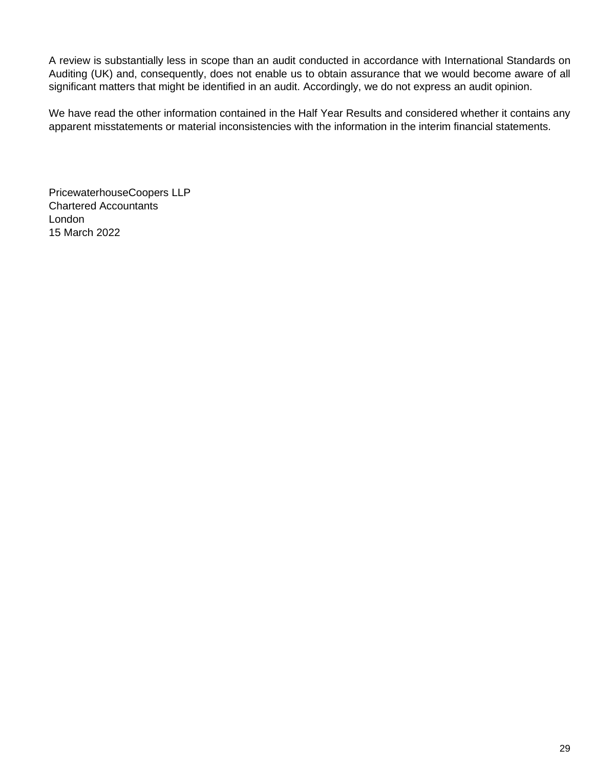A review is substantially less in scope than an audit conducted in accordance with International Standards on Auditing (UK) and, consequently, does not enable us to obtain assurance that we would become aware of all significant matters that might be identified in an audit. Accordingly, we do not express an audit opinion.

We have read the other information contained in the Half Year Results and considered whether it contains any apparent misstatements or material inconsistencies with the information in the interim financial statements.

PricewaterhouseCoopers LLP Chartered Accountants London 15 March 2022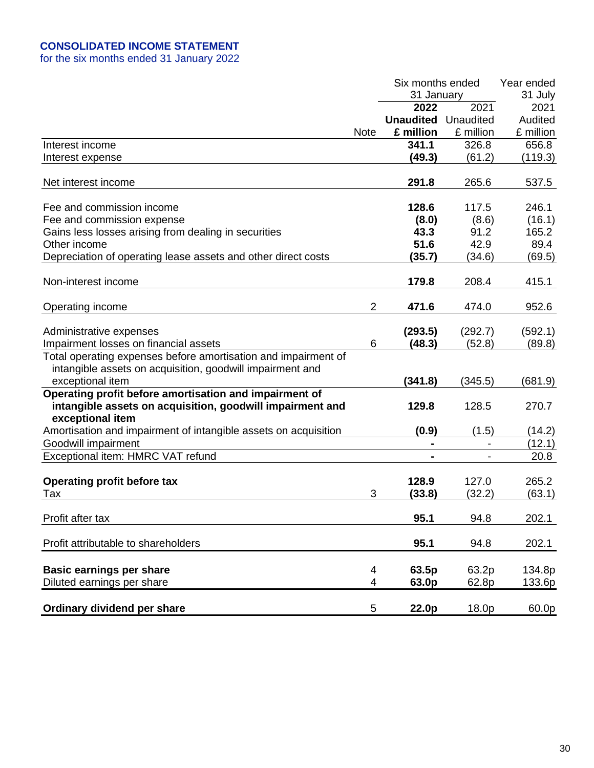# **CONSOLIDATED INCOME STATEMENT**

for the six months ended 31 January 2022

|                                                                               |                | Six months ended           |           | Year ended |
|-------------------------------------------------------------------------------|----------------|----------------------------|-----------|------------|
|                                                                               |                | 31 January                 |           | 31 July    |
|                                                                               |                | 2022                       | 2021      | 2021       |
|                                                                               |                | <b>Unaudited</b> Unaudited |           | Audited    |
|                                                                               | <b>Note</b>    | £ million                  | £ million | £ million  |
| Interest income                                                               |                | 341.1                      | 326.8     | 656.8      |
| Interest expense                                                              |                | (49.3)                     | (61.2)    | (119.3)    |
|                                                                               |                |                            |           |            |
| Net interest income                                                           |                | 291.8                      | 265.6     | 537.5      |
| Fee and commission income                                                     |                | 128.6                      | 117.5     | 246.1      |
| Fee and commission expense                                                    |                | (8.0)                      | (8.6)     | (16.1)     |
| Gains less losses arising from dealing in securities                          |                | 43.3                       | 91.2      | 165.2      |
| Other income                                                                  |                | 51.6                       | 42.9      | 89.4       |
| Depreciation of operating lease assets and other direct costs                 |                | (35.7)                     | (34.6)    | (69.5)     |
|                                                                               |                |                            |           |            |
| Non-interest income                                                           |                | 179.8                      | 208.4     | 415.1      |
| Operating income                                                              | $\overline{2}$ | 471.6                      | 474.0     | 952.6      |
| Administrative expenses                                                       |                | (293.5)                    | (292.7)   | (592.1)    |
| Impairment losses on financial assets                                         | 6              | (48.3)                     | (52.8)    | (89.8)     |
| Total operating expenses before amortisation and impairment of                |                |                            |           |            |
| intangible assets on acquisition, goodwill impairment and                     |                |                            |           |            |
| exceptional item                                                              |                | (341.8)                    | (345.5)   | (681.9)    |
| Operating profit before amortisation and impairment of                        |                |                            |           |            |
| intangible assets on acquisition, goodwill impairment and<br>exceptional item |                | 129.8                      | 128.5     | 270.7      |
| Amortisation and impairment of intangible assets on acquisition               |                | (0.9)                      | (1.5)     | (14.2)     |
| Goodwill impairment                                                           |                |                            |           | (12.1)     |
| Exceptional item: HMRC VAT refund                                             |                |                            |           | 20.8       |
|                                                                               |                |                            |           |            |
| Operating profit before tax                                                   |                | 128.9                      | 127.0     | 265.2      |
| Tax                                                                           | 3              | (33.8)                     | (32.2)    | (63.1)     |
|                                                                               |                |                            |           |            |
| Profit after tax                                                              |                | 95.1                       | 94.8      | 202.1      |
| Profit attributable to shareholders                                           |                | 95.1                       | 94.8      | 202.1      |
| <b>Basic earnings per share</b>                                               | 4              | 63.5p                      | 63.2p     | 134.8p     |
| Diluted earnings per share                                                    | 4              | 63.0p                      | 62.8p     | 133.6p     |
|                                                                               |                |                            |           |            |
| Ordinary dividend per share                                                   | 5              | 22.0p                      | 18.0p     | 60.0p      |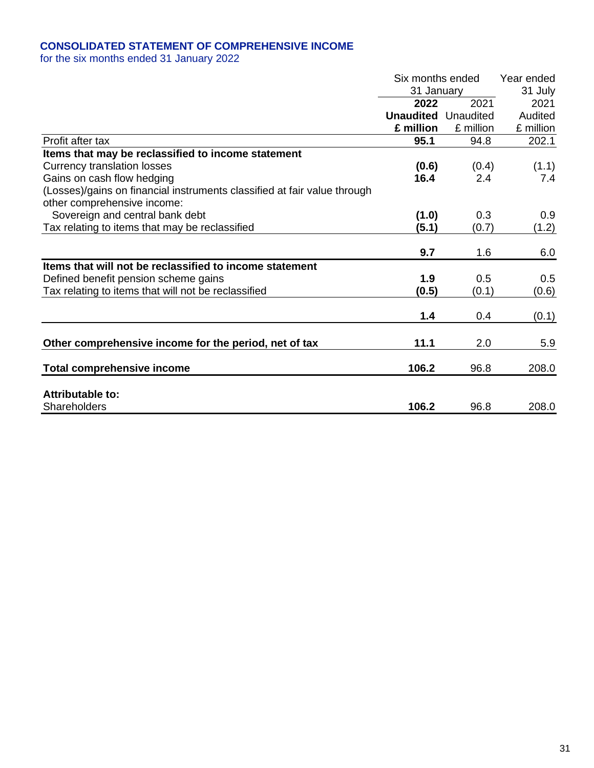# **CONSOLIDATED STATEMENT OF COMPREHENSIVE INCOME**

for the six months ended 31 January 2022

|                                                                          |                                                                                                                                                                                                                                             |           | Year ended |
|--------------------------------------------------------------------------|---------------------------------------------------------------------------------------------------------------------------------------------------------------------------------------------------------------------------------------------|-----------|------------|
|                                                                          |                                                                                                                                                                                                                                             |           | 31 July    |
|                                                                          | 2022                                                                                                                                                                                                                                        | 2021      | 2021       |
|                                                                          |                                                                                                                                                                                                                                             |           | Audited    |
|                                                                          | £ million                                                                                                                                                                                                                                   | £ million | £ million  |
| Profit after tax                                                         | Six months ended<br>31 January<br><b>Unaudited</b> Unaudited<br>95.1<br>94.8<br>(0.6)<br>(0.4)<br>16.4<br>2.4<br>0.3<br>(1.0)<br>(5.1)<br>(0.7)<br>9.7<br>1.6<br>1.9<br>0.5<br>(0.5)<br>(0.1)<br>1.4<br>0.4<br>11.1<br>2.0<br>106.2<br>96.8 | 202.1     |            |
| Items that may be reclassified to income statement                       |                                                                                                                                                                                                                                             |           |            |
| <b>Currency translation losses</b>                                       |                                                                                                                                                                                                                                             |           | (1.1)      |
| Gains on cash flow hedging                                               |                                                                                                                                                                                                                                             |           | 7.4        |
| (Losses)/gains on financial instruments classified at fair value through |                                                                                                                                                                                                                                             |           |            |
| other comprehensive income:                                              |                                                                                                                                                                                                                                             |           |            |
| Sovereign and central bank debt                                          |                                                                                                                                                                                                                                             |           | 0.9        |
| Tax relating to items that may be reclassified                           |                                                                                                                                                                                                                                             |           | (1.2)      |
|                                                                          |                                                                                                                                                                                                                                             |           |            |
|                                                                          |                                                                                                                                                                                                                                             |           | 6.0        |
| Items that will not be reclassified to income statement                  |                                                                                                                                                                                                                                             |           |            |
| Defined benefit pension scheme gains                                     |                                                                                                                                                                                                                                             |           | 0.5        |
| Tax relating to items that will not be reclassified                      |                                                                                                                                                                                                                                             |           | (0.6)      |
|                                                                          |                                                                                                                                                                                                                                             |           |            |
|                                                                          |                                                                                                                                                                                                                                             |           | (0.1)      |
| Other comprehensive income for the period, net of tax                    |                                                                                                                                                                                                                                             |           | 5.9        |
|                                                                          |                                                                                                                                                                                                                                             |           |            |
| <b>Total comprehensive income</b>                                        |                                                                                                                                                                                                                                             |           | 208.0      |
| Attributable to:                                                         |                                                                                                                                                                                                                                             |           |            |
| Shareholders                                                             | 106.2                                                                                                                                                                                                                                       | 96.8      | 208.0      |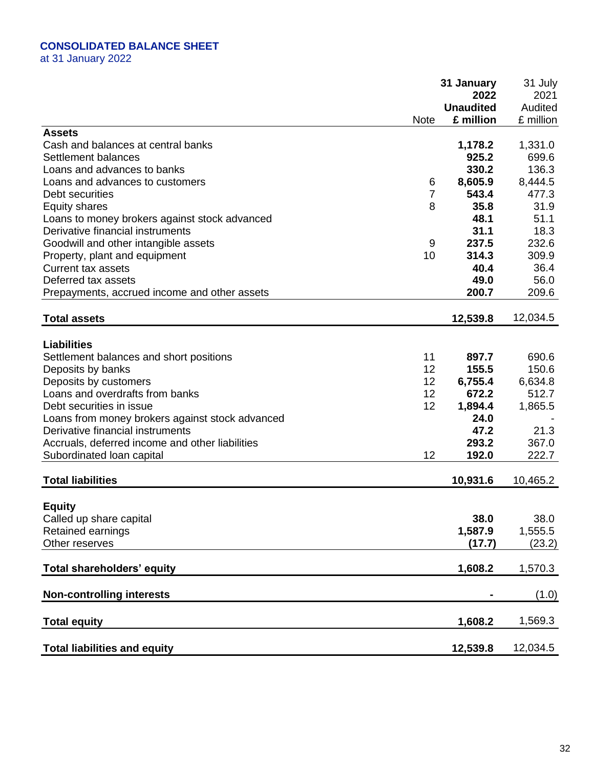# **CONSOLIDATED BALANCE SHEET**

at 31 January 2022

|                                                     |             | 31 January       | 31 July   |
|-----------------------------------------------------|-------------|------------------|-----------|
|                                                     |             | 2022             | 2021      |
|                                                     |             | <b>Unaudited</b> | Audited   |
|                                                     | <b>Note</b> | £ million        | £ million |
| <b>Assets</b><br>Cash and balances at central banks |             | 1,178.2          | 1,331.0   |
| Settlement balances                                 |             | 925.2            | 699.6     |
| Loans and advances to banks                         |             | 330.2            | 136.3     |
| Loans and advances to customers                     | 6           | 8,605.9          | 8,444.5   |
| Debt securities                                     | 7           | 543.4            | 477.3     |
| <b>Equity shares</b>                                | 8           | 35.8             | 31.9      |
| Loans to money brokers against stock advanced       |             | 48.1             | 51.1      |
| Derivative financial instruments                    |             | 31.1             | 18.3      |
| Goodwill and other intangible assets                | 9           | 237.5            | 232.6     |
| Property, plant and equipment                       | 10          | 314.3            | 309.9     |
| <b>Current tax assets</b>                           |             | 40.4             | 36.4      |
| Deferred tax assets                                 |             | 49.0             | 56.0      |
| Prepayments, accrued income and other assets        |             | 200.7            | 209.6     |
|                                                     |             |                  |           |
| <b>Total assets</b>                                 |             | 12,539.8         | 12,034.5  |
|                                                     |             |                  |           |
| <b>Liabilities</b>                                  |             |                  |           |
| Settlement balances and short positions             | 11          | 897.7            | 690.6     |
| Deposits by banks                                   | 12          | 155.5            | 150.6     |
| Deposits by customers                               | 12          | 6,755.4          | 6,634.8   |
| Loans and overdrafts from banks                     | 12          | 672.2            | 512.7     |
| Debt securities in issue                            | 12          | 1,894.4          | 1,865.5   |
| Loans from money brokers against stock advanced     |             | 24.0             |           |
| Derivative financial instruments                    |             | 47.2             | 21.3      |
| Accruals, deferred income and other liabilities     |             | 293.2            | 367.0     |
| Subordinated Ioan capital                           | 12          | 192.0            | 222.7     |
| <b>Total liabilities</b>                            |             | 10,931.6         | 10,465.2  |
|                                                     |             |                  |           |
| <b>Equity</b>                                       |             |                  |           |
| Called up share capital                             |             | 38.0             | 38.0      |
| Retained earnings                                   |             | 1,587.9          | 1,555.5   |
| Other reserves                                      |             | (17.7)           | (23.2)    |
|                                                     |             |                  |           |
| Total shareholders' equity                          |             | 1,608.2          | 1,570.3   |
| <b>Non-controlling interests</b>                    |             |                  | (1.0)     |
|                                                     |             |                  |           |
| <b>Total equity</b>                                 |             | 1,608.2          | 1,569.3   |
| <b>Total liabilities and equity</b>                 |             | 12,539.8         | 12,034.5  |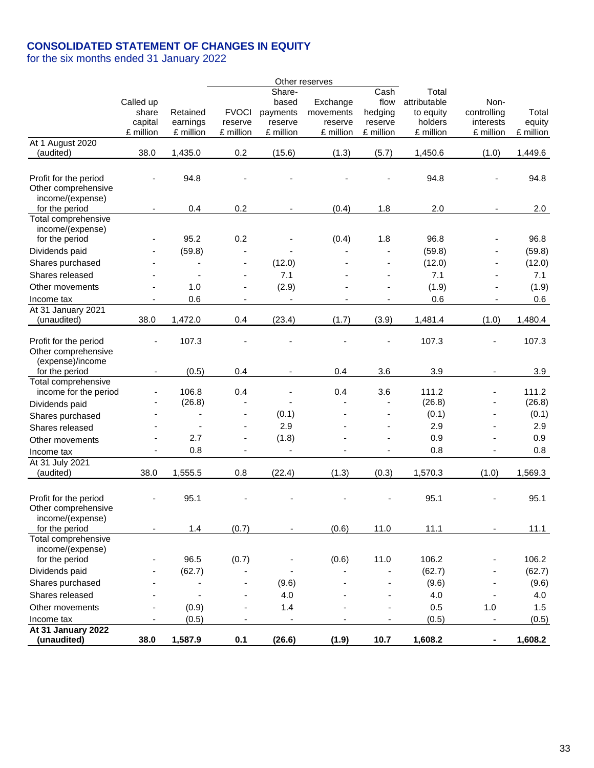# **CONSOLIDATED STATEMENT OF CHANGES IN EQUITY**

for the six months ended 31 January 2022

|                                                                  |                              |           |                          |                          | Other reserves |                |              |             |           |
|------------------------------------------------------------------|------------------------------|-----------|--------------------------|--------------------------|----------------|----------------|--------------|-------------|-----------|
|                                                                  |                              |           |                          | Share-                   |                | Cash           | Total        |             |           |
|                                                                  | Called up                    |           |                          | based                    | Exchange       | flow           | attributable | Non-        |           |
|                                                                  | share                        | Retained  | <b>FVOCI</b>             | payments                 | movements      | hedging        | to equity    | controlling | Total     |
|                                                                  | capital                      | earnings  | reserve                  | reserve                  | reserve        | reserve        | holders      | interests   | equity    |
| At 1 August 2020                                                 | £ million                    | £ million | £ million                | £ million                | £ million      | £ million      | £ million    | £ million   | £ million |
| (audited)                                                        | 38.0                         | 1,435.0   | 0.2                      | (15.6)                   | (1.3)          | (5.7)          | 1,450.6      | (1.0)       | 1,449.6   |
|                                                                  |                              |           |                          |                          |                |                |              |             |           |
| Profit for the period<br>Other comprehensive<br>income/(expense) |                              | 94.8      |                          |                          |                |                | 94.8         |             | 94.8      |
| for the period                                                   | $\qquad \qquad \blacksquare$ | 0.4       | 0.2                      | $\blacksquare$           | (0.4)          | 1.8            | 2.0          |             | 2.0       |
| Total comprehensive<br>income/(expense)                          |                              |           |                          |                          |                |                |              |             |           |
| for the period                                                   |                              | 95.2      | 0.2                      |                          | (0.4)          | 1.8            | 96.8         |             | 96.8      |
| Dividends paid                                                   |                              | (59.8)    |                          |                          |                |                | (59.8)       |             | (59.8)    |
| Shares purchased                                                 |                              |           | $\overline{\phantom{a}}$ | (12.0)                   |                |                | (12.0)       |             | (12.0)    |
| Shares released                                                  |                              |           | $\overline{\phantom{a}}$ | 7.1                      |                |                | 7.1          |             | 7.1       |
| Other movements                                                  |                              | 1.0       | $\overline{\phantom{a}}$ | (2.9)                    |                |                | (1.9)        |             | (1.9)     |
| Income tax                                                       |                              | 0.6       | $\overline{\phantom{a}}$ | $\overline{\phantom{a}}$ |                |                | 0.6          |             | 0.6       |
| At 31 January 2021                                               |                              |           |                          |                          |                |                |              |             |           |
| (unaudited)                                                      | 38.0                         | 1,472.0   | 0.4                      | (23.4)                   | (1.7)          | (3.9)          | 1,481.4      | (1.0)       | 1,480.4   |
| Profit for the period<br>Other comprehensive<br>(expense)/income |                              | 107.3     |                          |                          |                |                | 107.3        |             | 107.3     |
| for the period                                                   | $\overline{\phantom{a}}$     | (0.5)     | 0.4                      | $\overline{\phantom{a}}$ | 0.4            | 3.6            | 3.9          |             | 3.9       |
| Total comprehensive<br>income for the period                     |                              | 106.8     | 0.4                      |                          | 0.4            | 3.6            | 111.2        |             | 111.2     |
| Dividends paid                                                   |                              | (26.8)    | $\blacksquare$           |                          |                |                | (26.8)       |             | (26.8)    |
| Shares purchased                                                 |                              |           | $\overline{\phantom{a}}$ | (0.1)                    |                | $\blacksquare$ | (0.1)        |             | (0.1)     |
| Shares released                                                  |                              |           | $\blacksquare$           | 2.9                      |                |                | 2.9          |             | 2.9       |
| Other movements                                                  |                              | 2.7       | $\overline{\phantom{a}}$ | (1.8)                    |                |                | 0.9          |             | 0.9       |
| Income tax                                                       |                              | 0.8       | ä,                       | ÷,                       |                |                | 0.8          |             | 0.8       |
| At 31 July 2021<br>(audited)                                     | 38.0                         | 1,555.5   | 0.8                      | (22.4)                   | (1.3)          | (0.3)          | 1,570.3      | (1.0)       | 1,569.3   |
| Profit for the period<br>Other comprehensive<br>income/(expense) |                              | 95.1      |                          |                          |                |                | 95.1         |             | 95.1      |
| for the period                                                   |                              | 1.4       | (0.7)                    |                          | (0.6)          | 11.0           | 11.1         |             | 11.1      |
| Total comprehensive<br>income/(expense)                          |                              |           |                          |                          |                |                |              |             |           |
| for the period                                                   |                              | 96.5      | (0.7)                    |                          | (0.6)          | 11.0           | 106.2        |             | 106.2     |
| Dividends paid                                                   |                              | (62.7)    |                          |                          |                |                | (62.7)       |             | (62.7)    |
| Shares purchased                                                 |                              |           | ÷,                       | (9.6)                    |                |                | (9.6)        |             | (9.6)     |
| Shares released                                                  |                              | ÷,        | ÷,                       | 4.0                      |                |                | 4.0          |             | 4.0       |
| Other movements                                                  |                              | (0.9)     | ÷,                       | 1.4                      |                |                | 0.5          | 1.0         | 1.5       |
| Income tax                                                       | $\overline{\phantom{a}}$     | (0.5)     | $\overline{\phantom{0}}$ | $\overline{\phantom{a}}$ |                | -              | (0.5)        |             | (0.5)     |
| At 31 January 2022<br>(unaudited)                                | 38.0                         | 1,587.9   | 0.1                      | (26.6)                   | (1.9)          | 10.7           | 1,608.2      |             | 1,608.2   |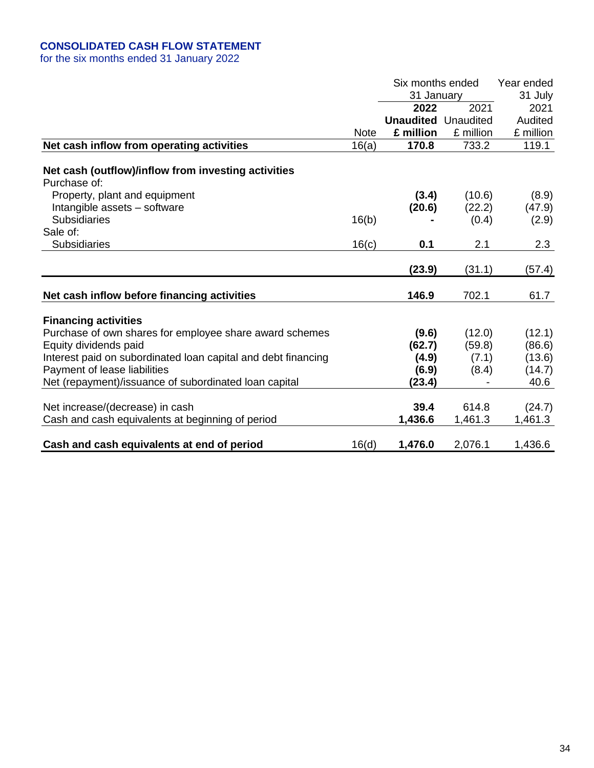# **CONSOLIDATED CASH FLOW STATEMENT**

for the six months ended 31 January 2022

|                                                                     |             | Six months ended           |           | Year ended |
|---------------------------------------------------------------------|-------------|----------------------------|-----------|------------|
|                                                                     |             | 31 January                 |           | 31 July    |
|                                                                     |             | 2022                       | 2021      | 2021       |
|                                                                     |             | <b>Unaudited Unaudited</b> |           | Audited    |
|                                                                     | <b>Note</b> | £ million                  | £ million | £ million  |
| Net cash inflow from operating activities                           | 16(a)       | 170.8                      | 733.2     | 119.1      |
| Net cash (outflow)/inflow from investing activities<br>Purchase of: |             |                            |           |            |
| Property, plant and equipment                                       |             | (3.4)                      | (10.6)    | (8.9)      |
| Intangible assets - software                                        |             | (20.6)                     | (22.2)    | (47.9)     |
| <b>Subsidiaries</b>                                                 | 16(b)       |                            | (0.4)     | (2.9)      |
| Sale of:                                                            |             |                            |           |            |
| <b>Subsidiaries</b>                                                 | 16(c)       | 0.1                        | 2.1       | 2.3        |
|                                                                     |             |                            |           |            |
|                                                                     |             | (23.9)                     | (31.1)    | (57.4)     |
| Net cash inflow before financing activities                         |             | 146.9                      | 702.1     | 61.7       |
| <b>Financing activities</b>                                         |             |                            |           |            |
| Purchase of own shares for employee share award schemes             |             | (9.6)                      | (12.0)    | (12.1)     |
| Equity dividends paid                                               |             | (62.7)                     | (59.8)    | (86.6)     |
| Interest paid on subordinated loan capital and debt financing       |             | (4.9)                      | (7.1)     | (13.6)     |
| Payment of lease liabilities                                        |             | (6.9)                      | (8.4)     | (14.7)     |
| Net (repayment)/issuance of subordinated loan capital               |             | (23.4)                     |           | 40.6       |
| Net increase/(decrease) in cash                                     |             | 39.4                       | 614.8     | (24.7)     |
| Cash and cash equivalents at beginning of period                    |             | 1,436.6                    | 1,461.3   | 1,461.3    |
| Cash and cash equivalents at end of period                          | 16(d)       | 1,476.0                    | 2,076.1   | 1,436.6    |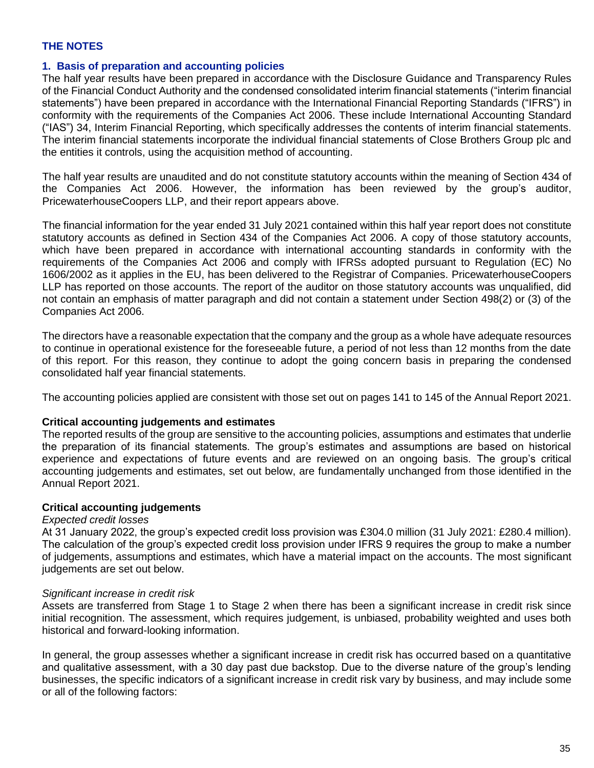# **THE NOTES**

### **1. Basis of preparation and accounting policies**

The half year results have been prepared in accordance with the Disclosure Guidance and Transparency Rules of the Financial Conduct Authority and the condensed consolidated interim financial statements ("interim financial statements") have been prepared in accordance with the International Financial Reporting Standards ("IFRS") in conformity with the requirements of the Companies Act 2006. These include International Accounting Standard ("IAS") 34, Interim Financial Reporting, which specifically addresses the contents of interim financial statements. The interim financial statements incorporate the individual financial statements of Close Brothers Group plc and the entities it controls, using the acquisition method of accounting.

The half year results are unaudited and do not constitute statutory accounts within the meaning of Section 434 of the Companies Act 2006. However, the information has been reviewed by the group's auditor, PricewaterhouseCoopers LLP, and their report appears above.

The financial information for the year ended 31 July 2021 contained within this half year report does not constitute statutory accounts as defined in Section 434 of the Companies Act 2006. A copy of those statutory accounts, which have been prepared in accordance with international accounting standards in conformity with the requirements of the Companies Act 2006 and comply with IFRSs adopted pursuant to Regulation (EC) No 1606/2002 as it applies in the EU, has been delivered to the Registrar of Companies. PricewaterhouseCoopers LLP has reported on those accounts. The report of the auditor on those statutory accounts was unqualified, did not contain an emphasis of matter paragraph and did not contain a statement under Section 498(2) or (3) of the Companies Act 2006.

The directors have a reasonable expectation that the company and the group as a whole have adequate resources to continue in operational existence for the foreseeable future, a period of not less than 12 months from the date of this report. For this reason, they continue to adopt the going concern basis in preparing the condensed consolidated half year financial statements.

The accounting policies applied are consistent with those set out on pages 141 to 145 of the Annual Report 2021.

### **Critical accounting judgements and estimates**

The reported results of the group are sensitive to the accounting policies, assumptions and estimates that underlie the preparation of its financial statements. The group's estimates and assumptions are based on historical experience and expectations of future events and are reviewed on an ongoing basis. The group's critical accounting judgements and estimates, set out below, are fundamentally unchanged from those identified in the Annual Report 2021.

### **Critical accounting judgements**

### *Expected credit losses*

At 31 January 2022, the group's expected credit loss provision was £304.0 million (31 July 2021: £280.4 million). The calculation of the group's expected credit loss provision under IFRS 9 requires the group to make a number of judgements, assumptions and estimates, which have a material impact on the accounts. The most significant judgements are set out below.

### *Significant increase in credit risk*

Assets are transferred from Stage 1 to Stage 2 when there has been a significant increase in credit risk since initial recognition. The assessment, which requires judgement, is unbiased, probability weighted and uses both historical and forward-looking information.

In general, the group assesses whether a significant increase in credit risk has occurred based on a quantitative and qualitative assessment, with a 30 day past due backstop. Due to the diverse nature of the group's lending businesses, the specific indicators of a significant increase in credit risk vary by business, and may include some or all of the following factors: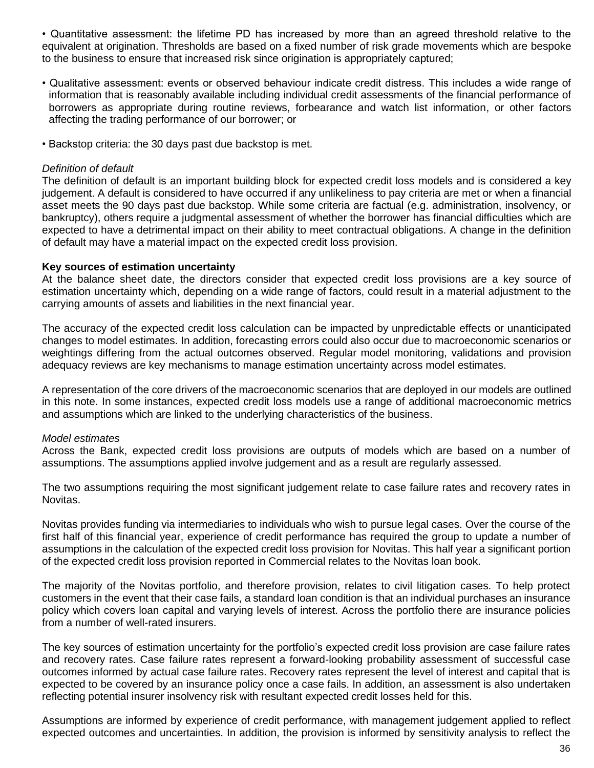• Quantitative assessment: the lifetime PD has increased by more than an agreed threshold relative to the equivalent at origination. Thresholds are based on a fixed number of risk grade movements which are bespoke to the business to ensure that increased risk since origination is appropriately captured;

- Qualitative assessment: events or observed behaviour indicate credit distress. This includes a wide range of information that is reasonably available including individual credit assessments of the financial performance of borrowers as appropriate during routine reviews, forbearance and watch list information, or other factors affecting the trading performance of our borrower; or
- Backstop criteria: the 30 days past due backstop is met.

### *Definition of default*

The definition of default is an important building block for expected credit loss models and is considered a key judgement. A default is considered to have occurred if any unlikeliness to pay criteria are met or when a financial asset meets the 90 days past due backstop. While some criteria are factual (e.g. administration, insolvency, or bankruptcy), others require a judgmental assessment of whether the borrower has financial difficulties which are expected to have a detrimental impact on their ability to meet contractual obligations. A change in the definition of default may have a material impact on the expected credit loss provision.

### **Key sources of estimation uncertainty**

At the balance sheet date, the directors consider that expected credit loss provisions are a key source of estimation uncertainty which, depending on a wide range of factors, could result in a material adjustment to the carrying amounts of assets and liabilities in the next financial year.

The accuracy of the expected credit loss calculation can be impacted by unpredictable effects or unanticipated changes to model estimates. In addition, forecasting errors could also occur due to macroeconomic scenarios or weightings differing from the actual outcomes observed. Regular model monitoring, validations and provision adequacy reviews are key mechanisms to manage estimation uncertainty across model estimates.

A representation of the core drivers of the macroeconomic scenarios that are deployed in our models are outlined in this note. In some instances, expected credit loss models use a range of additional macroeconomic metrics and assumptions which are linked to the underlying characteristics of the business.

### *Model estimates*

Across the Bank, expected credit loss provisions are outputs of models which are based on a number of assumptions. The assumptions applied involve judgement and as a result are regularly assessed.

The two assumptions requiring the most significant judgement relate to case failure rates and recovery rates in Novitas.

Novitas provides funding via intermediaries to individuals who wish to pursue legal cases. Over the course of the first half of this financial year, experience of credit performance has required the group to update a number of assumptions in the calculation of the expected credit loss provision for Novitas. This half year a significant portion of the expected credit loss provision reported in Commercial relates to the Novitas loan book.

The majority of the Novitas portfolio, and therefore provision, relates to civil litigation cases. To help protect customers in the event that their case fails, a standard loan condition is that an individual purchases an insurance policy which covers loan capital and varying levels of interest. Across the portfolio there are insurance policies from a number of well-rated insurers.

The key sources of estimation uncertainty for the portfolio's expected credit loss provision are case failure rates and recovery rates. Case failure rates represent a forward-looking probability assessment of successful case outcomes informed by actual case failure rates. Recovery rates represent the level of interest and capital that is expected to be covered by an insurance policy once a case fails. In addition, an assessment is also undertaken reflecting potential insurer insolvency risk with resultant expected credit losses held for this.

Assumptions are informed by experience of credit performance, with management judgement applied to reflect expected outcomes and uncertainties. In addition, the provision is informed by sensitivity analysis to reflect the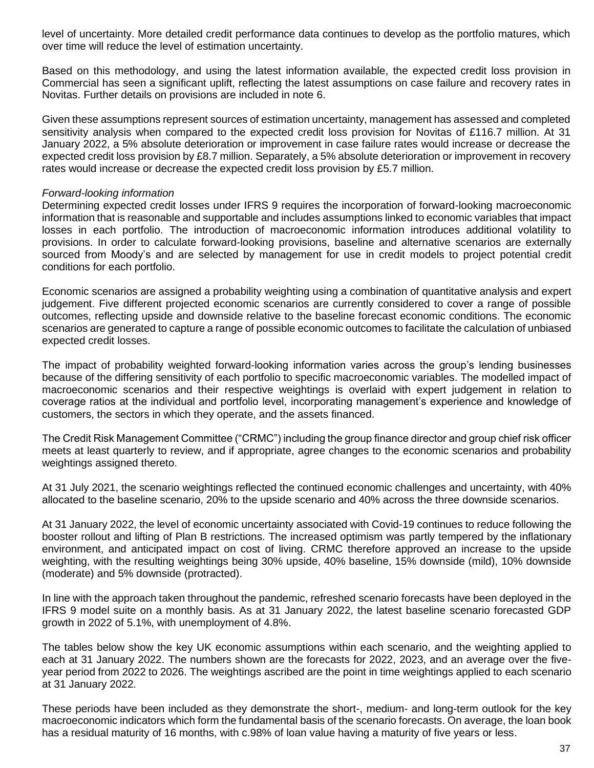level of uncertainty. More detailed credit performance data continues to develop as the portfolio matures, which over time will reduce the level of estimation uncertainty.

Based on this methodology, and using the latest information available, the expected credit loss provision in Commercial has seen a significant uplift, reflecting the latest assumptions on case failure and recovery rates in Novitas. Further details on provisions are included in note 6.

Given these assumptions represent sources of estimation uncertainty, management has assessed and completed sensitivity analysis when compared to the expected credit loss provision for Novitas of £116.7 million. At 31 January 2022, a 5% absolute deterioration or improvement in case failure rates would increase or decrease the expected credit loss provision by £8.7 million. Separately, a 5% absolute deterioration or improvement in recovery rates would increase or decrease the expected credit loss provision by £5.7 million.

### *Forward-looking information*

Determining expected credit losses under IFRS 9 requires the incorporation of forward-looking macroeconomic information that is reasonable and supportable and includes assumptions linked to economic variables that impact losses in each portfolio. The introduction of macroeconomic information introduces additional volatility to provisions. In order to calculate forward-looking provisions, baseline and alternative scenarios are externally sourced from Moody's and are selected by management for use in credit models to project potential credit conditions for each portfolio.

Economic scenarios are assigned a probability weighting using a combination of quantitative analysis and expert judgement. Five different projected economic scenarios are currently considered to cover a range of possible outcomes, reflecting upside and downside relative to the baseline forecast economic conditions. The economic scenarios are generated to capture a range of possible economic outcomes to facilitate the calculation of unbiased expected credit losses.

The impact of probability weighted forward-looking information varies across the group's lending businesses because of the differing sensitivity of each portfolio to specific macroeconomic variables. The modelled impact of macroeconomic scenarios and their respective weightings is overlaid with expert judgement in relation to coverage ratios at the individual and portfolio level, incorporating management's experience and knowledge of customers, the sectors in which they operate, and the assets financed.

The Credit Risk Management Committee ("CRMC") including the group finance director and group chief risk officer meets at least quarterly to review, and if appropriate, agree changes to the economic scenarios and probability weightings assigned thereto.

At 31 July 2021, the scenario weightings reflected the continued economic challenges and uncertainty, with 40% allocated to the baseline scenario, 20% to the upside scenario and 40% across the three downside scenarios.

At 31 January 2022, the level of economic uncertainty associated with Covid-19 continues to reduce following the booster rollout and lifting of Plan B restrictions. The increased optimism was partly tempered by the inflationary environment, and anticipated impact on cost of living. CRMC therefore approved an increase to the upside weighting, with the resulting weightings being 30% upside, 40% baseline, 15% downside (mild), 10% downside (moderate) and 5% downside (protracted).

In line with the approach taken throughout the pandemic, refreshed scenario forecasts have been deployed in the IFRS 9 model suite on a monthly basis. As at 31 January 2022, the latest baseline scenario forecasted GDP growth in 2022 of 5.1%, with unemployment of 4.8%.

The tables below show the key UK economic assumptions within each scenario, and the weighting applied to each at 31 January 2022. The numbers shown are the forecasts for 2022, 2023, and an average over the fiveyear period from 2022 to 2026. The weightings ascribed are the point in time weightings applied to each scenario at 31 January 2022.

These periods have been included as they demonstrate the short-, medium- and long-term outlook for the key macroeconomic indicators which form the fundamental basis of the scenario forecasts. On average, the loan book has a residual maturity of 16 months, with c.98% of loan value having a maturity of five years or less.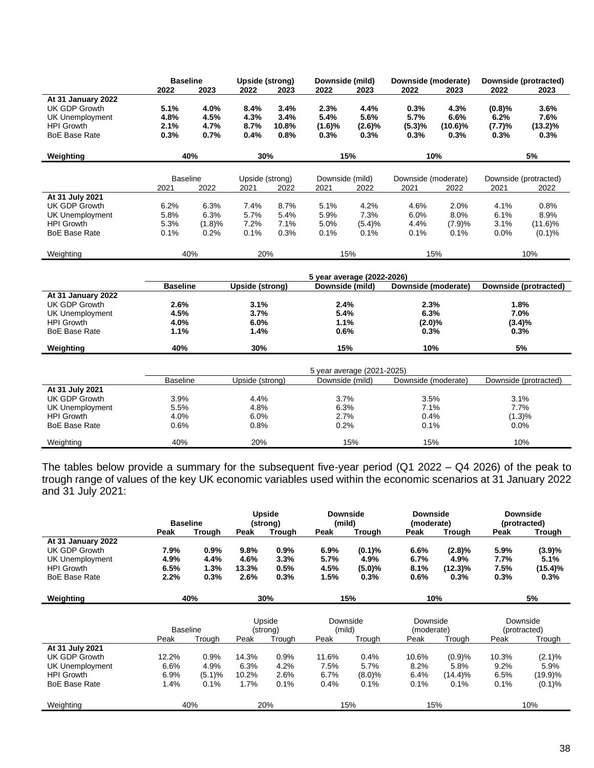|                                                                      | <b>Baseline</b><br>2022 | 2023           | <b>Upside (strong)</b><br>2022 | 2023          | Downside (mild)<br>2022 | 2023                       | Downside (moderate)<br>2022 | 2023               | 2022           | Downside (protracted)<br>2023 |
|----------------------------------------------------------------------|-------------------------|----------------|--------------------------------|---------------|-------------------------|----------------------------|-----------------------------|--------------------|----------------|-------------------------------|
| At 31 January 2022<br><b>UK GDP Growth</b><br><b>UK Unemployment</b> | 5.1%<br>4.8%            | 4.0%<br>4.5%   | 8.4%<br>4.3%                   | 3.4%<br>3.4%  | 2.3%<br>5.4%            | 4.4%<br>5.6%               | 0.3%<br>5.7%                | 4.3%<br>6.6%       | (0.8)%<br>6.2% | 3.6%<br>7.6%                  |
| <b>HPI Growth</b><br><b>BoE Base Rate</b>                            | 2.1%<br>0.3%            | 4.7%<br>0.7%   | 8.7%<br>0.4%                   | 10.8%<br>0.8% | (1.6)%<br>0.3%          | (2.6)%<br>0.3%             | (5.3)%<br>0.3%              | $(10.6)\%$<br>0.3% | (7.7)%<br>0.3% | $(13.2)\%$<br>0.3%            |
| Weighting                                                            |                         | 40%            | 30%                            |               |                         | 15%                        |                             | 10%                |                | 5%                            |
|                                                                      | <b>Baseline</b>         |                | Upside (strong)                |               | Downside (mild)         |                            | Downside (moderate)         |                    |                | Downside (protracted)         |
|                                                                      | 2021                    | 2022           | 2021                           | 2022          | 2021                    | 2022                       | 2021                        | 2022               | 2021           | 2022                          |
| At 31 July 2021                                                      |                         |                |                                |               |                         |                            |                             |                    |                |                               |
| <b>UK GDP Growth</b>                                                 | 6.2%                    | 6.3%<br>6.3%   | 7.4%<br>5.7%                   | 8.7%<br>5.4%  | 5.1%                    | 4.2%<br>7.3%               | 4.6%<br>6.0%                | 2.0%               | 4.1%           | 0.8%                          |
| <b>UK Unemployment</b>                                               | 5.8%                    |                |                                |               | 5.9%                    |                            |                             | 8.0%               | 6.1%           | 8.9%                          |
| <b>HPI Growth</b><br><b>BoE Base Rate</b>                            | 5.3%<br>0.1%            | (1.8)%<br>0.2% | 7.2%<br>0.1%                   | 7.1%<br>0.3%  | 5.0%<br>0.1%            | (5.4)%<br>0.1%             | 4.4%<br>0.1%                | (7.9)%<br>0.1%     | 3.1%<br>0.0%   | $(11.6)\%$<br>(0.1)%          |
|                                                                      |                         |                |                                |               |                         |                            |                             |                    |                |                               |
| Weighting                                                            |                         | 40%            | 20%                            |               |                         | 15%                        |                             | 15%                |                | 10%                           |
|                                                                      |                         |                |                                |               |                         |                            |                             |                    |                |                               |
|                                                                      |                         |                |                                |               |                         | 5 year average (2022-2026) |                             |                    |                |                               |
|                                                                      | <b>Baseline</b>         |                | <b>Upside (strong)</b>         |               | Downside (mild)         |                            | Downside (moderate)         |                    |                | Downside (protracted)         |
| At 31 January 2022<br><b>UK GDP Growth</b>                           | 2.6%                    |                | 3.1%                           |               | 2.4%                    |                            | 2.3%                        |                    | 1.8%           |                               |
| <b>UK Unemployment</b>                                               | 4.5%                    |                | 3.7%                           |               | 5.4%                    |                            | 6.3%                        |                    | 7.0%           |                               |
| <b>HPI Growth</b>                                                    | 4.0%                    |                | 6.0%                           |               | 1.1%                    |                            | $(2.0)\%$                   |                    | (3.4)%         |                               |
| <b>BoE Base Rate</b>                                                 | 1.1%                    |                | 1.4%                           |               | 0.6%                    |                            | 0.3%                        |                    | 0.3%           |                               |
|                                                                      |                         |                |                                |               |                         |                            |                             |                    |                |                               |
| Weighting                                                            | 40%                     |                | 30%                            |               | 15%                     |                            | 10%                         |                    |                | 5%                            |
|                                                                      |                         |                |                                |               |                         | 5 year average (2021-2025) |                             |                    |                |                               |
|                                                                      | <b>Baseline</b>         |                | Upside (strong)                |               | Downside (mild)         |                            | Downside (moderate)         |                    |                | Downside (protracted)         |
| At 31 July 2021                                                      |                         |                |                                |               |                         |                            |                             |                    |                |                               |
| UK GDP Growth                                                        | 3.9%                    |                | 4.4%                           |               | 3.7%                    |                            | 3.5%                        |                    | 3.1%           |                               |
| <b>UK Unemployment</b>                                               | 5.5%                    |                | 4.8%                           |               | 6.3%                    |                            | 7.1%                        |                    | 7.7%           |                               |
| <b>HPI Growth</b>                                                    | 4.0%                    |                | 6.0%                           |               | 2.7%                    |                            | 0.4%                        |                    | (1.3)%         |                               |
| <b>BoE Base Rate</b>                                                 | 0.6%                    |                | 0.8%                           |               | 0.2%                    |                            | 0.1%                        |                    | 0.0%           |                               |
| Weighting                                                            | 40%                     |                | 20%                            |               |                         | 15%                        | 15%                         |                    |                | 10%                           |

trough range of values of the key UK economic variables used within the economic scenarios at 31 January 2022 and 31 July 2021:

|                      | <b>Baseline</b> |         |       | Upside<br>(strong) | <b>Downside</b><br>(mild) |           | <b>Downside</b><br>(moderate) |            |       | <b>Downside</b><br>(protracted) |
|----------------------|-----------------|---------|-------|--------------------|---------------------------|-----------|-------------------------------|------------|-------|---------------------------------|
|                      | Peak            | Trough  | Peak  | Trough             | Peak                      | Trough    | Peak                          | Trough     | Peak  | Trough                          |
| At 31 January 2022   |                 |         |       |                    |                           |           |                               |            |       |                                 |
| UK GDP Growth        | 7.9%            | $0.9\%$ | 9.8%  | $0.9\%$            | $6.9\%$                   | (0.1)%    | 6.6%                          | $(2.8)\%$  | 5.9%  | (3.9)%                          |
| UK Unemployment      | 4.9%            | 4.4%    | 4.6%  | 3.3%               | 5.7%                      | 4.9%      | 6.7%                          | 4.9%       | 7.7%  | 5.1%                            |
| <b>HPI Growth</b>    | 6.5%            | 1.3%    | 13.3% | 0.5%               | 4.5%                      | $(5.0)\%$ | 8.1%                          | $(12.3)\%$ | 7.5%  | $(15.4)\%$                      |
| <b>BoE Base Rate</b> | 2.2%            | 0.3%    | 2.6%  | 0.3%               | 1.5%                      | 0.3%      | 0.6%                          | 0.3%       | 0.3%  | 0.3%                            |
|                      |                 |         |       |                    |                           |           |                               |            |       |                                 |
| Weighting            |                 | 40%     |       | 30%                |                           | 15%       | 10%                           |            |       | 5%                              |
|                      |                 |         |       |                    |                           |           |                               |            |       |                                 |
|                      |                 |         |       | Upside             | Downside                  |           | Downside                      |            |       | Downside                        |
|                      | <b>Baseline</b> |         |       | (strong)           | (mild)                    |           | (moderate)                    |            |       | (protracted)                    |
|                      | Peak            | Trough  | Peak  | Trough             | Peak                      | Trough    | Peak                          | Trough     | Peak  | Trough                          |
| At 31 July 2021      |                 |         |       |                    |                           |           |                               |            |       |                                 |
| UK GDP Growth        | 12.2%           | 0.9%    | 14.3% | 0.9%               | 11.6%                     | 0.4%      | 10.6%                         | (0.9)%     | 10.3% | $(2.1)\%$                       |
| UK Unemployment      | 6.6%            | 4.9%    | 6.3%  | 4.2%               | 7.5%                      | 5.7%      | 8.2%                          | 5.8%       | 9.2%  | 5.9%                            |
| <b>HPI Growth</b>    | 6.9%            | (5.1)%  | 10.2% | 2.6%               | 6.7%                      | (8.0)%    | 6.4%                          | (14.4)%    | 6.5%  | (19.9)%                         |
| <b>BoE Base Rate</b> | 1.4%            | 0.1%    | 1.7%  | 0.1%               | 0.4%                      | 0.1%      | 0.1%                          | 0.1%       | 0.1%  | (0.1)%                          |
| Weighting            |                 | 40%     |       | 20%                |                           | 15%       | 15%                           |            |       | 10%                             |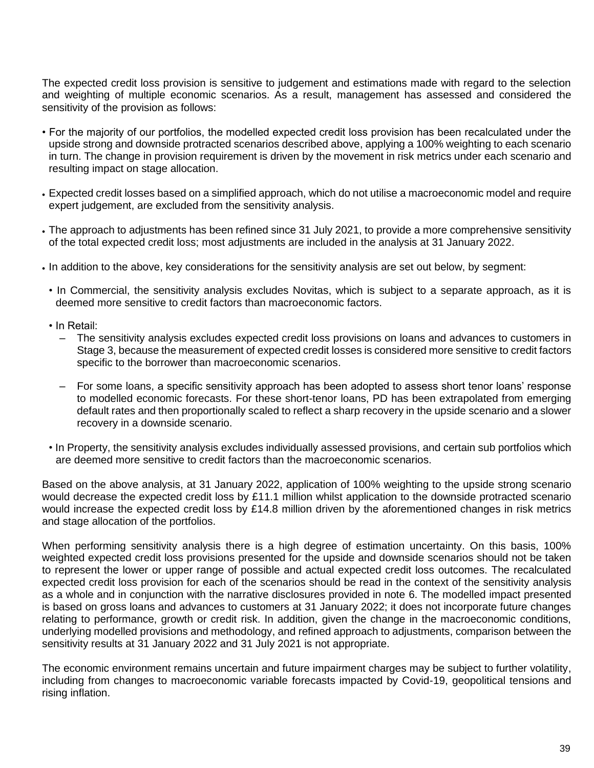The expected credit loss provision is sensitive to judgement and estimations made with regard to the selection and weighting of multiple economic scenarios. As a result, management has assessed and considered the sensitivity of the provision as follows:

- For the majority of our portfolios, the modelled expected credit loss provision has been recalculated under the upside strong and downside protracted scenarios described above, applying a 100% weighting to each scenario in turn. The change in provision requirement is driven by the movement in risk metrics under each scenario and resulting impact on stage allocation.
- Expected credit losses based on a simplified approach, which do not utilise a macroeconomic model and require expert judgement, are excluded from the sensitivity analysis.
- The approach to adjustments has been refined since 31 July 2021, to provide a more comprehensive sensitivity of the total expected credit loss; most adjustments are included in the analysis at 31 January 2022.
- In addition to the above, key considerations for the sensitivity analysis are set out below, by segment:
	- In Commercial, the sensitivity analysis excludes Novitas, which is subject to a separate approach, as it is deemed more sensitive to credit factors than macroeconomic factors.
	- In Retail:
		- ‒ The sensitivity analysis excludes expected credit loss provisions on loans and advances to customers in Stage 3, because the measurement of expected credit losses is considered more sensitive to credit factors specific to the borrower than macroeconomic scenarios.
		- ‒ For some loans, a specific sensitivity approach has been adopted to assess short tenor loans' response to modelled economic forecasts. For these short-tenor loans, PD has been extrapolated from emerging default rates and then proportionally scaled to reflect a sharp recovery in the upside scenario and a slower recovery in a downside scenario.
	- In Property, the sensitivity analysis excludes individually assessed provisions, and certain sub portfolios which are deemed more sensitive to credit factors than the macroeconomic scenarios.

Based on the above analysis, at 31 January 2022, application of 100% weighting to the upside strong scenario would decrease the expected credit loss by £11.1 million whilst application to the downside protracted scenario would increase the expected credit loss by £14.8 million driven by the aforementioned changes in risk metrics and stage allocation of the portfolios.

When performing sensitivity analysis there is a high degree of estimation uncertainty. On this basis, 100% weighted expected credit loss provisions presented for the upside and downside scenarios should not be taken to represent the lower or upper range of possible and actual expected credit loss outcomes. The recalculated expected credit loss provision for each of the scenarios should be read in the context of the sensitivity analysis as a whole and in conjunction with the narrative disclosures provided in note 6. The modelled impact presented is based on gross loans and advances to customers at 31 January 2022; it does not incorporate future changes relating to performance, growth or credit risk. In addition, given the change in the macroeconomic conditions, underlying modelled provisions and methodology, and refined approach to adjustments, comparison between the sensitivity results at 31 January 2022 and 31 July 2021 is not appropriate.

The economic environment remains uncertain and future impairment charges may be subject to further volatility, including from changes to macroeconomic variable forecasts impacted by Covid-19, geopolitical tensions and rising inflation.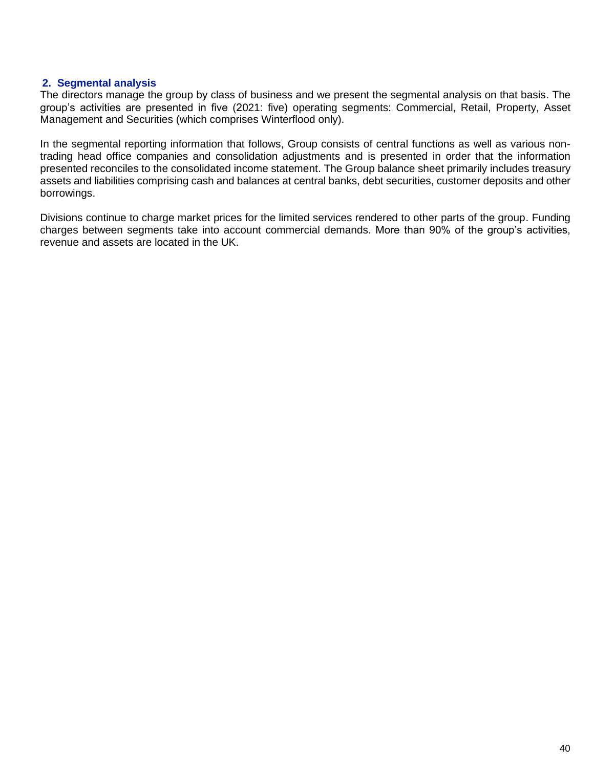# **2. Segmental analysis**

The directors manage the group by class of business and we present the segmental analysis on that basis. The group's activities are presented in five (2021: five) operating segments: Commercial, Retail, Property, Asset Management and Securities (which comprises Winterflood only).

In the segmental reporting information that follows, Group consists of central functions as well as various nontrading head office companies and consolidation adjustments and is presented in order that the information presented reconciles to the consolidated income statement. The Group balance sheet primarily includes treasury assets and liabilities comprising cash and balances at central banks, debt securities, customer deposits and other borrowings.

Divisions continue to charge market prices for the limited services rendered to other parts of the group. Funding charges between segments take into account commercial demands. More than 90% of the group's activities, revenue and assets are located in the UK.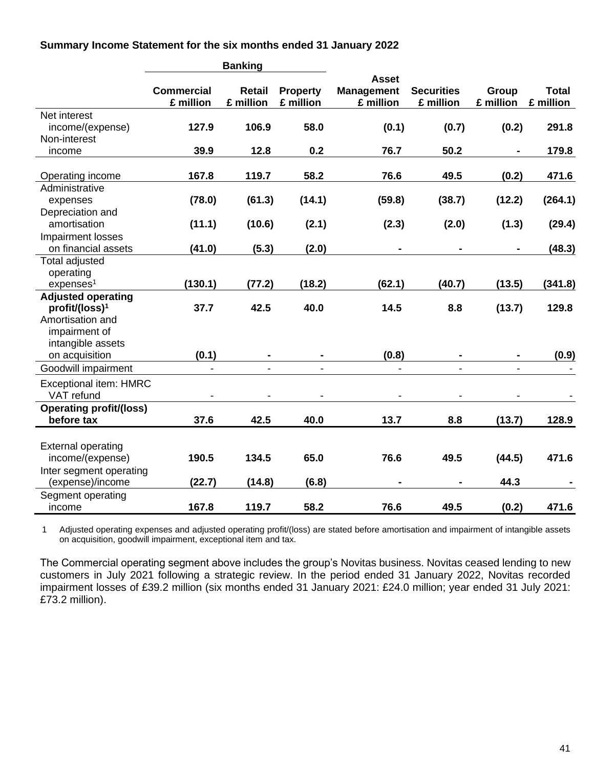**Summary Income Statement for the six months ended 31 January 2022**

|                                  |                                | <b>Banking</b>             |                              |                                                |                                |                    |                           |
|----------------------------------|--------------------------------|----------------------------|------------------------------|------------------------------------------------|--------------------------------|--------------------|---------------------------|
|                                  | <b>Commercial</b><br>£ million | <b>Retail</b><br>£ million | <b>Property</b><br>£ million | <b>Asset</b><br><b>Management</b><br>£ million | <b>Securities</b><br>£ million | Group<br>£ million | <b>Total</b><br>£ million |
| Net interest                     |                                |                            |                              |                                                |                                |                    |                           |
| income/(expense)<br>Non-interest | 127.9                          | 106.9                      | 58.0                         | (0.1)                                          | (0.7)                          | (0.2)              | 291.8                     |
| income                           | 39.9                           | 12.8                       | 0.2                          | 76.7                                           | 50.2                           |                    | 179.8                     |
| Operating income                 | 167.8                          | 119.7                      | 58.2                         | 76.6                                           | 49.5                           | (0.2)              | 471.6                     |
| Administrative                   |                                |                            |                              |                                                |                                |                    |                           |
| expenses                         | (78.0)                         | (61.3)                     | (14.1)                       | (59.8)                                         | (38.7)                         | (12.2)             | (264.1)                   |
| Depreciation and                 |                                |                            |                              |                                                |                                |                    |                           |
| amortisation                     | (11.1)                         | (10.6)                     | (2.1)                        | (2.3)                                          | (2.0)                          | (1.3)              | (29.4)                    |
| Impairment losses                |                                |                            |                              |                                                |                                |                    |                           |
| on financial assets              | (41.0)                         | (5.3)                      | (2.0)                        |                                                |                                |                    | (48.3)                    |
| <b>Total adjusted</b>            |                                |                            |                              |                                                |                                |                    |                           |
| operating                        |                                |                            |                              |                                                |                                |                    |                           |
| expenses <sup>1</sup>            | (130.1)                        | (77.2)                     | (18.2)                       | (62.1)                                         | (40.7)                         | (13.5)             | (341.8)                   |
| <b>Adjusted operating</b>        |                                |                            |                              |                                                |                                |                    |                           |
| profit/(loss) <sup>1</sup>       | 37.7                           | 42.5                       | 40.0                         | 14.5                                           | 8.8                            | (13.7)             | 129.8                     |
| Amortisation and                 |                                |                            |                              |                                                |                                |                    |                           |
| impairment of                    |                                |                            |                              |                                                |                                |                    |                           |
| intangible assets                | (0.1)                          |                            |                              | (0.8)                                          |                                |                    |                           |
| on acquisition                   |                                |                            |                              |                                                |                                |                    | (0.9)                     |
| Goodwill impairment              | $\blacksquare$                 |                            |                              | $\blacksquare$                                 |                                |                    |                           |
| <b>Exceptional item: HMRC</b>    |                                |                            |                              |                                                |                                |                    |                           |
| VAT refund                       |                                |                            |                              |                                                |                                |                    |                           |
| <b>Operating profit/(loss)</b>   |                                |                            |                              |                                                |                                |                    |                           |
| before tax                       | 37.6                           | 42.5                       | 40.0                         | 13.7                                           | 8.8                            | (13.7)             | 128.9                     |
|                                  |                                |                            |                              |                                                |                                |                    |                           |
| <b>External operating</b>        |                                |                            |                              |                                                |                                |                    |                           |
| income/(expense)                 | 190.5                          | 134.5                      | 65.0                         | 76.6                                           | 49.5                           | (44.5)             | 471.6                     |
| Inter segment operating          |                                |                            |                              |                                                |                                |                    |                           |
| (expense)/income                 | (22.7)                         | (14.8)                     | (6.8)                        |                                                |                                | 44.3               |                           |
| Segment operating                |                                |                            |                              |                                                |                                |                    |                           |
| income                           | 167.8                          | 119.7                      | 58.2                         | 76.6                                           | 49.5                           | (0.2)              | 471.6                     |

1 Adjusted operating expenses and adjusted operating profit/(loss) are stated before amortisation and impairment of intangible assets on acquisition, goodwill impairment, exceptional item and tax.

The Commercial operating segment above includes the group's Novitas business. Novitas ceased lending to new customers in July 2021 following a strategic review. In the period ended 31 January 2022, Novitas recorded impairment losses of £39.2 million (six months ended 31 January 2021: £24.0 million; year ended 31 July 2021: £73.2 million).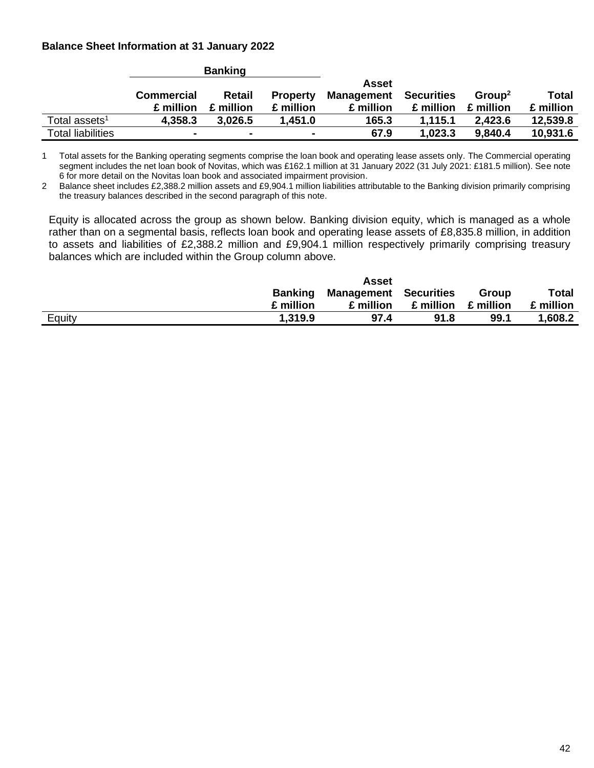# **Balance Sheet Information at 31 January 2022**

|                           |                                | <b>Banking</b>             |                              |                                         |                                |                                 |                    |
|---------------------------|--------------------------------|----------------------------|------------------------------|-----------------------------------------|--------------------------------|---------------------------------|--------------------|
|                           | <b>Commercial</b><br>£ million | <b>Retail</b><br>£ million | <b>Property</b><br>£ million | Asset<br><b>Management</b><br>£ million | <b>Securities</b><br>£ million | Group <sup>2</sup><br>£ million | Total<br>£ million |
| Total assets <sup>1</sup> | 4,358.3                        | 3.026.5                    | 1,451.0                      | 165.3                                   | 1.115.1                        | 2.423.6                         | 12,539.8           |
| <b>Total liabilities</b>  |                                | $\overline{\phantom{a}}$   |                              | 67.9                                    | 1,023.3                        | 9,840.4                         | 10,931.6           |

1 Total assets for the Banking operating segments comprise the loan book and operating lease assets only. The Commercial operating segment includes the net loan book of Novitas, which was £162.1 million at 31 January 2022 (31 July 2021: £181.5 million). See note 6 for more detail on the Novitas loan book and associated impairment provision.

2 Balance sheet includes £2,388.2 million assets and £9,904.1 million liabilities attributable to the Banking division primarily comprising the treasury balances described in the second paragraph of this note.

Equity is allocated across the group as shown below. Banking division equity, which is managed as a whole rather than on a segmental basis, reflects loan book and operating lease assets of £8,835.8 million, in addition to assets and liabilities of £2,388.2 million and £9,904.1 million respectively primarily comprising treasury balances which are included within the Group column above.

|        |           | Asset                        |                         |       |           |
|--------|-----------|------------------------------|-------------------------|-------|-----------|
|        | Banking   | <b>Management Securities</b> |                         | Group | Total     |
|        | £ million | £ million                    | $£$ million $£$ million |       | £ million |
| Equity | 1.319.9   | 97.4                         | 91.8                    | 99.1  | 1,608.2   |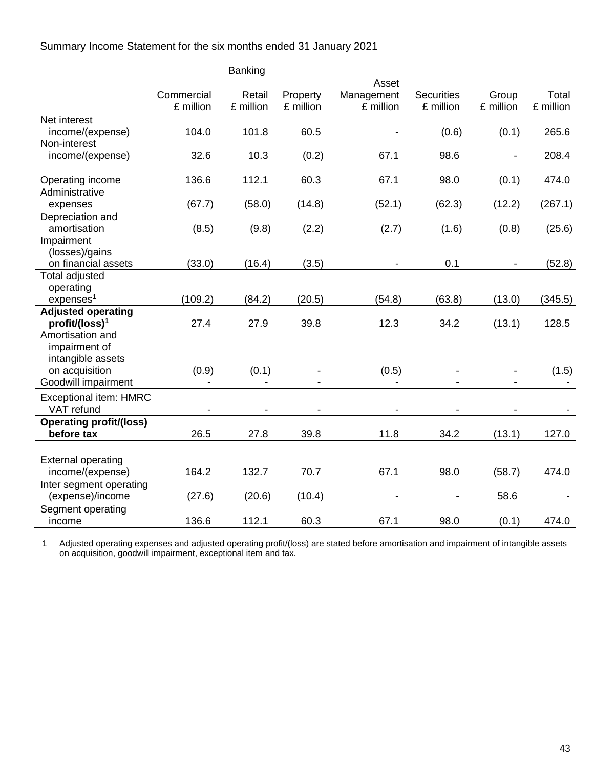Summary Income Statement for the six months ended 31 January 2021

|                                       |            | <b>Banking</b> |           |            |                              |           |           |
|---------------------------------------|------------|----------------|-----------|------------|------------------------------|-----------|-----------|
|                                       |            |                |           | Asset      |                              |           |           |
|                                       | Commercial | Retail         | Property  | Management | <b>Securities</b>            | Group     | Total     |
|                                       | £ million  | £ million      | £ million | £ million  | £ million                    | £ million | £ million |
| Net interest                          |            |                |           |            |                              |           |           |
| income/(expense)                      | 104.0      | 101.8          | 60.5      |            | (0.6)                        | (0.1)     | 265.6     |
| Non-interest                          |            |                |           |            |                              |           |           |
| income/(expense)                      | 32.6       | 10.3           | (0.2)     | 67.1       | 98.6                         |           | 208.4     |
|                                       |            |                |           |            |                              |           |           |
| Operating income                      | 136.6      | 112.1          | 60.3      | 67.1       | 98.0                         | (0.1)     | 474.0     |
| Administrative                        |            |                |           |            |                              |           |           |
| expenses                              | (67.7)     | (58.0)         | (14.8)    | (52.1)     | (62.3)                       | (12.2)    | (267.1)   |
| Depreciation and                      |            |                |           |            |                              |           |           |
| amortisation                          | (8.5)      | (9.8)          | (2.2)     | (2.7)      | (1.6)                        | (0.8)     | (25.6)    |
| Impairment                            |            |                |           |            |                              |           |           |
| (losses)/gains<br>on financial assets |            | (16.4)         |           |            |                              |           |           |
| Total adjusted                        | (33.0)     |                | (3.5)     |            | 0.1                          |           | (52.8)    |
| operating                             |            |                |           |            |                              |           |           |
| expenses <sup>1</sup>                 | (109.2)    | (84.2)         | (20.5)    | (54.8)     | (63.8)                       | (13.0)    | (345.5)   |
| <b>Adjusted operating</b>             |            |                |           |            |                              |           |           |
| profit/(loss) <sup>1</sup>            | 27.4       | 27.9           | 39.8      | 12.3       | 34.2                         | (13.1)    | 128.5     |
| Amortisation and                      |            |                |           |            |                              |           |           |
| impairment of                         |            |                |           |            |                              |           |           |
| intangible assets                     |            |                |           |            |                              |           |           |
| on acquisition                        | (0.9)      | (0.1)          |           | (0.5)      |                              |           | (1.5)     |
| Goodwill impairment                   |            |                |           |            | $\qquad \qquad \blacksquare$ |           |           |
| Exceptional item: HMRC                |            |                |           |            |                              |           |           |
| VAT refund                            |            |                |           |            |                              |           |           |
| <b>Operating profit/(loss)</b>        |            |                |           |            |                              |           |           |
| before tax                            | 26.5       | 27.8           | 39.8      | 11.8       | 34.2                         | (13.1)    | 127.0     |
|                                       |            |                |           |            |                              |           |           |
| <b>External operating</b>             |            |                |           |            |                              |           |           |
| income/(expense)                      | 164.2      | 132.7          | 70.7      | 67.1       | 98.0                         | (58.7)    | 474.0     |
| Inter segment operating               |            |                |           |            |                              |           |           |
| (expense)/income                      | (27.6)     | (20.6)         | (10.4)    |            |                              | 58.6      |           |
| Segment operating                     |            |                |           |            |                              |           |           |
| income                                | 136.6      | 112.1          | 60.3      | 67.1       | 98.0                         | (0.1)     | 474.0     |

1 Adjusted operating expenses and adjusted operating profit/(loss) are stated before amortisation and impairment of intangible assets on acquisition, goodwill impairment, exceptional item and tax.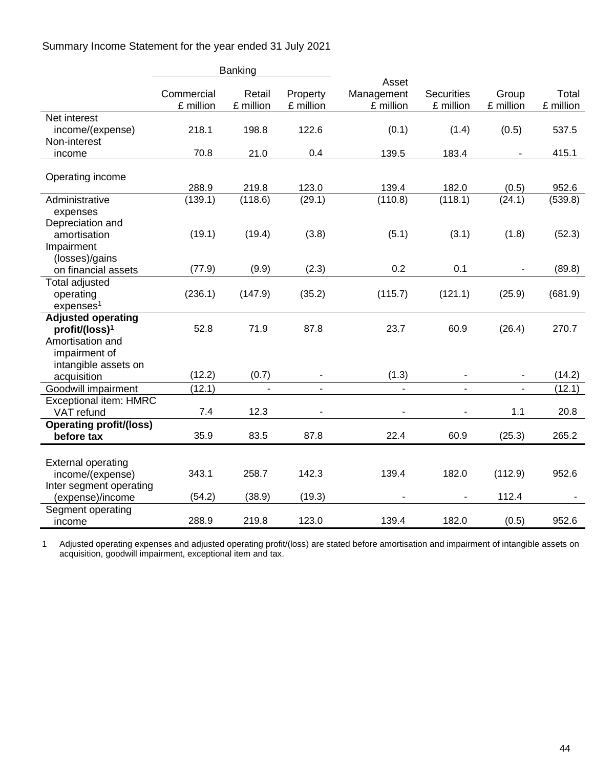Summary Income Statement for the year ended 31 July 2021

|                                | Banking    |                |                       |                         |                          |                          |           |
|--------------------------------|------------|----------------|-----------------------|-------------------------|--------------------------|--------------------------|-----------|
|                                | Commercial | Retail         |                       | Asset                   | <b>Securities</b>        | Group                    | Total     |
|                                | £ million  | £ million      | Property<br>£ million | Management<br>£ million | £ million                | £ million                | £ million |
| Net interest                   |            |                |                       |                         |                          |                          |           |
| income/(expense)               | 218.1      | 198.8          | 122.6                 | (0.1)                   | (1.4)                    | (0.5)                    | 537.5     |
| Non-interest                   |            |                |                       |                         |                          |                          |           |
| income                         | 70.8       | 21.0           | 0.4                   | 139.5                   | 183.4                    |                          | 415.1     |
|                                |            |                |                       |                         |                          |                          |           |
| Operating income               |            |                |                       |                         |                          |                          |           |
|                                | 288.9      | 219.8          | 123.0                 | 139.4                   | 182.0                    | (0.5)                    | 952.6     |
| Administrative                 | (139.1)    | (118.6)        | (29.1)                | (110.8)                 | (118.1)                  | (24.1)                   | (539.8)   |
| expenses                       |            |                |                       |                         |                          |                          |           |
| Depreciation and               |            |                |                       |                         |                          |                          |           |
| amortisation                   | (19.1)     | (19.4)         | (3.8)                 | (5.1)                   | (3.1)                    | (1.8)                    | (52.3)    |
| Impairment                     |            |                |                       |                         |                          |                          |           |
| (losses)/gains                 |            |                |                       |                         |                          |                          |           |
| on financial assets            | (77.9)     | (9.9)          | (2.3)                 | 0.2                     | 0.1                      | $\overline{\phantom{a}}$ | (89.8)    |
| <b>Total adjusted</b>          |            |                |                       |                         |                          |                          |           |
| operating                      | (236.1)    | (147.9)        | (35.2)                | (115.7)                 | (121.1)                  | (25.9)                   | (681.9)   |
| express <sup>1</sup>           |            |                |                       |                         |                          |                          |           |
| <b>Adjusted operating</b>      |            |                |                       |                         |                          |                          |           |
| profit/(loss) <sup>1</sup>     | 52.8       | 71.9           | 87.8                  | 23.7                    | 60.9                     | (26.4)                   | 270.7     |
| Amortisation and               |            |                |                       |                         |                          |                          |           |
| impairment of                  |            |                |                       |                         |                          |                          |           |
| intangible assets on           |            |                |                       |                         |                          |                          |           |
| acquisition                    | (12.2)     | (0.7)          |                       | (1.3)                   |                          |                          | (14.2)    |
| Goodwill impairment            | (12.1)     | $\blacksquare$ | $\blacksquare$        | $\blacksquare$          | $\overline{\phantom{a}}$ | $\blacksquare$           | (12.1)    |
| <b>Exceptional item: HMRC</b>  |            |                |                       |                         |                          |                          |           |
| VAT refund                     | 7.4        | 12.3           |                       |                         |                          | 1.1                      | 20.8      |
| <b>Operating profit/(loss)</b> |            |                |                       |                         |                          |                          |           |
| before tax                     | 35.9       | 83.5           | 87.8                  | 22.4                    | 60.9                     | (25.3)                   | 265.2     |
|                                |            |                |                       |                         |                          |                          |           |
| <b>External operating</b>      |            |                |                       |                         |                          |                          |           |
| income/(expense)               | 343.1      | 258.7          | 142.3                 | 139.4                   | 182.0                    | (112.9)                  | 952.6     |
| Inter segment operating        |            |                |                       |                         |                          |                          |           |
| (expense)/income               | (54.2)     | (38.9)         | (19.3)                |                         | $\blacksquare$           | 112.4                    |           |
| Segment operating              |            |                |                       |                         |                          |                          |           |
| income                         | 288.9      | 219.8          | 123.0                 | 139.4                   | 182.0                    | (0.5)                    | 952.6     |

1 Adjusted operating expenses and adjusted operating profit/(loss) are stated before amortisation and impairment of intangible assets on acquisition, goodwill impairment, exceptional item and tax.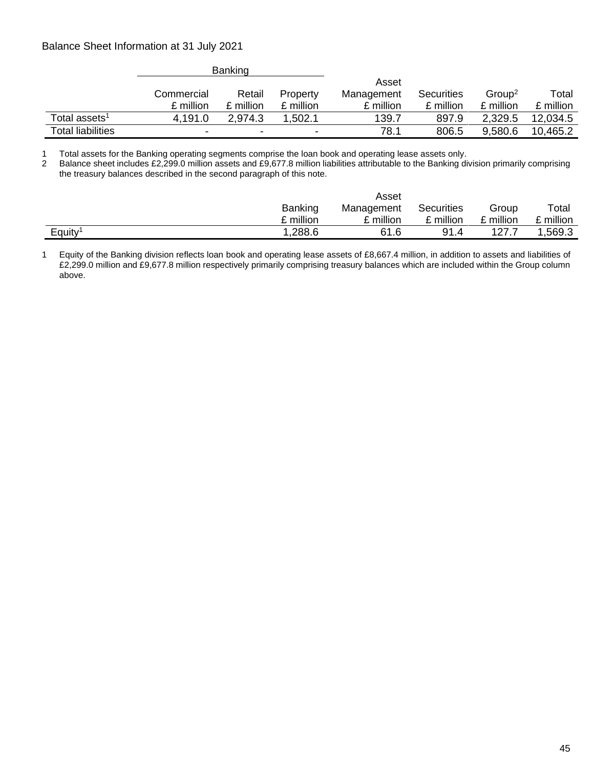# Balance Sheet Information at 31 July 2021

|                          | <b>Banking</b> |                          |                          |            |            |                    |           |
|--------------------------|----------------|--------------------------|--------------------------|------------|------------|--------------------|-----------|
|                          |                |                          |                          | Asset      |            |                    |           |
|                          | Commercial     | Retail                   | Property                 | Management | Securities | Group <sup>2</sup> | Total     |
|                          | £ million      | £ million                | £ million                | £ million  | £ million  | £ million          | £ million |
| Total assets $^{\rm 1}$  | 4,191.0        | 2.974.3                  | 1,502.1                  | 139.7      | 897.9      | 2,329.5            | 12,034.5  |
| <b>Total liabilities</b> | ۰              | $\overline{\phantom{0}}$ | $\overline{\phantom{0}}$ | 78.1       | 806.5      | 9,580.6            | 10,465.2  |

1 Total assets for the Banking operating segments comprise the loan book and operating lease assets only.

2 Balance sheet includes £2,299.0 million assets and £9,677.8 million liabilities attributable to the Banking division primarily comprising the treasury balances described in the second paragraph of this note.

|        | Asset          |            |            |           |           |  |  |
|--------|----------------|------------|------------|-----------|-----------|--|--|
|        | <b>Banking</b> | Management | Securities | Group     | Total     |  |  |
|        | £ million      | £ million  | £ million  | £ million | ∩ million |  |  |
| Equity | 1,288.6        | 61.6       | 91.4       | 127.      | ,569.3    |  |  |

1 Equity of the Banking division reflects loan book and operating lease assets of £8,667.4 million, in addition to assets and liabilities of £2,299.0 million and £9,677.8 million respectively primarily comprising treasury balances which are included within the Group column above.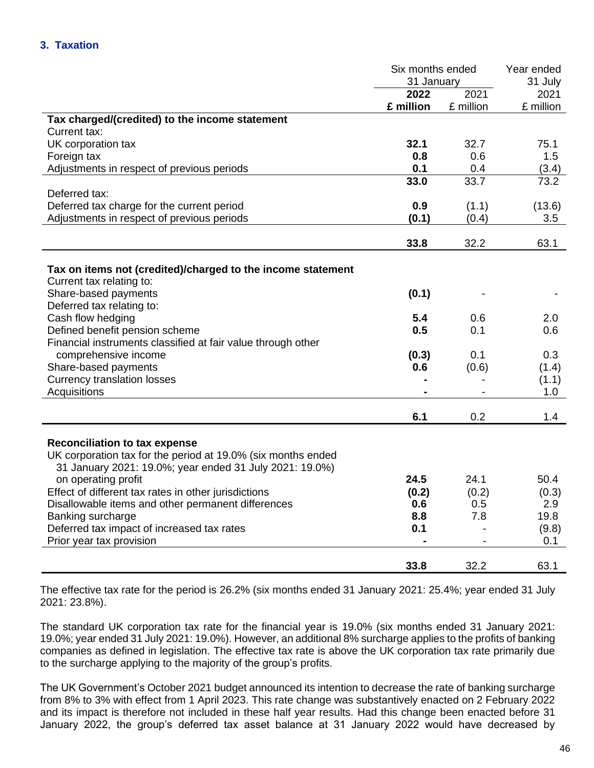|                                                              | Six months ended |                | Year ended |  |
|--------------------------------------------------------------|------------------|----------------|------------|--|
|                                                              | 31 January       | 31 July        |            |  |
|                                                              | 2022             | 2021           | 2021       |  |
|                                                              | £ million        | £ million      | £ million  |  |
| Tax charged/(credited) to the income statement               |                  |                |            |  |
| Current tax:                                                 |                  |                |            |  |
| UK corporation tax                                           | 32.1             | 32.7           | 75.1       |  |
| Foreign tax                                                  | 0.8              | 0.6            | 1.5        |  |
| Adjustments in respect of previous periods                   | 0.1              | 0.4            | (3.4)      |  |
|                                                              | 33.0             | 33.7           | 73.2       |  |
| Deferred tax:                                                |                  |                |            |  |
| Deferred tax charge for the current period                   | 0.9              | (1.1)          | (13.6)     |  |
| Adjustments in respect of previous periods                   | (0.1)            | (0.4)          | 3.5        |  |
|                                                              |                  |                |            |  |
|                                                              | 33.8             | 32.2           | 63.1       |  |
|                                                              |                  |                |            |  |
| Tax on items not (credited)/charged to the income statement  |                  |                |            |  |
| Current tax relating to:                                     |                  |                |            |  |
| Share-based payments                                         | (0.1)            |                |            |  |
| Deferred tax relating to:                                    |                  |                |            |  |
| Cash flow hedging                                            | 5.4              | 0.6            | 2.0        |  |
| Defined benefit pension scheme                               | 0.5              | 0.1            | 0.6        |  |
| Financial instruments classified at fair value through other |                  |                |            |  |
| comprehensive income                                         | (0.3)            | 0.1            | 0.3        |  |
| Share-based payments                                         | 0.6              | (0.6)          | (1.4)      |  |
| <b>Currency translation losses</b>                           |                  |                | (1.1)      |  |
| Acquisitions                                                 |                  |                | 1.0        |  |
|                                                              | 6.1              | 0.2            | 1.4        |  |
|                                                              |                  |                |            |  |
| <b>Reconciliation to tax expense</b>                         |                  |                |            |  |
| UK corporation tax for the period at 19.0% (six months ended |                  |                |            |  |
| 31 January 2021: 19.0%; year ended 31 July 2021: 19.0%)      |                  |                |            |  |
| on operating profit                                          | 24.5             | 24.1           | 50.4       |  |
| Effect of different tax rates in other jurisdictions         | (0.2)            | (0.2)          | (0.3)      |  |
| Disallowable items and other permanent differences           | 0.6              | 0.5            | 2.9        |  |
| Banking surcharge                                            | 8.8              | 7.8            | 19.8       |  |
| Deferred tax impact of increased tax rates                   | 0.1              | $\blacksquare$ | (9.8)      |  |
| Prior year tax provision                                     |                  |                | 0.1        |  |
|                                                              |                  |                |            |  |
|                                                              | 33.8             | 32.2           | 63.1       |  |

The effective tax rate for the period is 26.2% (six months ended 31 January 2021: 25.4%; year ended 31 July 2021: 23.8%).

The standard UK corporation tax rate for the financial year is 19.0% (six months ended 31 January 2021: 19.0%; year ended 31 July 2021: 19.0%). However, an additional 8% surcharge applies to the profits of banking companies as defined in legislation. The effective tax rate is above the UK corporation tax rate primarily due to the surcharge applying to the majority of the group's profits.

The UK Government's October 2021 budget announced its intention to decrease the rate of banking surcharge from 8% to 3% with effect from 1 April 2023. This rate change was substantively enacted on 2 February 2022 and its impact is therefore not included in these half year results. Had this change been enacted before 31 January 2022, the group's deferred tax asset balance at 31 January 2022 would have decreased by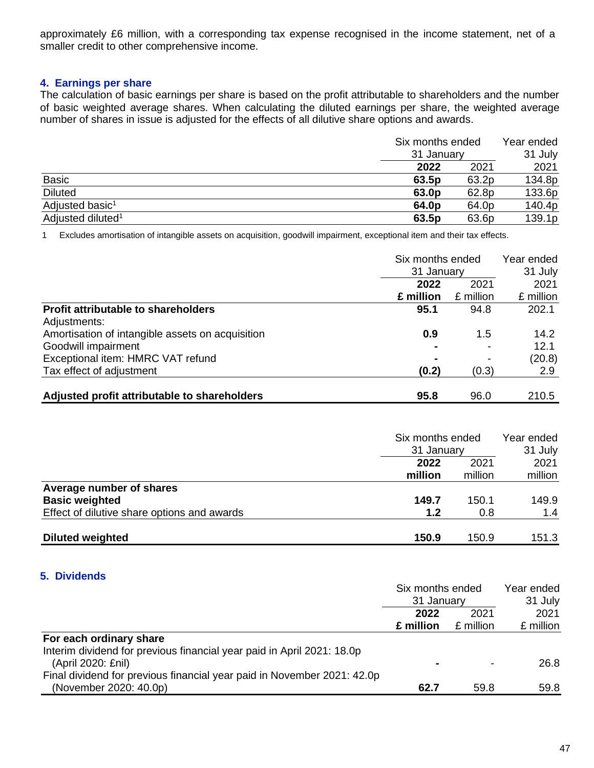approximately £6 million, with a corresponding tax expense recognised in the income statement, net of a smaller credit to other comprehensive income.

### **4. Earnings per share**

The calculation of basic earnings per share is based on the profit attributable to shareholders and the number of basic weighted average shares. When calculating the diluted earnings per share, the weighted average number of shares in issue is adjusted for the effects of all dilutive share options and awards.

|                               | Six months ended<br>31 January | Year ended<br>31 July |
|-------------------------------|--------------------------------|-----------------------|
|                               | 2021<br>2022                   | 2021                  |
| <b>Basic</b>                  | 63.2p<br>63.5p                 | 134.8p                |
| <b>Diluted</b>                | 63.0p<br>62.8p                 | 133.6p                |
| Adjusted basic <sup>1</sup>   | 64.0 <sub>p</sub><br>64.0p     | 140.4p                |
| Adjusted diluted <sup>1</sup> | 63.5p<br>63.6p                 | 139.1p                |

1 Excludes amortisation of intangible assets on acquisition, goodwill impairment, exceptional item and their tax effects.

|                                                                         | Six months ended<br>31 January |                   | Year ended<br>31 July |  |
|-------------------------------------------------------------------------|--------------------------------|-------------------|-----------------------|--|
|                                                                         | 2022<br>£ million              | 2021<br>£ million | 2021<br>£ million     |  |
| <b>Profit attributable to shareholders</b><br>Adjustments:              | 95.1                           | 94.8              | 202.1                 |  |
| Amortisation of intangible assets on acquisition<br>Goodwill impairment | 0.9                            | 1.5<br>۰          | 14.2<br>12.1          |  |
| Exceptional item: HMRC VAT refund                                       |                                | -                 | (20.8)                |  |
| Tax effect of adjustment                                                | (0.2)                          | (0.3)             | 2.9                   |  |
| Adjusted profit attributable to shareholders                            | 95.8                           | 96.0              | 210.5                 |  |

|                                             | Six months ended<br>31 January |         | Year ended<br>31 July |  |
|---------------------------------------------|--------------------------------|---------|-----------------------|--|
|                                             | 2022                           | 2021    | 2021                  |  |
|                                             | million                        | million | million               |  |
| Average number of shares                    |                                |         |                       |  |
| <b>Basic weighted</b>                       | 149.7                          | 150.1   | 149.9                 |  |
| Effect of dilutive share options and awards | 1.2                            | 0.8     | 1.4                   |  |
| <b>Diluted weighted</b>                     | 150.9                          | 150.9   | 151.3                 |  |

### **5. Dividends**

|                                                                         | Six months ended |           | Year ended |  |
|-------------------------------------------------------------------------|------------------|-----------|------------|--|
|                                                                         | 31 January       |           | 31 July    |  |
|                                                                         | 2022             | 2021      | 2021       |  |
|                                                                         | £ million        | £ million | £ million  |  |
| For each ordinary share                                                 |                  |           |            |  |
| Interim dividend for previous financial year paid in April 2021: 18.0p  |                  |           |            |  |
| (April 2020: £nil)                                                      |                  |           | 26.8       |  |
| Final dividend for previous financial year paid in November 2021: 42.0p |                  |           |            |  |
| (November 2020: 40.0p)                                                  | 62.7             | 59.8      | 59.8       |  |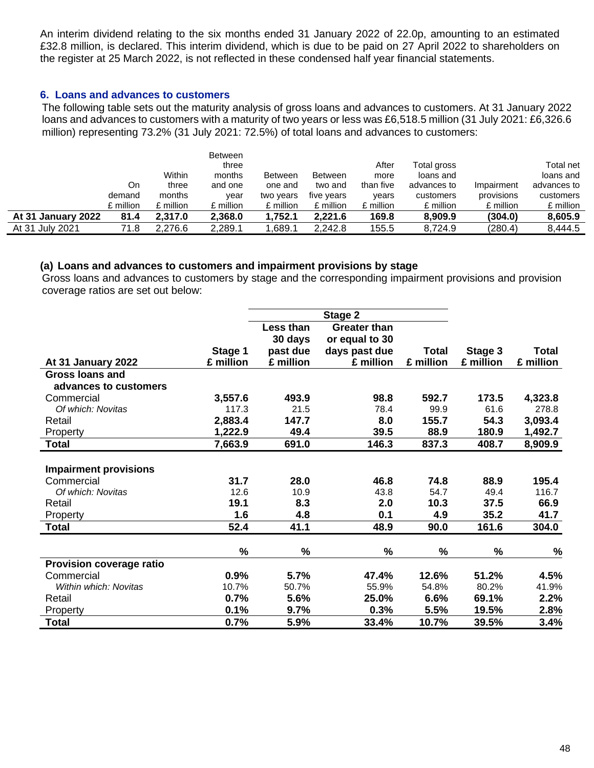An interim dividend relating to the six months ended 31 January 2022 of 22.0p, amounting to an estimated £32.8 million, is declared. This interim dividend, which is due to be paid on 27 April 2022 to shareholders on the register at 25 March 2022, is not reflected in these condensed half year financial statements.

### **6. Loans and advances to customers**

The following table sets out the maturity analysis of gross loans and advances to customers. At 31 January 2022 loans and advances to customers with a maturity of two years or less was £6,518.5 million (31 July 2021: £6,326.6 million) representing 73.2% (31 July 2021: 72.5%) of total loans and advances to customers:

|                    |           |           | <b>Between</b> |                |                |           |             |            |             |
|--------------------|-----------|-----------|----------------|----------------|----------------|-----------|-------------|------------|-------------|
|                    |           |           | three          |                |                | After     | Total gross |            | Total net   |
|                    |           | Within    | months         | <b>Between</b> | <b>Between</b> | more      | loans and   |            | loans and   |
|                    | On        | three     | and one        | one and        | two and        | than five | advances to | Impairment | advances to |
|                    | demand    | months    | year           | two years      | five years     | vears     | customers   | provisions | customers   |
|                    | £ million | £ million | £ million      | £ million      | £ million      | £ million | £ million   | £ million  | £ million   |
| At 31 January 2022 | 81.4      | 2.317.0   | 2,368.0        | 1.752.1        | 2.221.6        | 169.8     | 8.909.9     | (304.0)    | 8,605.9     |
| At 31 July 2021    | 71.8      | 2.276.6   | 2,289.1        | .689.1         | 2.242.8        | 155.5     | 8.724.9     | (280.4)    | 8,444.5     |

### **(a) Loans and advances to customers and impairment provisions by stage**

Gross loans and advances to customers by stage and the corresponding impairment provisions and provision coverage ratios are set out below:

|                              |           |           | Stage 2             |              |           |               |
|------------------------------|-----------|-----------|---------------------|--------------|-----------|---------------|
|                              |           | Less than | <b>Greater than</b> |              |           |               |
|                              |           | 30 days   | or equal to 30      |              |           |               |
|                              | Stage 1   | past due  | days past due       | <b>Total</b> | Stage 3   | <b>Total</b>  |
| At 31 January 2022           | £ million | £ million | £ million           | £ million    | £ million | £ million     |
| <b>Gross loans and</b>       |           |           |                     |              |           |               |
| advances to customers        |           |           |                     |              |           |               |
| Commercial                   | 3,557.6   | 493.9     | 98.8                | 592.7        | 173.5     | 4,323.8       |
| Of which: Novitas            | 117.3     | 21.5      | 78.4                | 99.9         | 61.6      | 278.8         |
| Retail                       | 2,883.4   | 147.7     | 8.0                 | 155.7        | 54.3      | 3,093.4       |
| Property                     | 1,222.9   | 49.4      | 39.5                | 88.9         | 180.9     | 1,492.7       |
| <b>Total</b>                 | 7,663.9   | 691.0     | 146.3               | 837.3        | 408.7     | 8,909.9       |
|                              |           |           |                     |              |           |               |
| <b>Impairment provisions</b> |           |           |                     |              |           |               |
| Commercial                   | 31.7      | 28.0      | 46.8                | 74.8         | 88.9      | 195.4         |
| Of which: Novitas            | 12.6      | 10.9      | 43.8                | 54.7         | 49.4      | 116.7         |
| Retail                       | 19.1      | 8.3       | 2.0                 | 10.3         | 37.5      | 66.9          |
| Property                     | 1.6       | 4.8       | 0.1                 | 4.9          | 35.2      | 41.7          |
| <b>Total</b>                 | 52.4      | 41.1      | 48.9                | 90.0         | 161.6     | 304.0         |
|                              |           |           |                     |              |           |               |
|                              | %         | %         | $\%$                | $\%$         | %         | $\frac{0}{0}$ |
| Provision coverage ratio     |           |           |                     |              |           |               |
| Commercial                   | 0.9%      | 5.7%      | 47.4%               | 12.6%        | 51.2%     | 4.5%          |
| Within which: Novitas        | 10.7%     | 50.7%     | 55.9%               | 54.8%        | 80.2%     | 41.9%         |
| Retail                       | 0.7%      | 5.6%      | 25.0%               | 6.6%         | 69.1%     | 2.2%          |
| Property                     | 0.1%      | 9.7%      | 0.3%                | 5.5%         | 19.5%     | 2.8%          |
| <b>Total</b>                 | 0.7%      | 5.9%      | 33.4%               | 10.7%        | 39.5%     | 3.4%          |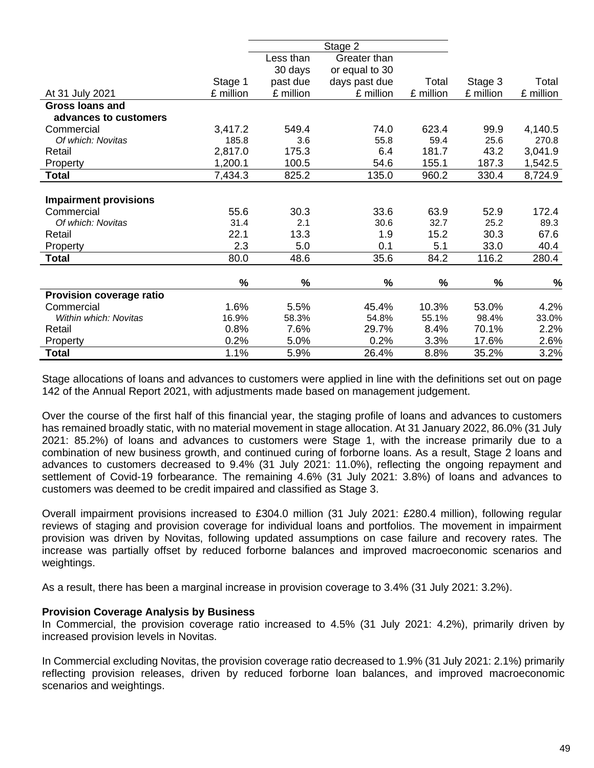|                              |               |           | Stage 2        |           |           |           |
|------------------------------|---------------|-----------|----------------|-----------|-----------|-----------|
|                              |               | Less than | Greater than   |           |           |           |
|                              |               | 30 days   | or equal to 30 |           |           |           |
|                              | Stage 1       | past due  | days past due  | Total     | Stage 3   | Total     |
| At 31 July 2021              | £ million     | £ million | £ million      | £ million | £ million | £ million |
| <b>Gross loans and</b>       |               |           |                |           |           |           |
| advances to customers        |               |           |                |           |           |           |
| Commercial                   | 3,417.2       | 549.4     | 74.0           | 623.4     | 99.9      | 4,140.5   |
| Of which: Novitas            | 185.8         | 3.6       | 55.8           | 59.4      | 25.6      | 270.8     |
| Retail                       | 2,817.0       | 175.3     | 6.4            | 181.7     | 43.2      | 3,041.9   |
| Property                     | 1,200.1       | 100.5     | 54.6           | 155.1     | 187.3     | 1,542.5   |
| <b>Total</b>                 | 7,434.3       | 825.2     | 135.0          | 960.2     | 330.4     | 8,724.9   |
|                              |               |           |                |           |           |           |
| <b>Impairment provisions</b> |               |           |                |           |           |           |
| Commercial                   | 55.6          | 30.3      | 33.6           | 63.9      | 52.9      | 172.4     |
| Of which: Novitas            | 31.4          | 2.1       | 30.6           | 32.7      | 25.2      | 89.3      |
| Retail                       | 22.1          | 13.3      | 1.9            | 15.2      | 30.3      | 67.6      |
| Property                     | 2.3           | 5.0       | 0.1            | 5.1       | 33.0      | 40.4      |
| <b>Total</b>                 | 80.0          | 48.6      | 35.6           | 84.2      | 116.2     | 280.4     |
|                              |               |           |                |           |           |           |
|                              | $\frac{0}{0}$ | $\%$      | %              | $\%$      | $\%$      | %         |
| Provision coverage ratio     |               |           |                |           |           |           |
| Commercial                   | 1.6%          | 5.5%      | 45.4%          | 10.3%     | 53.0%     | 4.2%      |
| Within which: Novitas        | 16.9%         | 58.3%     | 54.8%          | 55.1%     | 98.4%     | 33.0%     |
| Retail                       | 0.8%          | 7.6%      | 29.7%          | 8.4%      | 70.1%     | 2.2%      |
| Property                     | 0.2%          | 5.0%      | 0.2%           | 3.3%      | 17.6%     | 2.6%      |
| <b>Total</b>                 | 1.1%          | 5.9%      | 26.4%          | 8.8%      | 35.2%     | 3.2%      |

Stage allocations of loans and advances to customers were applied in line with the definitions set out on page 142 of the Annual Report 2021, with adjustments made based on management judgement.

Over the course of the first half of this financial year, the staging profile of loans and advances to customers has remained broadly static, with no material movement in stage allocation. At 31 January 2022, 86.0% (31 July 2021: 85.2%) of loans and advances to customers were Stage 1, with the increase primarily due to a combination of new business growth, and continued curing of forborne loans. As a result, Stage 2 loans and advances to customers decreased to 9.4% (31 July 2021: 11.0%), reflecting the ongoing repayment and settlement of Covid-19 forbearance. The remaining 4.6% (31 July 2021: 3.8%) of loans and advances to customers was deemed to be credit impaired and classified as Stage 3.

Overall impairment provisions increased to £304.0 million (31 July 2021: £280.4 million), following regular reviews of staging and provision coverage for individual loans and portfolios. The movement in impairment provision was driven by Novitas, following updated assumptions on case failure and recovery rates. The increase was partially offset by reduced forborne balances and improved macroeconomic scenarios and weightings.

As a result, there has been a marginal increase in provision coverage to 3.4% (31 July 2021: 3.2%).

### **Provision Coverage Analysis by Business**

In Commercial, the provision coverage ratio increased to 4.5% (31 July 2021: 4.2%), primarily driven by increased provision levels in Novitas.

In Commercial excluding Novitas, the provision coverage ratio decreased to 1.9% (31 July 2021: 2.1%) primarily reflecting provision releases, driven by reduced forborne loan balances, and improved macroeconomic scenarios and weightings.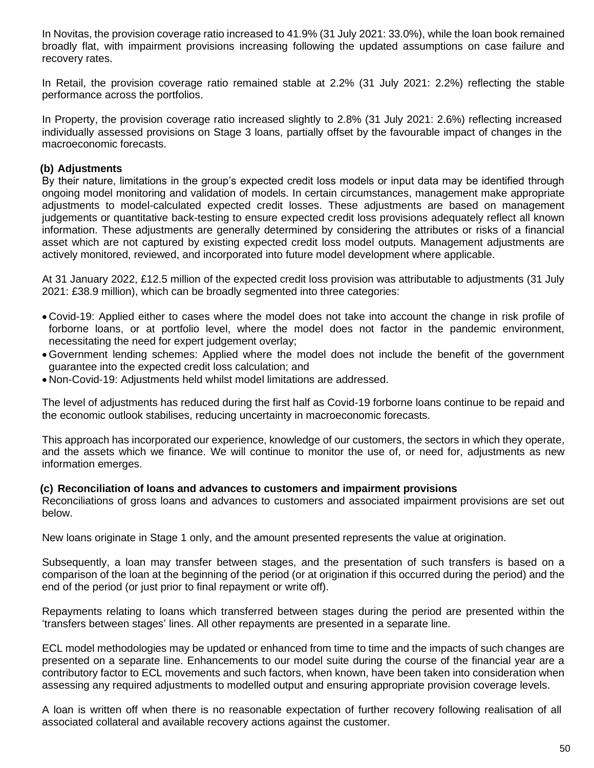In Novitas, the provision coverage ratio increased to 41.9% (31 July 2021: 33.0%), while the loan book remained broadly flat, with impairment provisions increasing following the updated assumptions on case failure and recovery rates.

In Retail, the provision coverage ratio remained stable at 2.2% (31 July 2021: 2.2%) reflecting the stable performance across the portfolios.

In Property, the provision coverage ratio increased slightly to 2.8% (31 July 2021: 2.6%) reflecting increased individually assessed provisions on Stage 3 loans, partially offset by the favourable impact of changes in the macroeconomic forecasts.

### **(b) Adjustments**

By their nature, limitations in the group's expected credit loss models or input data may be identified through ongoing model monitoring and validation of models. In certain circumstances, management make appropriate adjustments to model-calculated expected credit losses. These adjustments are based on management judgements or quantitative back-testing to ensure expected credit loss provisions adequately reflect all known information. These adjustments are generally determined by considering the attributes or risks of a financial asset which are not captured by existing expected credit loss model outputs. Management adjustments are actively monitored, reviewed, and incorporated into future model development where applicable.

At 31 January 2022, £12.5 million of the expected credit loss provision was attributable to adjustments (31 July 2021: £38.9 million), which can be broadly segmented into three categories:

- Covid-19: Applied either to cases where the model does not take into account the change in risk profile of forborne loans, or at portfolio level, where the model does not factor in the pandemic environment, necessitating the need for expert judgement overlay;
- Government lending schemes: Applied where the model does not include the benefit of the government guarantee into the expected credit loss calculation; and
- Non-Covid-19: Adjustments held whilst model limitations are addressed.

The level of adjustments has reduced during the first half as Covid-19 forborne loans continue to be repaid and the economic outlook stabilises, reducing uncertainty in macroeconomic forecasts.

This approach has incorporated our experience, knowledge of our customers, the sectors in which they operate, and the assets which we finance. We will continue to monitor the use of, or need for, adjustments as new information emerges.

### **(c) Reconciliation of loans and advances to customers and impairment provisions**

Reconciliations of gross loans and advances to customers and associated impairment provisions are set out below.

New loans originate in Stage 1 only, and the amount presented represents the value at origination.

Subsequently, a loan may transfer between stages, and the presentation of such transfers is based on a comparison of the loan at the beginning of the period (or at origination if this occurred during the period) and the end of the period (or just prior to final repayment or write off).

Repayments relating to loans which transferred between stages during the period are presented within the 'transfers between stages' lines. All other repayments are presented in a separate line.

ECL model methodologies may be updated or enhanced from time to time and the impacts of such changes are presented on a separate line. Enhancements to our model suite during the course of the financial year are a contributory factor to ECL movements and such factors, when known, have been taken into consideration when assessing any required adjustments to modelled output and ensuring appropriate provision coverage levels.

A loan is written off when there is no reasonable expectation of further recovery following realisation of all associated collateral and available recovery actions against the customer.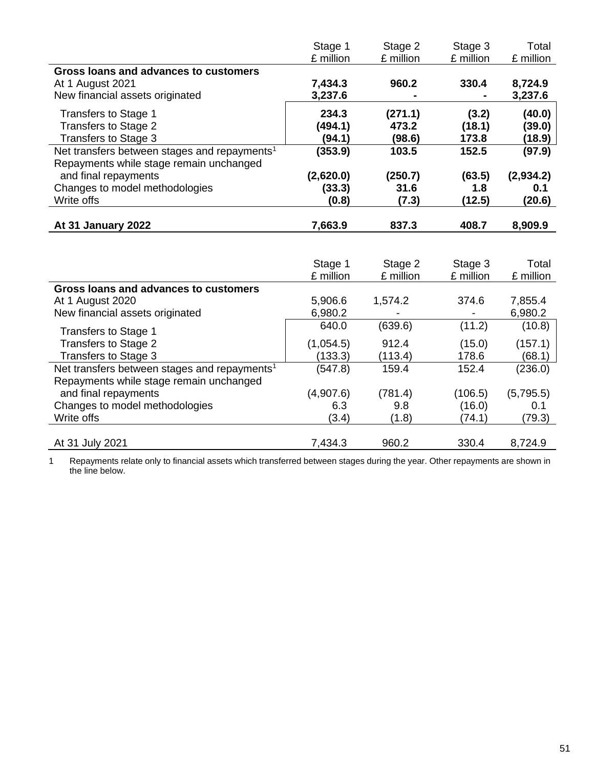|                                                                                                     | Stage 1<br>£ million | Stage 2<br>£ million | Stage 3<br>£ million | Total<br>£ million |
|-----------------------------------------------------------------------------------------------------|----------------------|----------------------|----------------------|--------------------|
| Gross loans and advances to customers<br>At 1 August 2021<br>New financial assets originated        | 7,434.3<br>3,237.6   | 960.2                | 330.4                | 8,724.9<br>3,237.6 |
| <b>Transfers to Stage 1</b>                                                                         | 234.3                | (271.1)              | (3.2)                | (40.0)             |
| Transfers to Stage 2<br>Transfers to Stage 3                                                        | (494.1)<br>(94.1)    | 473.2<br>(98.6)      | (18.1)<br>173.8      | (39.0)<br>(18.9)   |
| Net transfers between stages and repayments <sup>1</sup><br>Repayments while stage remain unchanged | (353.9)              | 103.5                | 152.5                | (97.9)             |
| and final repayments<br>Changes to model methodologies                                              | (2,620.0)<br>(33.3)  | (250.7)<br>31.6      | (63.5)<br>1.8        | (2,934.2)<br>0.1   |
| Write offs                                                                                          | (0.8)                | (7.3)                | (12.5)               | (20.6)             |
| At 31 January 2022                                                                                  | 7,663.9              | 837.3                | 408.7                | 8,909.9            |
|                                                                                                     |                      |                      |                      |                    |
|                                                                                                     | Stage 1<br>£ million | Stage 2<br>£ million | Stage 3<br>£ million | Total<br>£ million |
| Gross loans and advances to customers                                                               |                      |                      |                      |                    |
| At 1 August 2020<br>New financial assets originated                                                 | 5,906.6<br>6,980.2   | 1,574.2              | 374.6                | 7,855.4<br>6,980.2 |
| Transfers to Stage 1                                                                                | 640.0                | (639.6)              | (11.2)               | (10.8)             |
| Transfers to Stage 2<br>Transfers to Stage 3                                                        | (1,054.5)<br>(133.3) | 912.4<br>(113.4)     | (15.0)<br>178.6      | (157.1)<br>(68.1)  |
| Net transfers between stages and repayments <sup>1</sup><br>Repayments while stage remain unchanged | (547.8)              | 159.4                | 152.4                | (236.0)            |
| and final repayments                                                                                | (4,907.6)            | (781.4)              | (106.5)              | (5,795.5)          |
| Changes to model methodologies<br>Write offs                                                        | 6.3<br>(3.4)         | 9.8<br>(1.8)         | (16.0)<br>(74.1)     | 0.1<br>(79.3)      |
| At 31 July 2021                                                                                     | 7,434.3              | 960.2                | 330.4                | 8,724.9            |

1 Repayments relate only to financial assets which transferred between stages during the year. Other repayments are shown in the line below.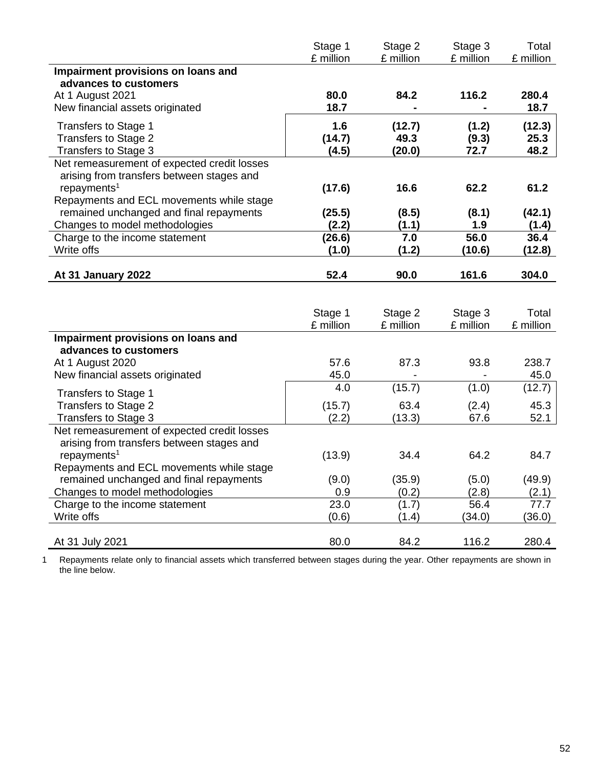|                                             | Stage 1   | Stage 2   | Stage 3   | Total     |
|---------------------------------------------|-----------|-----------|-----------|-----------|
|                                             | £ million | £ million | £ million | £ million |
| Impairment provisions on loans and          |           |           |           |           |
| advances to customers                       |           |           |           |           |
| At 1 August 2021                            | 80.0      | 84.2      | 116.2     | 280.4     |
| New financial assets originated             | 18.7      |           |           | 18.7      |
| Transfers to Stage 1                        | 1.6       | (12.7)    | (1.2)     | (12.3)    |
| Transfers to Stage 2                        | (14.7)    | 49.3      | (9.3)     | 25.3      |
| Transfers to Stage 3                        | (4.5)     | (20.0)    | 72.7      | 48.2      |
| Net remeasurement of expected credit losses |           |           |           |           |
| arising from transfers between stages and   |           |           |           |           |
| repayments <sup>1</sup>                     | (17.6)    | 16.6      | 62.2      | 61.2      |
| Repayments and ECL movements while stage    |           |           |           |           |
| remained unchanged and final repayments     | (25.5)    | (8.5)     | (8.1)     | (42.1)    |
| Changes to model methodologies              | (2.2)     | (1.1)     | 1.9       | (1.4)     |
| Charge to the income statement              | (26.6)    | 7.0       | 56.0      | 36.4      |
| Write offs                                  | (1.0)     | (1.2)     | (10.6)    | (12.8)    |
|                                             |           |           |           |           |
| At 31 January 2022                          | 52.4      | 90.0      | 161.6     | 304.0     |

|                                             | Stage 1<br>£ million | Stage 2<br>£ million | Stage 3<br>£ million | Total<br>£ million |
|---------------------------------------------|----------------------|----------------------|----------------------|--------------------|
| Impairment provisions on loans and          |                      |                      |                      |                    |
| advances to customers                       |                      |                      |                      |                    |
| At 1 August 2020                            | 57.6                 | 87.3                 | 93.8                 | 238.7              |
| New financial assets originated             | 45.0                 |                      |                      | 45.0               |
| Transfers to Stage 1                        | 4.0                  | (15.7)               | (1.0)                | (12.7)             |
| Transfers to Stage 2                        | (15.7)               | 63.4                 | (2.4)                | 45.3               |
| Transfers to Stage 3                        | (2.2)                | (13.3)               | 67.6                 | 52.1               |
| Net remeasurement of expected credit losses |                      |                      |                      |                    |
| arising from transfers between stages and   |                      |                      |                      |                    |
| repayments <sup>1</sup>                     | (13.9)               | 34.4                 | 64.2                 | 84.7               |
| Repayments and ECL movements while stage    |                      |                      |                      |                    |
| remained unchanged and final repayments     | (9.0)                | (35.9)               | (5.0)                | (49.9)             |
| Changes to model methodologies              | 0.9                  | (0.2)                | (2.8)                | (2.1)              |
| Charge to the income statement              | 23.0                 | (1.7)                | 56.4                 | 77.7               |
| Write offs                                  | (0.6)                | (1.4)                | (34.0)               | (36.0)             |
|                                             |                      |                      |                      |                    |
| At 31 July 2021                             | 80.0                 | 84.2                 | 116.2                | 280.4              |

1 Repayments relate only to financial assets which transferred between stages during the year. Other repayments are shown in the line below.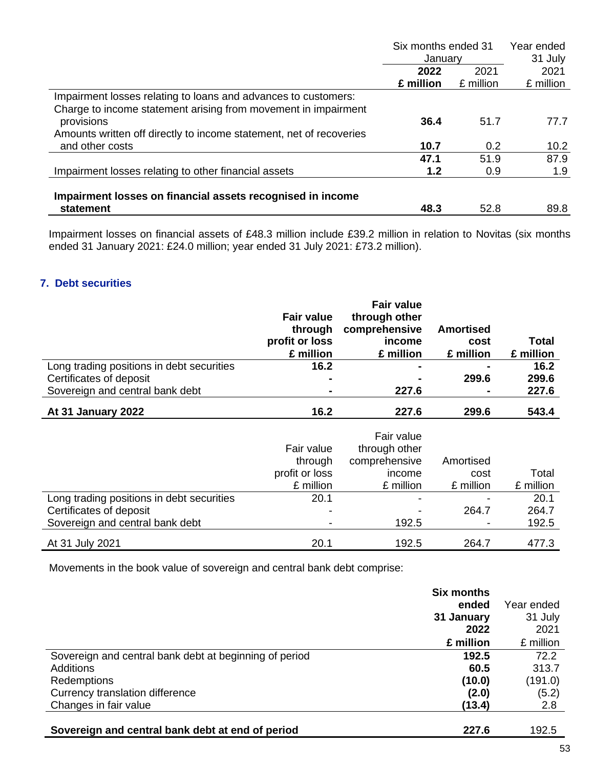|                                                                     | Six months ended 31 |           | Year ended |  |
|---------------------------------------------------------------------|---------------------|-----------|------------|--|
|                                                                     | Januarv             |           | 31 July    |  |
|                                                                     | 2022                | 2021      | 2021       |  |
|                                                                     | £ million           | £ million | £ million  |  |
| Impairment losses relating to loans and advances to customers:      |                     |           |            |  |
| Charge to income statement arising from movement in impairment      |                     |           |            |  |
| provisions                                                          | 36.4                | 51.7      | 77.7       |  |
| Amounts written off directly to income statement, net of recoveries |                     |           |            |  |
| and other costs                                                     | 10.7                | 0.2       | 10.2       |  |
|                                                                     | 47.1                | 51.9      | 87.9       |  |
| Impairment losses relating to other financial assets                | 1.2                 | 0.9       | 1.9        |  |
|                                                                     |                     |           |            |  |
| Impairment losses on financial assets recognised in income          |                     |           |            |  |
| statement                                                           | 48.3                | 52.8      | 89.8       |  |

Impairment losses on financial assets of £48.3 million include £39.2 million in relation to Novitas (six months ended 31 January 2021: £24.0 million; year ended 31 July 2021: £73.2 million).

# **7. Debt securities**

|                                           | <b>Fair value</b><br>through<br>profit or loss<br>£ million | <b>Fair value</b><br>through other<br>comprehensive<br>income<br>£ million | <b>Amortised</b><br>cost<br>£ million | Total<br>£ million |
|-------------------------------------------|-------------------------------------------------------------|----------------------------------------------------------------------------|---------------------------------------|--------------------|
| Long trading positions in debt securities | 16.2                                                        |                                                                            |                                       | 16.2               |
| Certificates of deposit                   |                                                             |                                                                            | 299.6                                 | 299.6              |
| Sovereign and central bank debt           | $\blacksquare$                                              | 227.6                                                                      | ۰                                     | 227.6              |
| At 31 January 2022                        | 16.2                                                        | 227.6                                                                      | 299.6                                 | 543.4              |
|                                           | Fair value<br>through<br>profit or loss                     | Fair value<br>through other<br>comprehensive<br>income                     | Amortised<br>cost                     | Total              |

|                                           | profit or loss | <b>Income</b>            | cost                     | l otal    |
|-------------------------------------------|----------------|--------------------------|--------------------------|-----------|
|                                           | £ million      | £ million                | £ million                | £ million |
| Long trading positions in debt securities | 20.1           | $\overline{\phantom{0}}$ |                          | 20.1      |
| Certificates of deposit                   |                | $\overline{\phantom{0}}$ | 264.7                    | 264.7     |
| Sovereign and central bank debt           |                | 192.5                    | $\overline{\phantom{a}}$ | 192.5     |
| At 31 July 2021                           | 20.1           | 192.5                    | 264.7                    | 477.3     |

Movements in the book value of sovereign and central bank debt comprise:

|                                                        | <b>Six months</b> |            |
|--------------------------------------------------------|-------------------|------------|
|                                                        | ended             | Year ended |
|                                                        | 31 January        | 31 July    |
|                                                        | 2022              | 2021       |
|                                                        | £ million         | £ million  |
| Sovereign and central bank debt at beginning of period | 192.5             | 72.2       |
| Additions                                              | 60.5              | 313.7      |
| Redemptions                                            | (10.0)            | (191.0)    |
| Currency translation difference                        | (2.0)             | (5.2)      |
| Changes in fair value                                  | (13.4)            | 2.8        |
| Sovereign and central bank debt at end of period       | 227.6             | 192.5      |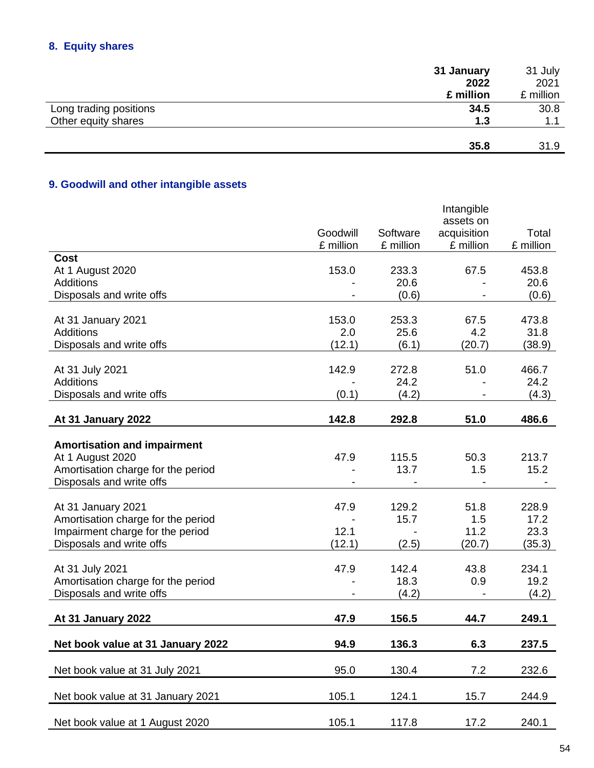# **8. Equity shares**

|                        | 31 January | 31 July   |
|------------------------|------------|-----------|
|                        | 2022       | 2021      |
|                        | £ million  | £ million |
| Long trading positions | 34.5       | 30.8      |
| Other equity shares    | 1.3        | 1.1       |
|                        | 35.8       | 31.9      |

# **9. Goodwill and other intangible assets**

|                                                       |                       |                       | Intangible<br>assets on  |                    |
|-------------------------------------------------------|-----------------------|-----------------------|--------------------------|--------------------|
|                                                       | Goodwill<br>£ million | Software<br>£ million | acquisition<br>£ million | Total<br>£ million |
| <b>Cost</b>                                           |                       |                       |                          |                    |
| At 1 August 2020                                      | 153.0                 | 233.3                 | 67.5                     | 453.8              |
| Additions                                             |                       | 20.6                  |                          | 20.6               |
| Disposals and write offs                              |                       | (0.6)                 |                          | (0.6)              |
| At 31 January 2021                                    | 153.0                 | 253.3                 | 67.5                     | 473.8              |
| <b>Additions</b>                                      | 2.0                   | 25.6                  | 4.2                      | 31.8               |
| Disposals and write offs                              | (12.1)                | (6.1)                 | (20.7)                   | (38.9)             |
|                                                       |                       |                       |                          |                    |
| At 31 July 2021<br><b>Additions</b>                   | 142.9                 | 272.8<br>24.2         | 51.0                     | 466.7<br>24.2      |
| Disposals and write offs                              | (0.1)                 | (4.2)                 |                          | (4.3)              |
|                                                       |                       |                       |                          |                    |
| At 31 January 2022                                    | 142.8                 | 292.8                 | 51.0                     | 486.6              |
|                                                       |                       |                       |                          |                    |
| <b>Amortisation and impairment</b>                    |                       |                       |                          |                    |
| At 1 August 2020                                      | 47.9                  | 115.5                 | 50.3                     | 213.7              |
| Amortisation charge for the period                    |                       | 13.7                  | 1.5                      | 15.2               |
| Disposals and write offs                              |                       |                       |                          |                    |
| At 31 January 2021                                    | 47.9                  | 129.2                 | 51.8                     | 228.9              |
| Amortisation charge for the period                    |                       | 15.7                  | 1.5                      | 17.2               |
| Impairment charge for the period                      | 12.1                  |                       | 11.2                     | 23.3               |
| Disposals and write offs                              | (12.1)                | (2.5)                 | (20.7)                   | (35.3)             |
|                                                       |                       |                       |                          |                    |
| At 31 July 2021<br>Amortisation charge for the period | 47.9                  | 142.4<br>18.3         | 43.8<br>0.9              | 234.1<br>19.2      |
| Disposals and write offs                              |                       | (4.2)                 |                          | (4.2)              |
|                                                       |                       |                       |                          |                    |
| At 31 January 2022                                    | 47.9                  | 156.5                 | 44.7                     | 249.1              |
| Net book value at 31 January 2022                     | 94.9                  | 136.3                 | 6.3                      | 237.5              |
|                                                       |                       |                       |                          |                    |
| Net book value at 31 July 2021                        | 95.0                  | 130.4                 | 7.2                      | 232.6              |
| Net book value at 31 January 2021                     | 105.1                 | 124.1                 | 15.7                     | 244.9              |
| Net book value at 1 August 2020                       | 105.1                 | 117.8                 | 17.2                     | 240.1              |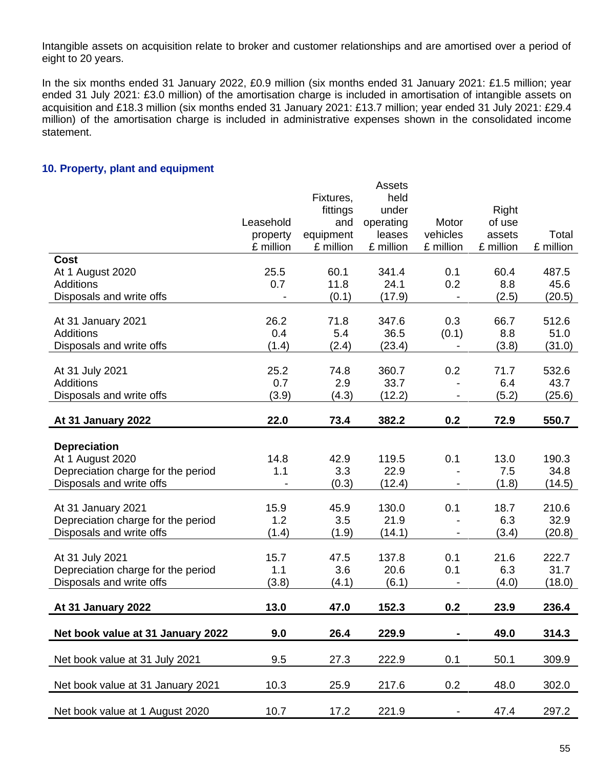Intangible assets on acquisition relate to broker and customer relationships and are amortised over a period of eight to 20 years.

In the six months ended 31 January 2022, £0.9 million (six months ended 31 January 2021: £1.5 million; year ended 31 July 2021: £3.0 million) of the amortisation charge is included in amortisation of intangible assets on acquisition and £18.3 million (six months ended 31 January 2021: £13.7 million; year ended 31 July 2021: £29.4 million) of the amortisation charge is included in administrative expenses shown in the consolidated income statement.

### **10. Property, plant and equipment**

|                                    |           |           | <b>Assets</b> |                          |           |           |
|------------------------------------|-----------|-----------|---------------|--------------------------|-----------|-----------|
|                                    |           | Fixtures, | held          |                          |           |           |
|                                    |           | fittings  | under         |                          | Right     |           |
|                                    | Leasehold | and       | operating     | Motor                    | of use    |           |
|                                    | property  | equipment | leases        | vehicles                 | assets    | Total     |
|                                    | £ million | £ million | £ million     | £ million                | £ million | £ million |
| <b>Cost</b>                        |           |           |               |                          |           |           |
| At 1 August 2020                   | 25.5      | 60.1      | 341.4         | 0.1                      | 60.4      | 487.5     |
| <b>Additions</b>                   | 0.7       | 11.8      | 24.1          | 0.2                      | 8.8       | 45.6      |
| Disposals and write offs           |           | (0.1)     | (17.9)        |                          | (2.5)     | (20.5)    |
| At 31 January 2021                 | 26.2      | 71.8      | 347.6         | 0.3                      | 66.7      | 512.6     |
| <b>Additions</b>                   | 0.4       | 5.4       | 36.5          | (0.1)                    | 8.8       | 51.0      |
| Disposals and write offs           | (1.4)     | (2.4)     | (23.4)        | $\overline{\phantom{a}}$ | (3.8)     | (31.0)    |
|                                    |           |           |               |                          |           |           |
| At 31 July 2021                    | 25.2      | 74.8      | 360.7         | 0.2                      | 71.7      | 532.6     |
| <b>Additions</b>                   | 0.7       | 2.9       | 33.7          |                          | 6.4       | 43.7      |
| Disposals and write offs           | (3.9)     | (4.3)     | (12.2)        |                          | (5.2)     | (25.6)    |
|                                    |           |           |               |                          |           |           |
| At 31 January 2022                 | 22.0      | 73.4      | 382.2         | 0.2                      | 72.9      | 550.7     |
|                                    |           |           |               |                          |           |           |
| <b>Depreciation</b>                |           |           |               |                          |           |           |
| At 1 August 2020                   | 14.8      | 42.9      | 119.5         | 0.1                      | 13.0      | 190.3     |
| Depreciation charge for the period | 1.1       | 3.3       | 22.9          |                          | 7.5       | 34.8      |
| Disposals and write offs           |           | (0.3)     | (12.4)        |                          | (1.8)     | (14.5)    |
|                                    |           |           |               |                          |           |           |
| At 31 January 2021                 | 15.9      | 45.9      | 130.0         | 0.1                      | 18.7      | 210.6     |
| Depreciation charge for the period | 1.2       | 3.5       | 21.9          |                          | 6.3       | 32.9      |
| Disposals and write offs           | (1.4)     | (1.9)     | (14.1)        |                          | (3.4)     | (20.8)    |
|                                    |           |           |               |                          |           |           |
| At 31 July 2021                    | 15.7      | 47.5      | 137.8         | 0.1                      | 21.6      | 222.7     |
| Depreciation charge for the period | 1.1       | 3.6       | 20.6          | 0.1                      | 6.3       | 31.7      |
| Disposals and write offs           | (3.8)     | (4.1)     | (6.1)         |                          | (4.0)     | (18.0)    |
|                                    |           |           |               |                          |           |           |
| At 31 January 2022                 | 13.0      | 47.0      | 152.3         | 0.2                      | 23.9      | 236.4     |
|                                    |           |           |               |                          |           |           |
| Net book value at 31 January 2022  | 9.0       | 26.4      | 229.9         |                          | 49.0      | 314.3     |
|                                    |           |           |               |                          |           |           |
| Net book value at 31 July 2021     | 9.5       | 27.3      | 222.9         | 0.1                      | 50.1      | 309.9     |
| Net book value at 31 January 2021  |           |           |               |                          | 48.0      | 302.0     |
|                                    | 10.3      | 25.9      | 217.6         | 0.2                      |           |           |
| Net book value at 1 August 2020    | 10.7      | 17.2      | 221.9         | ۰.                       | 47.4      | 297.2     |
|                                    |           |           |               |                          |           |           |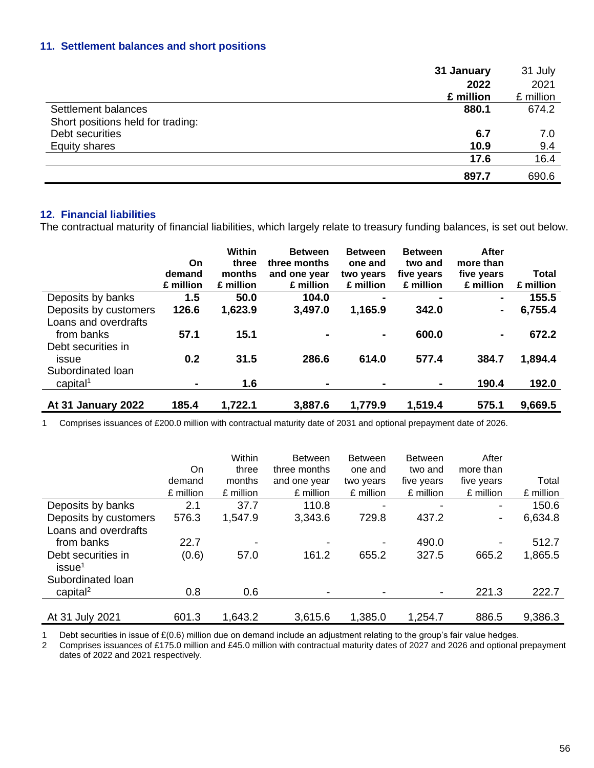# **11. Settlement balances and short positions**

|                                   | 31 January | 31 July   |
|-----------------------------------|------------|-----------|
|                                   | 2022       | 2021      |
|                                   | £ million  | £ million |
| Settlement balances               | 880.1      | 674.2     |
| Short positions held for trading: |            |           |
| Debt securities                   | 6.7        | 7.0       |
| <b>Equity shares</b>              | 10.9       | 9.4       |
|                                   | 17.6       | 16.4      |
|                                   | 897.7      | 690.6     |

### **12. Financial liabilities**

The contractual maturity of financial liabilities, which largely relate to treasury funding balances, is set out below.

|                                                  | On<br>demand<br>£ million | Within<br>three<br>months<br>£ million | <b>Between</b><br>three months<br>and one year<br>£ million | <b>Between</b><br>one and<br>two years<br>£ million | <b>Between</b><br>two and<br>five years<br>£ million | After<br>more than<br>five years<br>£ million | <b>Total</b><br>£ million |
|--------------------------------------------------|---------------------------|----------------------------------------|-------------------------------------------------------------|-----------------------------------------------------|------------------------------------------------------|-----------------------------------------------|---------------------------|
| Deposits by banks                                | 1.5                       | 50.0                                   | 104.0                                                       | $\blacksquare$                                      | $\blacksquare$                                       | $\blacksquare$                                | 155.5                     |
| Deposits by customers                            | 126.6                     | 1,623.9                                | 3,497.0                                                     | 1,165.9                                             | 342.0                                                |                                               | 6,755.4                   |
| Loans and overdrafts<br>from banks               | 57.1                      | 15.1                                   |                                                             | $\blacksquare$                                      | 600.0                                                |                                               | 672.2                     |
| Debt securities in<br>issue<br>Subordinated Ioan | 0.2                       | 31.5                                   | 286.6                                                       | 614.0                                               | 577.4                                                | 384.7                                         | 1,894.4                   |
| capital <sup>1</sup>                             | ۰.                        | 1.6                                    | $\blacksquare$                                              | $\blacksquare$                                      | $\blacksquare$                                       | 190.4                                         | 192.0                     |
| At 31 January 2022                               | 185.4                     | 1,722.1                                | 3,887.6                                                     | 1,779.9                                             | 1,519.4                                              | 575.1                                         | 9,669.5                   |

1 Comprises issuances of £200.0 million with contractual maturity date of 2031 and optional prepayment date of 2026.

|                                           |           | Within    | <b>Between</b> | <b>Between</b> | <b>Between</b>           | After                    |           |
|-------------------------------------------|-----------|-----------|----------------|----------------|--------------------------|--------------------------|-----------|
|                                           | On        | three     | three months   | one and        | two and                  | more than                |           |
|                                           | demand    | months    | and one year   | two years      | five years               | five years               | Total     |
|                                           | £ million | £ million | £ million      | £ million      | £ million                | £ million                | £ million |
| Deposits by banks                         | 2.1       | 37.7      | 110.8          |                |                          | $\overline{\phantom{a}}$ | 150.6     |
| Deposits by customers                     | 576.3     | 1,547.9   | 3,343.6        | 729.8          | 437.2                    | ۰.                       | 6,634.8   |
| Loans and overdrafts                      |           |           |                |                |                          |                          |           |
| from banks                                | 22.7      |           |                |                | 490.0                    |                          | 512.7     |
| Debt securities in<br>is sue <sup>1</sup> | (0.6)     | 57.0      | 161.2          | 655.2          | 327.5                    | 665.2                    | 1,865.5   |
| Subordinated Ioan                         |           |           |                |                |                          |                          |           |
| capital <sup>2</sup>                      | 0.8       | 0.6       |                |                | $\overline{\phantom{a}}$ | 221.3                    | 222.7     |
|                                           |           |           |                |                |                          |                          |           |
| At 31 July 2021                           | 601.3     | 1,643.2   | 3,615.6        | 1,385.0        | 1,254.7                  | 886.5                    | 9,386.3   |

1 Debt securities in issue of £(0.6) million due on demand include an adjustment relating to the group's fair value hedges.

2 Comprises issuances of £175.0 million and £45.0 million with contractual maturity dates of 2027 and 2026 and optional prepayment dates of 2022 and 2021 respectively.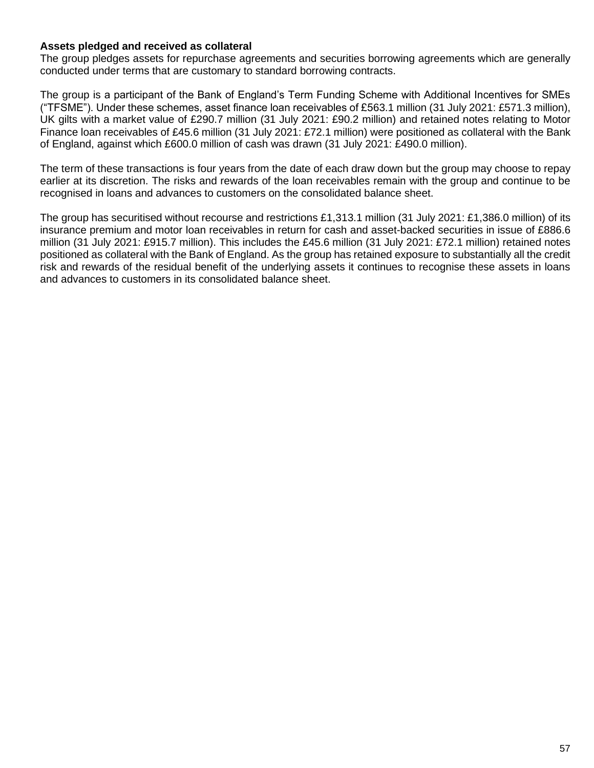### **Assets pledged and received as collateral**

The group pledges assets for repurchase agreements and securities borrowing agreements which are generally conducted under terms that are customary to standard borrowing contracts.

The group is a participant of the Bank of England's Term Funding Scheme with Additional Incentives for SMEs ("TFSME"). Under these schemes, asset finance loan receivables of £563.1 million (31 July 2021: £571.3 million), UK gilts with a market value of £290.7 million (31 July 2021: £90.2 million) and retained notes relating to Motor Finance loan receivables of £45.6 million (31 July 2021: £72.1 million) were positioned as collateral with the Bank of England, against which £600.0 million of cash was drawn (31 July 2021: £490.0 million).

The term of these transactions is four years from the date of each draw down but the group may choose to repay earlier at its discretion. The risks and rewards of the loan receivables remain with the group and continue to be recognised in loans and advances to customers on the consolidated balance sheet.

The group has securitised without recourse and restrictions £1,313.1 million (31 July 2021: £1,386.0 million) of its insurance premium and motor loan receivables in return for cash and asset-backed securities in issue of £886.6 million (31 July 2021: £915.7 million). This includes the £45.6 million (31 July 2021: £72.1 million) retained notes positioned as collateral with the Bank of England. As the group has retained exposure to substantially all the credit risk and rewards of the residual benefit of the underlying assets it continues to recognise these assets in loans and advances to customers in its consolidated balance sheet.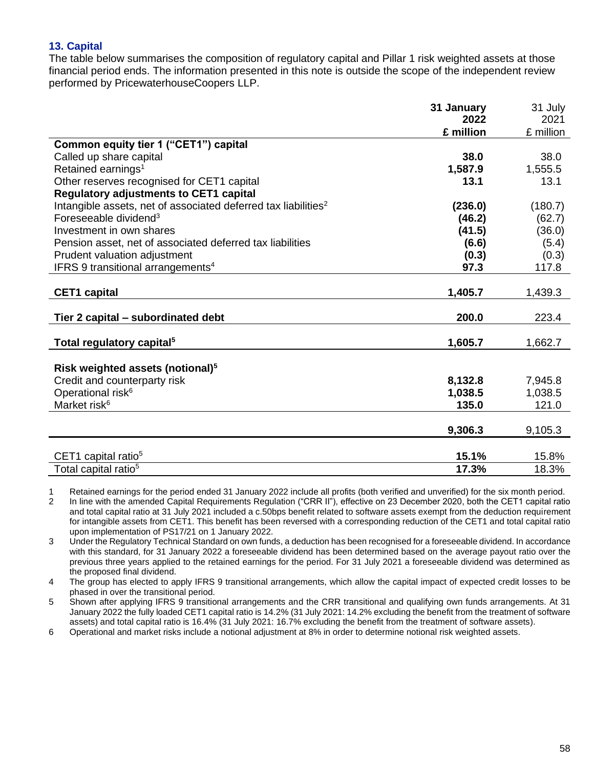# **13. Capital**

The table below summarises the composition of regulatory capital and Pillar 1 risk weighted assets at those financial period ends. The information presented in this note is outside the scope of the independent review performed by PricewaterhouseCoopers LLP.

|                                                                            | 31 January | 31 July   |
|----------------------------------------------------------------------------|------------|-----------|
|                                                                            | 2022       | 2021      |
|                                                                            | £ million  | £ million |
| Common equity tier 1 ("CET1") capital                                      |            |           |
| Called up share capital                                                    | 38.0       | 38.0      |
| Retained earnings <sup>1</sup>                                             | 1,587.9    | 1,555.5   |
| Other reserves recognised for CET1 capital                                 | 13.1       | 13.1      |
| <b>Regulatory adjustments to CET1 capital</b>                              |            |           |
| Intangible assets, net of associated deferred tax liabilities <sup>2</sup> | (236.0)    | (180.7)   |
| Foreseeable dividend <sup>3</sup>                                          | (46.2)     | (62.7)    |
| Investment in own shares                                                   | (41.5)     | (36.0)    |
| Pension asset, net of associated deferred tax liabilities                  | (6.6)      | (5.4)     |
| Prudent valuation adjustment                                               | (0.3)      | (0.3)     |
| IFRS 9 transitional arrangements <sup>4</sup>                              | 97.3       | 117.8     |
|                                                                            |            |           |
| <b>CET1</b> capital                                                        | 1,405.7    | 1,439.3   |
| Tier 2 capital – subordinated debt                                         | 200.0      | 223.4     |
|                                                                            |            |           |
| Total regulatory capital <sup>5</sup>                                      | 1,605.7    | 1,662.7   |
|                                                                            |            |           |
| Risk weighted assets (notional) <sup>5</sup>                               |            |           |
| Credit and counterparty risk                                               | 8,132.8    | 7,945.8   |
| Operational risk <sup>6</sup>                                              | 1,038.5    | 1,038.5   |
| Market risk <sup>6</sup>                                                   | 135.0      | 121.0     |
|                                                                            |            |           |
|                                                                            | 9,306.3    | 9,105.3   |
|                                                                            |            |           |
| CET1 capital ratio <sup>5</sup>                                            | 15.1%      | 15.8%     |
| Total capital ratio <sup>5</sup>                                           | 17.3%      | 18.3%     |

1 Retained earnings for the period ended 31 January 2022 include all profits (both verified and unverified) for the six month period.

2 In line with the amended Capital Requirements Regulation ("CRR II"), effective on 23 December 2020, both the CET1 capital ratio and total capital ratio at 31 July 2021 included a c.50bps benefit related to software assets exempt from the deduction requirement for intangible assets from CET1. This benefit has been reversed with a corresponding reduction of the CET1 and total capital ratio upon implementation of PS17/21 on 1 January 2022.

3 Under the Regulatory Technical Standard on own funds, a deduction has been recognised for a foreseeable dividend. In accordance with this standard, for 31 January 2022 a foreseeable dividend has been determined based on the average payout ratio over the previous three years applied to the retained earnings for the period. For 31 July 2021 a foreseeable dividend was determined as the proposed final dividend.

4 The group has elected to apply IFRS 9 transitional arrangements, which allow the capital impact of expected credit losses to be phased in over the transitional period.

5 Shown after applying IFRS 9 transitional arrangements and the CRR transitional and qualifying own funds arrangements. At 31 January 2022 the fully loaded CET1 capital ratio is 14.2% (31 July 2021: 14.2% excluding the benefit from the treatment of software assets) and total capital ratio is 16.4% (31 July 2021: 16.7% excluding the benefit from the treatment of software assets).

6 Operational and market risks include a notional adjustment at 8% in order to determine notional risk weighted assets.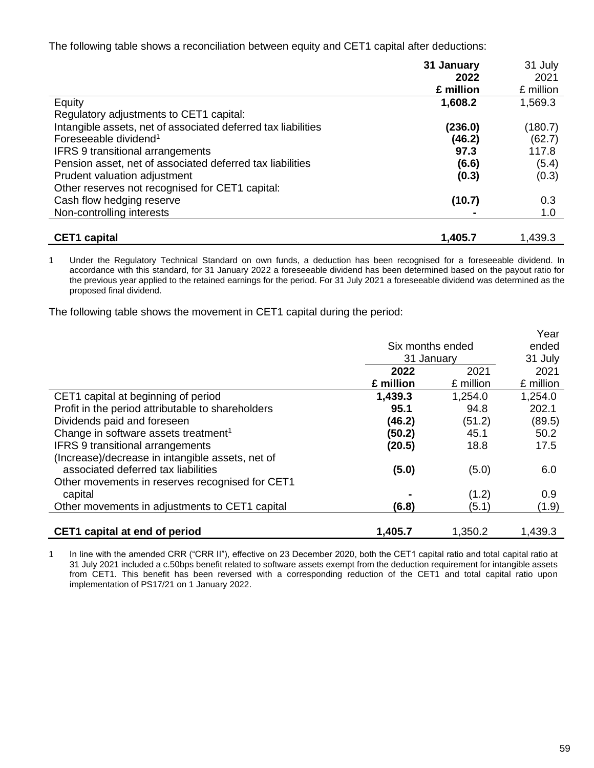The following table shows a reconciliation between equity and CET1 capital after deductions:

|                                                               | 31 January | 31 July   |
|---------------------------------------------------------------|------------|-----------|
|                                                               | 2022       | 2021      |
|                                                               | £ million  | £ million |
| Equity                                                        | 1,608.2    | 1,569.3   |
| Regulatory adjustments to CET1 capital:                       |            |           |
| Intangible assets, net of associated deferred tax liabilities | (236.0)    | (180.7)   |
| Foreseeable dividend <sup>1</sup>                             | (46.2)     | (62.7)    |
| <b>IFRS 9 transitional arrangements</b>                       | 97.3       | 117.8     |
| Pension asset, net of associated deferred tax liabilities     | (6.6)      | (5.4)     |
| Prudent valuation adjustment                                  | (0.3)      | (0.3)     |
| Other reserves not recognised for CET1 capital:               |            |           |
| Cash flow hedging reserve                                     | (10.7)     | 0.3       |
| Non-controlling interests                                     |            | 1.0       |
|                                                               |            |           |
| <b>CET1</b> capital                                           | 1,405.7    | 1,439.3   |

1 Under the Regulatory Technical Standard on own funds, a deduction has been recognised for a foreseeable dividend. In accordance with this standard, for 31 January 2022 a foreseeable dividend has been determined based on the payout ratio for the previous year applied to the retained earnings for the period. For 31 July 2021 a foreseeable dividend was determined as the proposed final dividend.

The following table shows the movement in CET1 capital during the period:

|                                                   |                  |           | Year      |
|---------------------------------------------------|------------------|-----------|-----------|
|                                                   | Six months ended |           | ended     |
|                                                   | 31 January       |           | 31 July   |
|                                                   | 2022             | 2021      | 2021      |
|                                                   | £ million        | £ million | £ million |
| CET1 capital at beginning of period               | 1,439.3          | 1,254.0   | 1,254.0   |
| Profit in the period attributable to shareholders | 95.1             | 94.8      | 202.1     |
| Dividends paid and foreseen                       | (46.2)           | (51.2)    | (89.5)    |
| Change in software assets treatment <sup>1</sup>  | (50.2)           | 45.1      | 50.2      |
| <b>IFRS 9 transitional arrangements</b>           | (20.5)           | 18.8      | 17.5      |
| (Increase)/decrease in intangible assets, net of  |                  |           |           |
| associated deferred tax liabilities               | (5.0)            | (5.0)     | 6.0       |
| Other movements in reserves recognised for CET1   |                  |           |           |
| capital                                           |                  | (1.2)     | 0.9       |
| Other movements in adjustments to CET1 capital    | (6.8)            | (5.1)     | (1.9)     |
|                                                   |                  |           |           |
| CET1 capital at end of period                     | 1,405.7          | 1,350.2   | 1,439.3   |

1 In line with the amended CRR ("CRR II"), effective on 23 December 2020, both the CET1 capital ratio and total capital ratio at 31 July 2021 included a c.50bps benefit related to software assets exempt from the deduction requirement for intangible assets from CET1. This benefit has been reversed with a corresponding reduction of the CET1 and total capital ratio upon implementation of PS17/21 on 1 January 2022.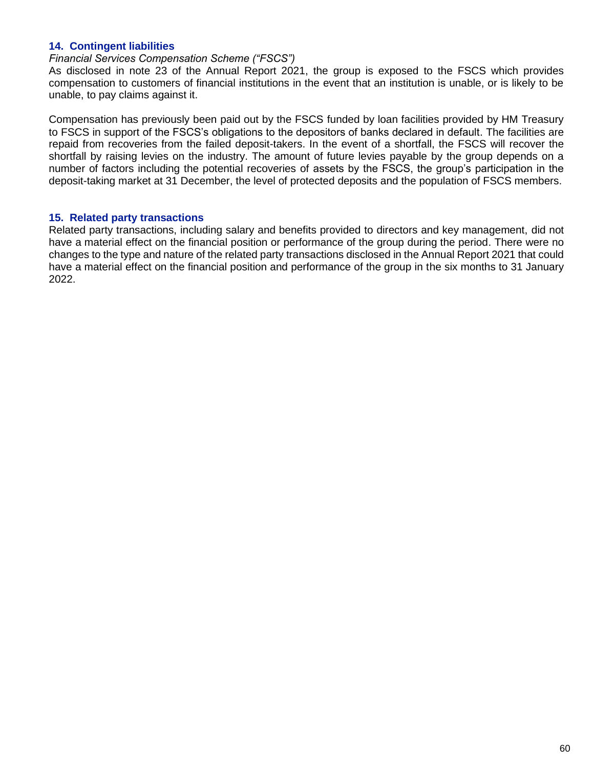### **14. Contingent liabilities**

### *Financial Services Compensation Scheme ("FSCS")*

As disclosed in note 23 of the Annual Report 2021, the group is exposed to the FSCS which provides compensation to customers of financial institutions in the event that an institution is unable, or is likely to be unable, to pay claims against it.

Compensation has previously been paid out by the FSCS funded by loan facilities provided by HM Treasury to FSCS in support of the FSCS's obligations to the depositors of banks declared in default. The facilities are repaid from recoveries from the failed deposit-takers. In the event of a shortfall, the FSCS will recover the shortfall by raising levies on the industry. The amount of future levies payable by the group depends on a number of factors including the potential recoveries of assets by the FSCS, the group's participation in the deposit-taking market at 31 December, the level of protected deposits and the population of FSCS members.

### **15. Related party transactions**

Related party transactions, including salary and benefits provided to directors and key management, did not have a material effect on the financial position or performance of the group during the period. There were no changes to the type and nature of the related party transactions disclosed in the Annual Report 2021 that could have a material effect on the financial position and performance of the group in the six months to 31 January 2022.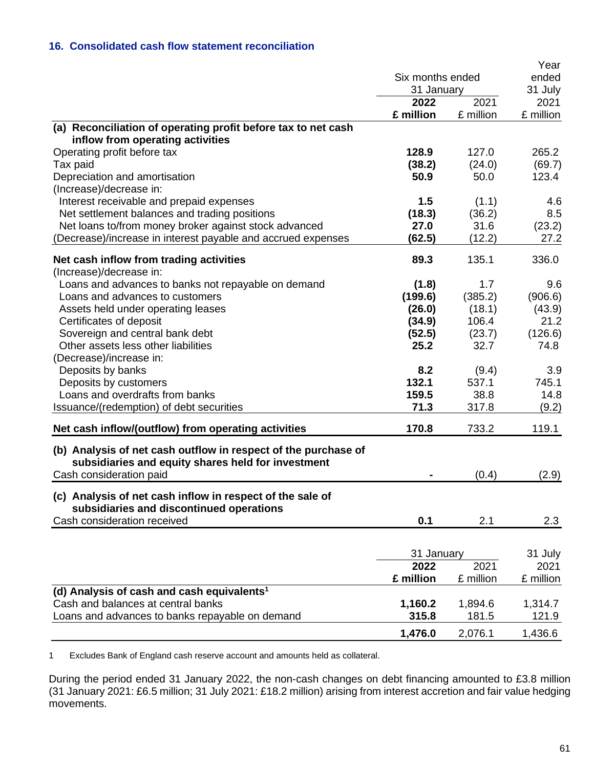# **16. Consolidated cash flow statement reconciliation**

|                                                                |                  |           | Year      |
|----------------------------------------------------------------|------------------|-----------|-----------|
|                                                                | Six months ended |           | ended     |
|                                                                | 31 January       |           | 31 July   |
|                                                                | 2022             | 2021      | 2021      |
|                                                                | £ million        | £ million | £ million |
| (a) Reconciliation of operating profit before tax to net cash  |                  |           |           |
| inflow from operating activities                               |                  |           |           |
| Operating profit before tax                                    | 128.9            | 127.0     | 265.2     |
| Tax paid                                                       | (38.2)           | (24.0)    | (69.7)    |
| Depreciation and amortisation                                  | 50.9             | 50.0      | 123.4     |
| (Increase)/decrease in:                                        |                  |           |           |
| Interest receivable and prepaid expenses                       | 1.5              | (1.1)     | 4.6       |
| Net settlement balances and trading positions                  | (18.3)           | (36.2)    | 8.5       |
| Net loans to/from money broker against stock advanced          | 27.0             | 31.6      | (23.2)    |
| (Decrease)/increase in interest payable and accrued expenses   | (62.5)           | (12.2)    | 27.2      |
| Net cash inflow from trading activities                        | 89.3             | 135.1     | 336.0     |
| (Increase)/decrease in:                                        |                  |           |           |
| Loans and advances to banks not repayable on demand            | (1.8)            | 1.7       | 9.6       |
| Loans and advances to customers                                | (199.6)          | (385.2)   | (906.6)   |
| Assets held under operating leases                             | (26.0)           | (18.1)    | (43.9)    |
| Certificates of deposit                                        | (34.9)           | 106.4     | 21.2      |
| Sovereign and central bank debt                                | (52.5)           | (23.7)    | (126.6)   |
| Other assets less other liabilities                            | 25.2             | 32.7      | 74.8      |
| (Decrease)/increase in:                                        |                  |           |           |
| Deposits by banks                                              | 8.2              | (9.4)     | 3.9       |
| Deposits by customers                                          | 132.1            | 537.1     | 745.1     |
| Loans and overdrafts from banks                                | 159.5            | 38.8      | 14.8      |
| Issuance/(redemption) of debt securities                       | 71.3             | 317.8     | (9.2)     |
|                                                                |                  |           |           |
| Net cash inflow/(outflow) from operating activities            | 170.8            | 733.2     | 119.1     |
| (b) Analysis of net cash outflow in respect of the purchase of |                  |           |           |
| subsidiaries and equity shares held for investment             |                  |           |           |
| Cash consideration paid                                        |                  | (0.4)     | (2.9)     |
|                                                                |                  |           |           |
| (c) Analysis of net cash inflow in respect of the sale of      |                  |           |           |
| subsidiaries and discontinued operations                       |                  |           |           |
| Cash consideration received                                    | 0.1              | 2.1       | 2.3       |
|                                                                |                  |           |           |
|                                                                | 31 January       |           | 31 July   |
|                                                                | 2022             | 2021      | 2021      |
|                                                                | £ million        | £ million | £ million |
| (d) Analysis of cash and cash equivalents <sup>1</sup>         |                  |           |           |
| Cash and balances at central banks                             | 1,160.2          | 1,894.6   | 1,314.7   |
| Loans and advances to banks repayable on demand                | 315.8            | 181.5     | 121.9     |
|                                                                |                  |           |           |
|                                                                | 1,476.0          | 2,076.1   | 1,436.6   |

1 Excludes Bank of England cash reserve account and amounts held as collateral.

During the period ended 31 January 2022, the non-cash changes on debt financing amounted to £3.8 million (31 January 2021: £6.5 million; 31 July 2021: £18.2 million) arising from interest accretion and fair value hedging movements.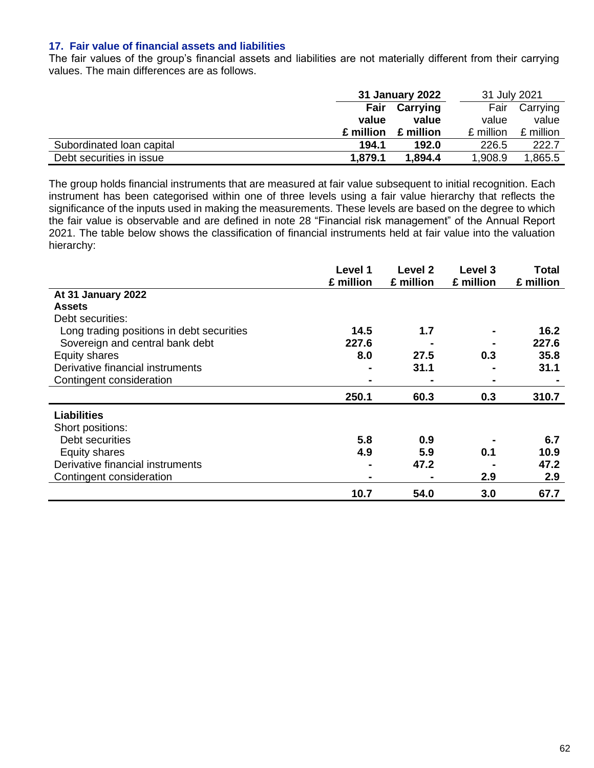### **17. Fair value of financial assets and liabilities**

The fair values of the group's financial assets and liabilities are not materially different from their carrying values. The main differences are as follows.

|                           | 31 January 2022 |           | 31 July 2021 |           |
|---------------------------|-----------------|-----------|--------------|-----------|
|                           | Fair            | Carrying  | Fair         | Carrying  |
|                           | value           | value     | value        | value     |
|                           | £ million       | £ million | £ million    | £ million |
| Subordinated Ioan capital | 194.1           | 192.0     | 226.5        | 222.7     |
| Debt securities in issue  | 1.879.1         | 1,894.4   | 1,908.9      | 1,865.5   |

The group holds financial instruments that are measured at fair value subsequent to initial recognition. Each instrument has been categorised within one of three levels using a fair value hierarchy that reflects the significance of the inputs used in making the measurements. These levels are based on the degree to which the fair value is observable and are defined in note 28 "Financial risk management" of the Annual Report 2021. The table below shows the classification of financial instruments held at fair value into the valuation hierarchy:

|                                           | Level 1<br>£ million | Level 2<br>£ million | Level 3<br>£ million | Total<br>£ million |
|-------------------------------------------|----------------------|----------------------|----------------------|--------------------|
| At 31 January 2022                        |                      |                      |                      |                    |
| <b>Assets</b>                             |                      |                      |                      |                    |
| Debt securities:                          |                      |                      |                      |                    |
| Long trading positions in debt securities | 14.5                 | 1.7                  |                      | 16.2               |
| Sovereign and central bank debt           | 227.6                |                      |                      | 227.6              |
| Equity shares                             | 8.0                  | 27.5                 | 0.3                  | 35.8               |
| Derivative financial instruments          | -                    | 31.1                 |                      | 31.1               |
| Contingent consideration                  | $\blacksquare$       |                      | $\blacksquare$       |                    |
|                                           | 250.1                | 60.3                 | 0.3                  | 310.7              |
| <b>Liabilities</b>                        |                      |                      |                      |                    |
| Short positions:                          |                      |                      |                      |                    |
| Debt securities                           | 5.8                  | 0.9                  |                      | 6.7                |
| Equity shares                             | 4.9                  | 5.9                  | 0.1                  | 10.9               |
| Derivative financial instruments          | $\blacksquare$       | 47.2                 |                      | 47.2               |
| Contingent consideration                  | $\blacksquare$       |                      | 2.9                  | 2.9                |
|                                           | 10.7                 | 54.0                 | 3.0                  | 67.7               |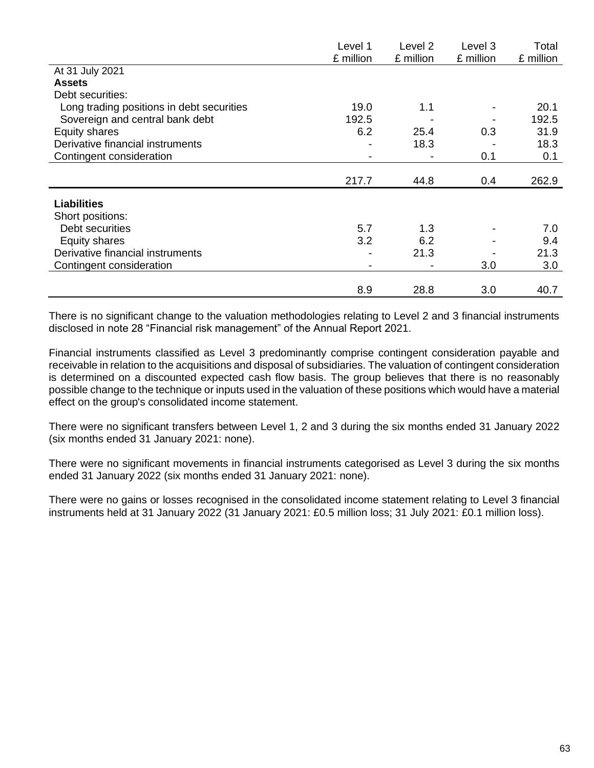|                                           | Level 1   | Level <sub>2</sub> | Level 3   | Total     |
|-------------------------------------------|-----------|--------------------|-----------|-----------|
|                                           | £ million | £ million          | £ million | £ million |
| At 31 July 2021                           |           |                    |           |           |
| <b>Assets</b>                             |           |                    |           |           |
| Debt securities:                          |           |                    |           |           |
| Long trading positions in debt securities | 19.0      | 1.1                |           | 20.1      |
| Sovereign and central bank debt           | 192.5     |                    |           | 192.5     |
| Equity shares                             | 6.2       | 25.4               | 0.3       | 31.9      |
| Derivative financial instruments          |           | 18.3               |           | 18.3      |
| Contingent consideration                  |           |                    | 0.1       | 0.1       |
|                                           |           |                    |           |           |
|                                           | 217.7     | 44.8               | 0.4       | 262.9     |
| <b>Liabilities</b>                        |           |                    |           |           |
| Short positions:                          |           |                    |           |           |
| Debt securities                           | 5.7       | 1.3                |           | 7.0       |
|                                           | 3.2       | 6.2                |           |           |
| Equity shares                             |           |                    |           | 9.4       |
| Derivative financial instruments          |           | 21.3               |           | 21.3      |
| Contingent consideration                  |           |                    | 3.0       | 3.0       |
|                                           |           |                    |           |           |
|                                           | 8.9       | 28.8               | 3.0       | 40.7      |

There is no significant change to the valuation methodologies relating to Level 2 and 3 financial instruments disclosed in note 28 "Financial risk management" of the Annual Report 2021.

Financial instruments classified as Level 3 predominantly comprise contingent consideration payable and receivable in relation to the acquisitions and disposal of subsidiaries. The valuation of contingent consideration is determined on a discounted expected cash flow basis. The group believes that there is no reasonably possible change to the technique or inputs used in the valuation of these positions which would have a material effect on the group's consolidated income statement.

There were no significant transfers between Level 1, 2 and 3 during the six months ended 31 January 2022 (six months ended 31 January 2021: none).

There were no significant movements in financial instruments categorised as Level 3 during the six months ended 31 January 2022 (six months ended 31 January 2021: none).

There were no gains or losses recognised in the consolidated income statement relating to Level 3 financial instruments held at 31 January 2022 (31 January 2021: £0.5 million loss; 31 July 2021: £0.1 million loss).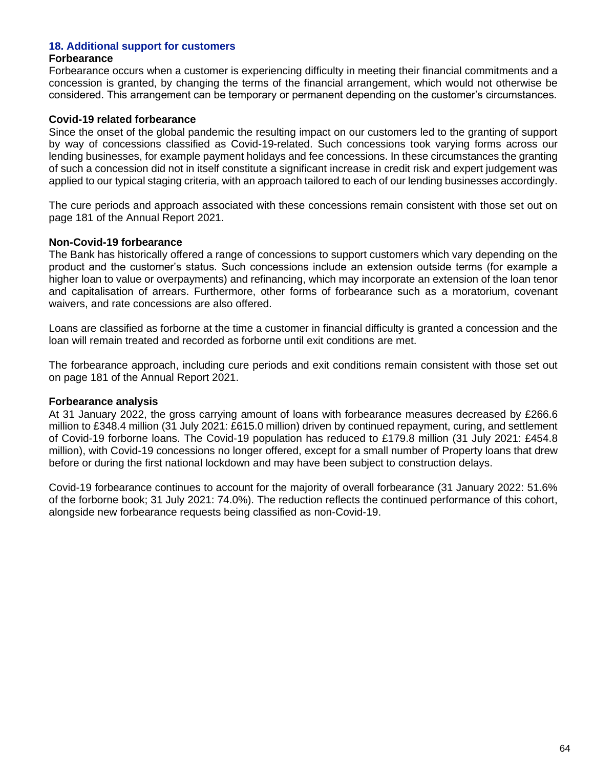### **18. Additional support for customers**

#### **Forbearance**

Forbearance occurs when a customer is experiencing difficulty in meeting their financial commitments and a concession is granted, by changing the terms of the financial arrangement, which would not otherwise be considered. This arrangement can be temporary or permanent depending on the customer's circumstances.

### **Covid-19 related forbearance**

Since the onset of the global pandemic the resulting impact on our customers led to the granting of support by way of concessions classified as Covid-19-related. Such concessions took varying forms across our lending businesses, for example payment holidays and fee concessions. In these circumstances the granting of such a concession did not in itself constitute a significant increase in credit risk and expert judgement was applied to our typical staging criteria, with an approach tailored to each of our lending businesses accordingly.

The cure periods and approach associated with these concessions remain consistent with those set out on page 181 of the Annual Report 2021.

### **Non-Covid-19 forbearance**

The Bank has historically offered a range of concessions to support customers which vary depending on the product and the customer's status. Such concessions include an extension outside terms (for example a higher loan to value or overpayments) and refinancing, which may incorporate an extension of the loan tenor and capitalisation of arrears. Furthermore, other forms of forbearance such as a moratorium, covenant waivers, and rate concessions are also offered.

Loans are classified as forborne at the time a customer in financial difficulty is granted a concession and the loan will remain treated and recorded as forborne until exit conditions are met.

The forbearance approach, including cure periods and exit conditions remain consistent with those set out on page 181 of the Annual Report 2021.

### **Forbearance analysis**

At 31 January 2022, the gross carrying amount of loans with forbearance measures decreased by £266.6 million to £348.4 million (31 July 2021: £615.0 million) driven by continued repayment, curing, and settlement of Covid-19 forborne loans. The Covid-19 population has reduced to £179.8 million (31 July 2021: £454.8 million), with Covid-19 concessions no longer offered, except for a small number of Property loans that drew before or during the first national lockdown and may have been subject to construction delays.

Covid-19 forbearance continues to account for the majority of overall forbearance (31 January 2022: 51.6% of the forborne book; 31 July 2021: 74.0%). The reduction reflects the continued performance of this cohort, alongside new forbearance requests being classified as non-Covid-19.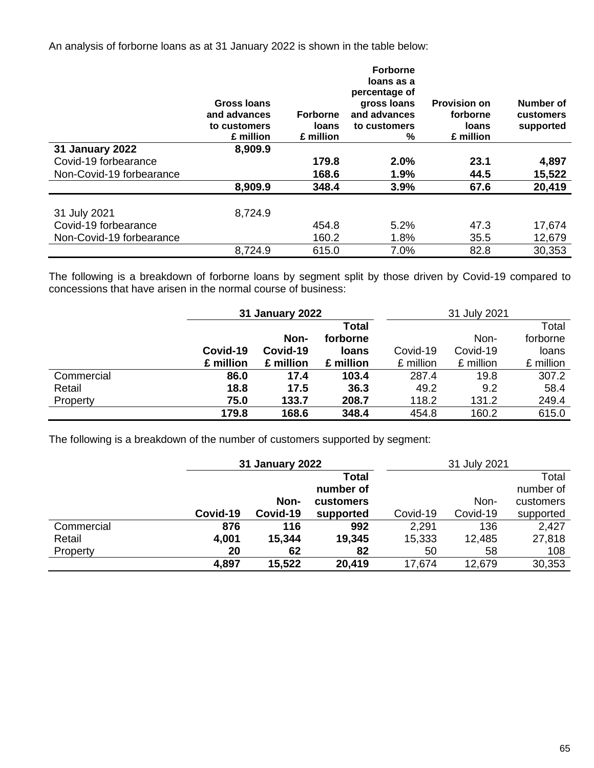An analysis of forborne loans as at 31 January 2022 is shown in the table below:

|                          | Gross Ioans<br>and advances<br>to customers<br>£ million | <b>Forborne</b><br>loans<br>£ million | <b>Forborne</b><br>loans as a<br>percentage of<br>gross loans<br>and advances<br>to customers<br>% | <b>Provision on</b><br>forborne<br><b>loans</b><br>£ million | Number of<br>customers<br>supported |
|--------------------------|----------------------------------------------------------|---------------------------------------|----------------------------------------------------------------------------------------------------|--------------------------------------------------------------|-------------------------------------|
| <b>31 January 2022</b>   | 8,909.9                                                  |                                       |                                                                                                    |                                                              |                                     |
| Covid-19 forbearance     |                                                          | 179.8                                 | 2.0%                                                                                               | 23.1                                                         | 4,897                               |
| Non-Covid-19 forbearance |                                                          | 168.6                                 | 1.9%                                                                                               | 44.5                                                         | 15,522                              |
|                          | 8,909.9                                                  | 348.4                                 | 3.9%                                                                                               | 67.6                                                         | 20,419                              |
| 31 July 2021             | 8,724.9                                                  |                                       |                                                                                                    |                                                              |                                     |
| Covid-19 forbearance     |                                                          | 454.8                                 | 5.2%                                                                                               | 47.3                                                         | 17,674                              |
| Non-Covid-19 forbearance |                                                          | 160.2                                 | 1.8%                                                                                               | 35.5                                                         | 12,679                              |
|                          | 8,724.9                                                  | 615.0                                 | 7.0%                                                                                               | 82.8                                                         | 30,353                              |

The following is a breakdown of forborne loans by segment split by those driven by Covid-19 compared to concessions that have arisen in the normal course of business:

|            |           | 31 January 2022 |              | 31 July 2021 |           |           |
|------------|-----------|-----------------|--------------|--------------|-----------|-----------|
|            |           |                 | Total        |              |           | Total     |
|            |           | Non-            | forborne     |              | Non-      | forborne  |
|            | Covid-19  | Covid-19        | <b>loans</b> | Covid-19     | Covid-19  | loans     |
|            | £ million | £ million       | £ million    | £ million    | £ million | £ million |
| Commercial | 86.0      | 17.4            | 103.4        | 287.4        | 19.8      | 307.2     |
| Retail     | 18.8      | 17.5            | 36.3         | 49.2         | 9.2       | 58.4      |
| Property   | 75.0      | 133.7           | 208.7        | 118.2        | 131.2     | 249.4     |
|            | 179.8     | 168.6           | 348.4        | 454.8        | 160.2     | 615.0     |

The following is a breakdown of the number of customers supported by segment:

|            |          | 31 January 2022 |              | 31 July 2021 |          |           |
|------------|----------|-----------------|--------------|--------------|----------|-----------|
|            |          |                 | <b>Total</b> |              |          | Total     |
|            |          |                 | number of    |              |          | number of |
|            |          | Non-            | customers    |              | Non-     | customers |
|            | Covid-19 | Covid-19        | supported    | Covid-19     | Covid-19 | supported |
| Commercial | 876      | 116             | 992          | 2,291        | 136      | 2,427     |
| Retail     | 4,001    | 15,344          | 19,345       | 15,333       | 12,485   | 27,818    |
| Property   | 20       | 62              | 82           | 50           | 58       | 108       |
|            | 4,897    | 15,522          | 20,419       | 17,674       | 12,679   | 30,353    |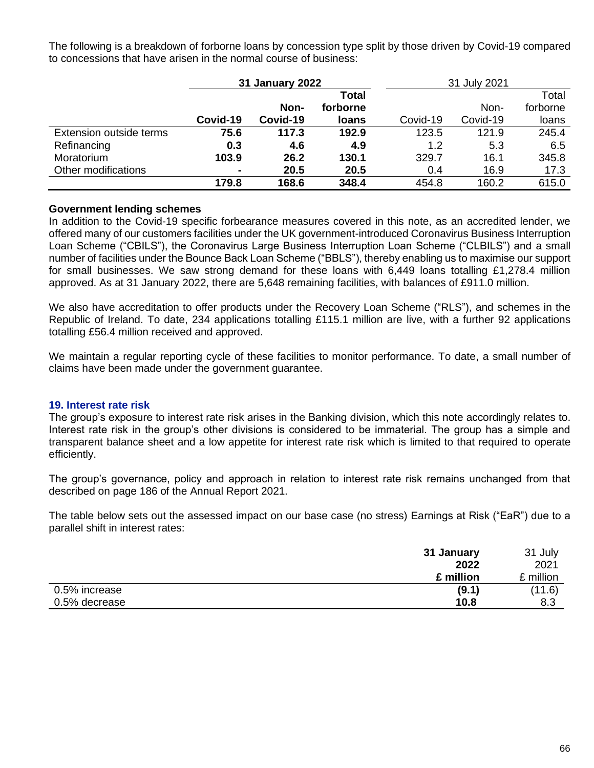The following is a breakdown of forborne loans by concession type split by those driven by Covid-19 compared to concessions that have arisen in the normal course of business:

|                         | <b>31 January 2022</b> |          | 31 July 2021 |          |          |          |
|-------------------------|------------------------|----------|--------------|----------|----------|----------|
|                         |                        |          | Total        |          |          | Total    |
|                         |                        | Non-     | forborne     |          | Non-     | forborne |
|                         | Covid-19               | Covid-19 | loans        | Covid-19 | Covid-19 | loans    |
| Extension outside terms | 75.6                   | 117.3    | 192.9        | 123.5    | 121.9    | 245.4    |
| Refinancing             | 0.3                    | 4.6      | 4.9          | 1.2      | 5.3      | 6.5      |
| Moratorium              | 103.9                  | 26.2     | 130.1        | 329.7    | 16.1     | 345.8    |
| Other modifications     | $\blacksquare$         | 20.5     | 20.5         | 0.4      | 16.9     | 17.3     |
|                         | 179.8                  | 168.6    | 348.4        | 454.8    | 160.2    | 615.0    |

### **Government lending schemes**

In addition to the Covid-19 specific forbearance measures covered in this note, as an accredited lender, we offered many of our customers facilities under the UK government-introduced Coronavirus Business Interruption Loan Scheme ("CBILS"), the Coronavirus Large Business Interruption Loan Scheme ("CLBILS") and a small number of facilities under the Bounce Back Loan Scheme ("BBLS"), thereby enabling us to maximise our support for small businesses. We saw strong demand for these loans with 6,449 loans totalling £1,278.4 million approved. As at 31 January 2022, there are 5,648 remaining facilities, with balances of £911.0 million.

We also have accreditation to offer products under the Recovery Loan Scheme ("RLS"), and schemes in the Republic of Ireland. To date, 234 applications totalling £115.1 million are live, with a further 92 applications totalling £56.4 million received and approved.

We maintain a regular reporting cycle of these facilities to monitor performance. To date, a small number of claims have been made under the government guarantee.

### **19. Interest rate risk**

The group's exposure to interest rate risk arises in the Banking division, which this note accordingly relates to. Interest rate risk in the group's other divisions is considered to be immaterial. The group has a simple and transparent balance sheet and a low appetite for interest rate risk which is limited to that required to operate efficiently.

The group's governance, policy and approach in relation to interest rate risk remains unchanged from that described on page 186 of the Annual Report 2021.

The table below sets out the assessed impact on our base case (no stress) Earnings at Risk ("EaR") due to a parallel shift in interest rates:

|               | 31 January | 31 July   |
|---------------|------------|-----------|
|               | 2022       | 2021      |
|               | £ million  | £ million |
| 0.5% increase | (9.1)      | (11.6)    |
| 0.5% decrease | 10.8       | 8.3       |